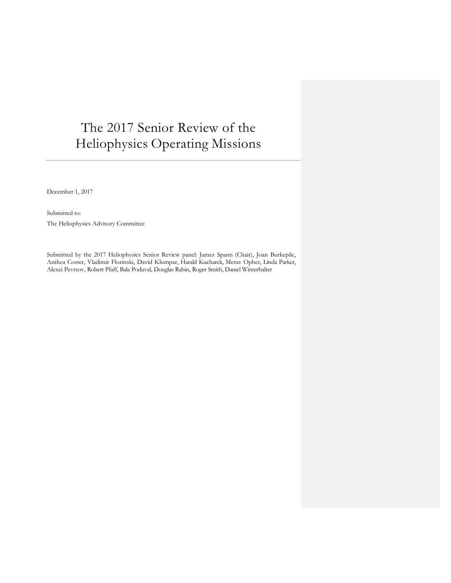# The 2017 Senior Review of the Heliophysics Operating Missions

December 1, 2017

Submitted to: The Heliophysics Advisory Committee

Submitted by the 2017 Heliophysics Senior Review panel: James Spann (Chair), Joan Burkepile, Anthea Coster, Vladimir Florinski, David Klumpar, Harald Kucharek, Merav Opher, Linda Parker, Alexei Pevtsov, Robert Pfaff, Bala Poduval, Douglas Rabin, Roger Smith, Daniel Winterhalter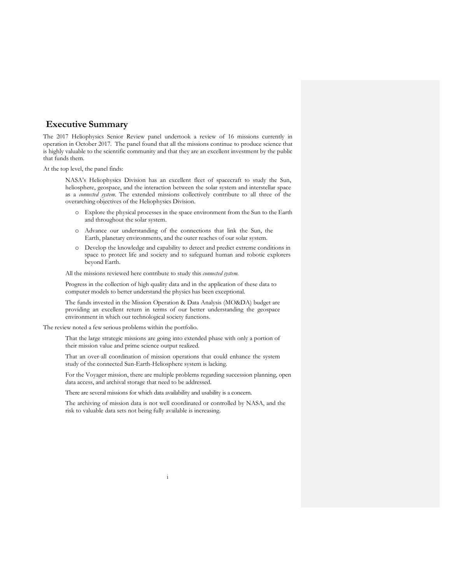# **Executive Summary**

The 2017 Heliophysics Senior Review panel undertook a review of 16 missions currently in operation in October 2017. The panel found that all the missions continue to produce science that is highly valuable to the scientific community and that they are an excellent investment by the public that funds them.

At the top level, the panel finds:

 NASA's Heliophysics Division has an excellent fleet of spacecraft to study the Sun, heliosphere, geospace, and the interaction between the solar system and interstellar space as a *connected system*. The extended missions collectively contribute to all three of the overarching objectives of the Heliophysics Division.

- o Explore the physical processes in the space environment from the Sun to the Earth and throughout the solar system.
- o Advance our understanding of the connections that link the Sun, the Earth, planetary environments, and the outer reaches of our solar system.
- o Develop the knowledge and capability to detect and predict extreme conditions in space to protect life and society and to safeguard human and robotic explorers beyond Earth.

All the missions reviewed here contribute to study this *connected system.*

 Progress in the collection of high quality data and in the application of these data to computer models to better understand the physics has been exceptional.

 The funds invested in the Mission Operation & Data Analysis (MO&DA) budget are providing an excellent return in terms of our better understanding the geospace environment in which our technological society functions.

The review noted a few serious problems within the portfolio.

 That the large strategic missions are going into extended phase with only a portion of their mission value and prime science output realized.

 That an over-all coordination of mission operations that could enhance the system study of the connected Sun-Earth-Heliosphere system is lacking.

 For the Voyager mission, there are multiple problems regarding succession planning, open data access, and archival storage that need to be addressed.

There are several missions for which data availability and usability is a concern.

 The archiving of mission data is not well coordinated or controlled by NASA, and the risk to valuable data sets not being fully available is increasing.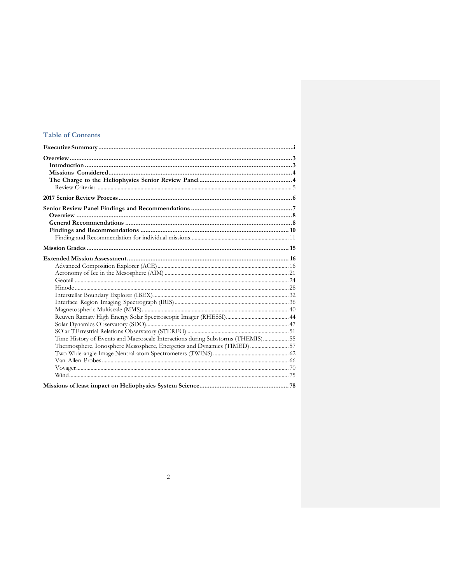# **Table of Contents**

| Time History of Events and Macroscale Interactions during Substorms (THEMIS) 55 |  |
|---------------------------------------------------------------------------------|--|
| Thermosphere, Ionosphere Mesosphere, Energetics and Dynamics (TIMED)  57        |  |
|                                                                                 |  |
|                                                                                 |  |
|                                                                                 |  |
|                                                                                 |  |
|                                                                                 |  |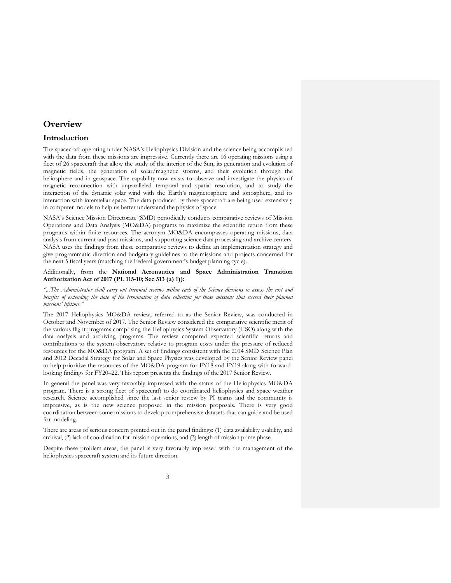# **Overview**

# **Introduction**

The spacecraft operating under NASA's Heliophysics Division and the science being accomplished with the data from these missions are impressive. Currently there are 16 operating missions using a fleet of 26 spacecraft that allow the study of the interior of the Sun, its generation and evolution of magnetic fields, the generation of solar/magnetic storms, and their evolution through the heliosphere and in geospace. The capability now exists to observe and investigate the physics of magnetic reconnection with unparalleled temporal and spatial resolution, and to study the interaction of the dynamic solar wind with the Earth's magnetosphere and ionosphere, and its interaction with interstellar space. The data produced by these spacecraft are being used extensively in computer models to help us better understand the physics of space.

NASA's Science Mission Directorate (SMD) periodically conducts comparative reviews of Mission Operations and Data Analysis (MO&DA) programs to maximize the scientific return from these programs within finite resources. The acronym MO&DA encompasses operating missions, data analysis from current and past missions, and supporting science data processing and archive centers. NASA uses the findings from these comparative reviews to define an implementation strategy and give programmatic direction and budgetary guidelines to the missions and projects concerned for the next 5 fiscal years (matching the Federal government's budget planning cycle).

# Additionally, from the **National Aeronautics and Space Administration Transition Authorization Act of 2017 (PL 115-10; Sec 513 (a) 1)):**

*"...The Administrator shall carry out triennial reviews within each of the Science divisions to assess the cost and benefits of extending the date of the termination of data collection for those missions that exceed their planned missions' lifetime."*

The 2017 Heliophysics MO&DA review, referred to as the Senior Review, was conducted in October and November of 2017. The Senior Review considered the comparative scientific merit of the various flight programs comprising the Heliophysics System Observatory (HSO) along with the data analysis and archiving programs. The review compared expected scientific returns and contributions to the system observatory relative to program costs under the pressure of reduced resources for the MO&DA program. A set of findings consistent with the 2014 SMD Science Plan and 2012 Decadal Strategy for Solar and Space Physics was developed by the Senior Review panel to help prioritize the resources of the MO&DA program for FY18 and FY19 along with forwardlooking findings for FY20–22. This report presents the findings of the 2017 Senior Review.

In general the panel was very favorably impressed with the status of the Heliophysics MO&DA program. There is a strong fleet of spacecraft to do coordinated heliophysics and space weather research. Science accomplished since the last senior review by PI teams and the community is impressive, as is the new science proposed in the mission proposals. There is very good coordination between some missions to develop comprehensive datasets that can guide and be used for modeling.

There are areas of serious concern pointed out in the panel findings: (1) data availability usability, and archival, (2) lack of coordination for mission operations, and (3) length of mission prime phase.

Despite these problem areas, the panel is very favorably impressed with the management of the heliophysics spacecraft system and its future direction.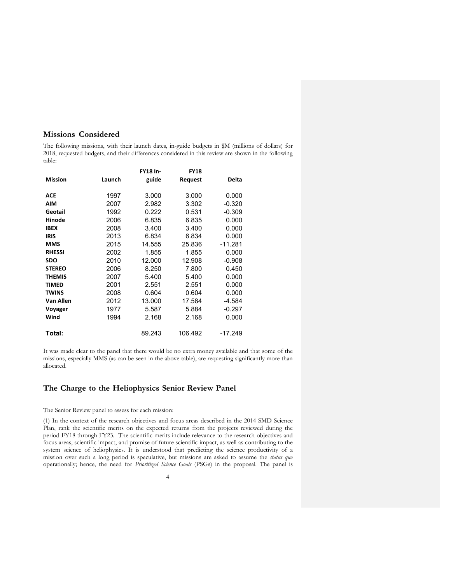# **Missions Considered**

The following missions, with their launch dates, in-guide budgets in \$M (millions of dollars) for 2018, requested budgets, and their differences considered in this review are shown in the following table:

|                |        | <b>FY18 In-</b> | <b>FY18</b> |           |
|----------------|--------|-----------------|-------------|-----------|
| <b>Mission</b> | Launch | guide           | Request     | Delta     |
| <b>ACE</b>     | 1997   | 3.000           | 3.000       | 0.000     |
| <b>AIM</b>     | 2007   | 2.982           | 3.302       | $-0.320$  |
| Geotail        | 1992   | 0.222           | 0.531       | $-0.309$  |
| Hinode         | 2006   | 6.835           | 6.835       | 0.000     |
| <b>IBEX</b>    | 2008   | 3.400           | 3.400       | 0.000     |
| <b>IRIS</b>    | 2013   | 6.834           | 6.834       | 0.000     |
| <b>MMS</b>     | 2015   | 14.555          | 25.836      | $-11.281$ |
| <b>RHESSI</b>  | 2002   | 1.855           | 1.855       | 0.000     |
| <b>SDO</b>     | 2010   | 12.000          | 12.908      | $-0.908$  |
| <b>STEREO</b>  | 2006   | 8.250           | 7.800       | 0.450     |
| <b>THEMIS</b>  | 2007   | 5.400           | 5.400       | 0.000     |
| <b>TIMED</b>   | 2001   | 2.551           | 2.551       | 0.000     |
| <b>TWINS</b>   | 2008   | 0.604           | 0.604       | 0.000     |
| Van Allen      | 2012   | 13.000          | 17.584      | -4.584    |
| Voyager        | 1977   | 5.587           | 5.884       | $-0.297$  |
| Wind           | 1994   | 2.168           | 2.168       | 0.000     |
| Total:         |        | 89.243          | 106.492     | $-17.249$ |

It was made clear to the panel that there would be no extra money available and that some of the missions, especially MMS (as can be seen in the above table), are requesting significantly more than allocated.

# **The Charge to the Heliophysics Senior Review Panel**

#### The Senior Review panel to assess for each mission:

(1) In the context of the research objectives and focus areas described in the 2014 SMD Science Plan, rank the scientific merits on the expected returns from the projects reviewed during the period FY18 through FY23. The scientific merits include relevance to the research objectives and focus areas, scientific impact, and promise of future scientific impact, as well as contributing to the system science of heliophysics. It is understood that predicting the science productivity of a mission over such a long period is speculative, but missions are asked to assume the *status quo*  operationally; hence, the need for *Prioritized Science Goals* (PSGs) in the proposal. The panel is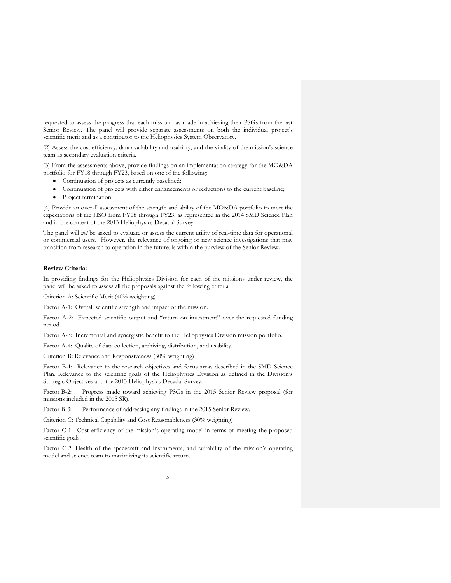requested to assess the progress that each mission has made in achieving their PSGs from the last Senior Review. The panel will provide separate assessments on both the individual project's scientific merit and as a contributor to the Heliophysics System Observatory.

(2) Assess the cost efficiency, data availability and usability, and the vitality of the mission's science team as secondary evaluation criteria.

(3) From the assessments above, provide findings on an implementation strategy for the MO&DA portfolio for FY18 through FY23, based on one of the following:

- Continuation of projects as currently baselined;
- Continuation of projects with either enhancements or reductions to the current baseline;
- Project termination.

(4) Provide an overall assessment of the strength and ability of the MO&DA portfolio to meet the expectations of the HSO from FY18 through FY23, as represented in the 2014 SMD Science Plan and in the context of the 2013 Heliophysics Decadal Survey.

The panel will *not* be asked to evaluate or assess the current utility of real-time data for operational or commercial users. However, the relevance of ongoing or new science investigations that may transition from research to operation in the future, is within the purview of the Senior Review.

#### **Review Criteria:**

In providing findings for the Heliophysics Division for each of the missions under review, the panel will be asked to assess all the proposals against the following criteria:

Criterion A: Scientific Merit (40% weighting)

Factor A-1: Overall scientific strength and impact of the mission.

Factor A-2: Expected scientific output and "return on investment" over the requested funding period.

Factor A-3: Incremental and synergistic benefit to the Heliophysics Division mission portfolio.

Factor A-4: Quality of data collection, archiving, distribution, and usability.

Criterion B: Relevance and Responsiveness (30% weighting)

Factor B-1: Relevance to the research objectives and focus areas described in the SMD Science Plan. Relevance to the scientific goals of the Heliophysics Division as defined in the Division's Strategic Objectives and the 2013 Heliophysics Decadal Survey.

Factor B-2: Progress made toward achieving PSGs in the 2015 Senior Review proposal (for missions included in the 2015 SR).

Factor B-3: Performance of addressing any findings in the 2015 Senior Review.

Criterion C: Technical Capability and Cost Reasonableness (30% weighting)

Factor C-1: Cost efficiency of the mission's operating model in terms of meeting the proposed scientific goals.

Factor C-2: Health of the spacecraft and instruments, and suitability of the mission's operating model and science team to maximizing its scientific return.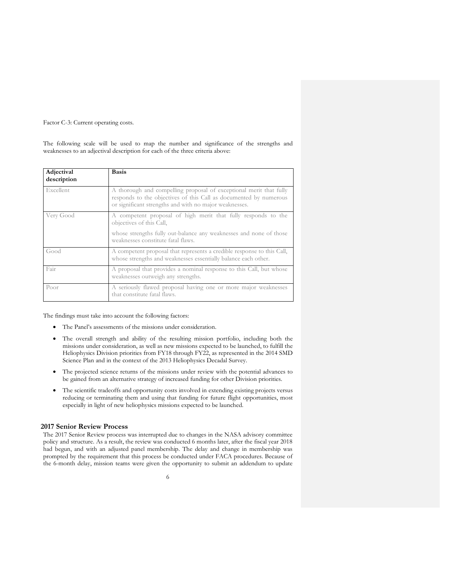Factor C-3: Current operating costs.

The following scale will be used to map the number and significance of the strengths and weaknesses to an adjectival description for each of the three criteria above:

| Adjectival<br>description | <b>Basis</b>                                                                                                                                                                                      |
|---------------------------|---------------------------------------------------------------------------------------------------------------------------------------------------------------------------------------------------|
| Excellent                 | A thorough and compelling proposal of exceptional merit that fully<br>responds to the objectives of this Call as documented by numerous<br>or significant strengths and with no major weaknesses. |
| Very Good                 | A competent proposal of high merit that fully responds to the<br>objectives of this Call,                                                                                                         |
|                           | whose strengths fully out-balance any weaknesses and none of those<br>weaknesses constitute fatal flaws.                                                                                          |
| Good                      | A competent proposal that represents a credible response to this Call,<br>whose strengths and weaknesses essentially balance each other.                                                          |
| Fair                      | A proposal that provides a nominal response to this Call, but whose<br>weaknesses outweigh any strengths.                                                                                         |
| Poor                      | A seriously flawed proposal having one or more major weaknesses<br>that constitute fatal flaws.                                                                                                   |

The findings must take into account the following factors:

- The Panel's assessments of the missions under consideration.
- The overall strength and ability of the resulting mission portfolio, including both the missions under consideration, as well as new missions expected to be launched, to fulfill the Heliophysics Division priorities from FY18 through FY22, as represented in the 2014 SMD Science Plan and in the context of the 2013 Heliophysics Decadal Survey.
- The projected science returns of the missions under review with the potential advances to be gained from an alternative strategy of increased funding for other Division priorities.
- The scientific tradeoffs and opportunity costs involved in extending existing projects versus reducing or terminating them and using that funding for future flight opportunities, most especially in light of new heliophysics missions expected to be launched.

# **2017 Senior Review Process**

The 2017 Senior Review process was interrupted due to changes in the NASA advisory committee policy and structure. As a result, the review was conducted 6 months later, after the fiscal year 2018 had begun, and with an adjusted panel membership. The delay and change in membership was prompted by the requirement that this process be conducted under FACA procedures. Because of the 6-month delay, mission teams were given the opportunity to submit an addendum to update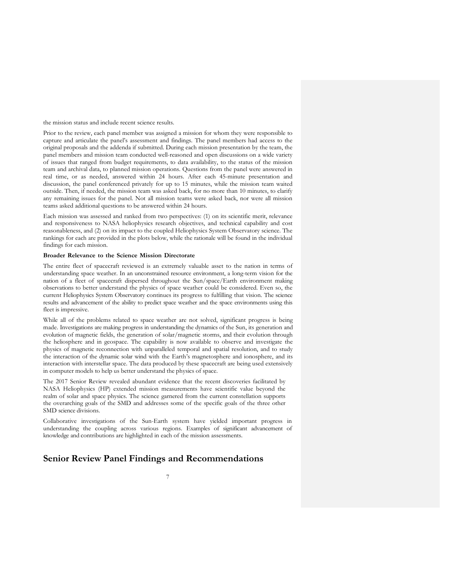the mission status and include recent science results.

Prior to the review, each panel member was assigned a mission for whom they were responsible to capture and articulate the panel's assessment and findings. The panel members had access to the original proposals and the addenda if submitted. During each mission presentation by the team, the panel members and mission team conducted well-reasoned and open discussions on a wide variety of issues that ranged from budget requirements, to data availability, to the status of the mission team and archival data, to planned mission operations. Questions from the panel were answered in real time, or as needed, answered within 24 hours. After each 45-minute presentation and discussion, the panel conferenced privately for up to 15 minutes, while the mission team waited outside. Then, if needed, the mission team was asked back, for no more than 10 minutes, to clarify any remaining issues for the panel. Not all mission teams were asked back, nor were all mission teams asked additional questions to be answered within 24 hours.

Each mission was assessed and ranked from two perspectives: (1) on its scientific merit, relevance and responsiveness to NASA heliophysics research objectives, and technical capability and cost reasonableness, and (2) on its impact to the coupled Heliophysics System Observatory science. The rankings for each are provided in the plots below, while the rationale will be found in the individual findings for each mission.

# **Broader Relevance to the Science Mission Directorate**

The entire fleet of spacecraft reviewed is an extremely valuable asset to the nation in terms of understanding space weather. In an unconstrained resource environment, a long-term vision for the nation of a fleet of spacecraft dispersed throughout the Sun/space/Earth environment making observations to better understand the physics of space weather could be considered. Even so, the current Heliophysics System Observatory continues its progress to fulfilling that vision. The science results and advancement of the ability to predict space weather and the space environments using this fleet is impressive.

While all of the problems related to space weather are not solved, significant progress is being made. Investigations are making progress in understanding the dynamics of the Sun, its generation and evolution of magnetic fields, the generation of solar/magnetic storms, and their evolution through the heliosphere and in geospace. The capability is now available to observe and investigate the physics of magnetic reconnection with unparalleled temporal and spatial resolution, and to study the interaction of the dynamic solar wind with the Earth's magnetosphere and ionosphere, and its interaction with interstellar space. The data produced by these spacecraft are being used extensively in computer models to help us better understand the physics of space.

The 2017 Senior Review revealed abundant evidence that the recent discoveries facilitated by NASA Heliophysics (HP) extended mission measurements have scientific value beyond the realm of solar and space physics. The science garnered from the current constellation supports the overarching goals of the SMD and addresses some of the specific goals of the three other SMD science divisions.

Collaborative investigations of the Sun-Earth system have yielded important progress in understanding the coupling across various regions. Examples of significant advancement of knowledge and contributions are highlighted in each of the mission assessments.

# **Senior Review Panel Findings and Recommendations**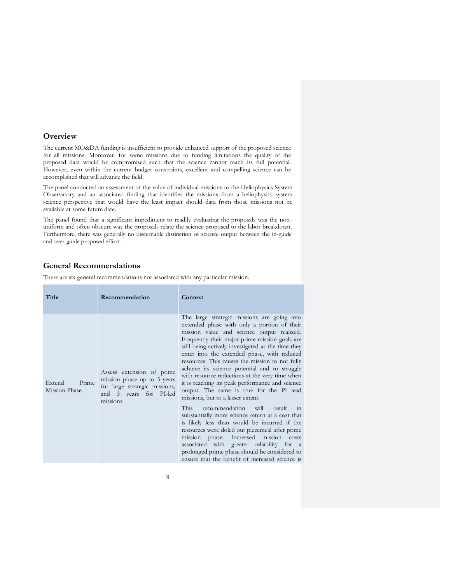# **Overview**

÷

The current MO&DA funding is insufficient to provide enhanced support of the proposed science for all missions. Moreover, for some missions due to funding limitations the quality of the proposed data would be compromised such that the science cannot reach its full potential. However, even within the current budget constraints, excellent and compelling science can be accomplished that will advance the field.

The panel conducted an assessment of the value of individual missions to the Heliophysics System Observatory and an associated finding that identifies the missions from a heliophysics system science perspective that would have the least impact should data from those missions not be available at some future date.

The panel found that a significant impediment to readily evaluating the proposals was the nonuniform and often obscure way the proposals relate the science proposed to the labor breakdown. Furthermore, there was generally no discernable distinction of science output between the in-guide and over-guide proposed effort.

# **General Recommendations**

There are six general recommendations not associated with any particular mission.

| Title                            | Recommendation                                                                                                                  | Context                                                                                                                                                                                                                                                                                                                                                                                                                                                                                                                                                                                                                                                                                                                                                                                                                                                                                                                                                                                           |
|----------------------------------|---------------------------------------------------------------------------------------------------------------------------------|---------------------------------------------------------------------------------------------------------------------------------------------------------------------------------------------------------------------------------------------------------------------------------------------------------------------------------------------------------------------------------------------------------------------------------------------------------------------------------------------------------------------------------------------------------------------------------------------------------------------------------------------------------------------------------------------------------------------------------------------------------------------------------------------------------------------------------------------------------------------------------------------------------------------------------------------------------------------------------------------------|
| Prime<br>Extend<br>Mission Phase | Assess extension of prime<br>mission phase up to 5 years<br>for large strategic missions,<br>and 3 years for PI-led<br>missions | The large strategic missions are going into<br>extended phase with only a portion of their<br>mission value and science output realized.<br>Frequently their major prime mission goals are<br>still being actively investigated at the time they<br>enter into the extended phase, with reduced<br>resources. This causes the mission to not fully<br>achieve its science potential and to struggle<br>with resource reductions at the very time when<br>it is reaching its peak performance and science<br>output. The same is true for the PI lead<br>missions, but to a lesser extent.<br>This<br>recommendation will result<br>$\frac{1}{2}$<br>substantially more science return at a cost that<br>is likely less than would be incurred if the<br>resources were doled out piecemeal after prime<br>mission phase. Increased mission costs<br>associated with greater reliability for a<br>prolonged prime phase should be considered to<br>ensure that the benefit of increased science is |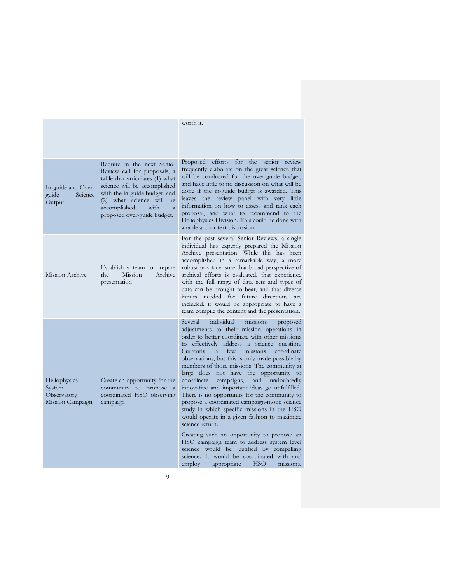|                                                                  |                                                                                                                                                                                                                                                                     | worth it.                                                                                                                                                                                                                                                                                                                                                                                                                                                                                                                                                                                                                                                                                                                                                                                                                                                                                                                                                    |
|------------------------------------------------------------------|---------------------------------------------------------------------------------------------------------------------------------------------------------------------------------------------------------------------------------------------------------------------|--------------------------------------------------------------------------------------------------------------------------------------------------------------------------------------------------------------------------------------------------------------------------------------------------------------------------------------------------------------------------------------------------------------------------------------------------------------------------------------------------------------------------------------------------------------------------------------------------------------------------------------------------------------------------------------------------------------------------------------------------------------------------------------------------------------------------------------------------------------------------------------------------------------------------------------------------------------|
| In-guide and Over-<br>guide<br>Science<br>Output                 | Require in the next Senior<br>Review call for proposals, a<br>table that articulates (1) what<br>science will be accomplished<br>with the in-guide budget, and<br>(2) what science will be<br>with<br>accomplished<br>$\overline{a}$<br>proposed over-guide budget. | Proposed efforts<br>for<br>the senior<br>review<br>frequently elaborate on the great science that<br>will be conducted for the over-guide budget,<br>and have little to no discussion on what will be<br>done if the in-guide budget is awarded. This<br>leaves the review panel with very little<br>information on how to assess and rank each<br>proposal, and what to recommend to the<br>Heliophysics Division. This could be done with<br>a table and or text discussion.                                                                                                                                                                                                                                                                                                                                                                                                                                                                               |
| Mission Archive                                                  | Establish a team to prepare<br>Archive<br>Mission<br>the<br>presentation                                                                                                                                                                                            | For the past several Senior Reviews, a single<br>individual has expertly prepared the Mission<br>Archive presentation. While this has been<br>accomplished in a remarkable way, a more<br>robust way to ensure that broad perspective of<br>archival efforts is evaluated, that experience<br>with the full range of data sets and types of<br>data can be brought to bear, and that diverse<br>inputs needed for future directions<br>are<br>included, it would be appropriate to have a<br>team compile the content and the presentation.                                                                                                                                                                                                                                                                                                                                                                                                                  |
| <b>Heliophysics</b><br>System<br>Observatory<br>Mission Campaign | Create an opportunity for the<br>community to propose<br><sub>a</sub><br>coordinated HSO observing<br>campaign                                                                                                                                                      | Several<br>individual<br>missions<br>proposed<br>adjustments to their mission operations in<br>order to better coordinate with other missions<br>to effectively address a science question.<br>few<br>missions<br>coordinate<br>Currently,<br><sub>a</sub><br>observations, but this is only made possible by<br>members of those missions. The community at<br>large does not have the opportunity to<br>and<br>coordinate<br>campaigns,<br>undoubtedly<br>innovative and important ideas go unfulfilled.<br>There is no opportunity for the community to<br>propose a coordinated campaign-mode science<br>study in which specific missions in the HSO<br>would operate in a given fashion to maximize<br>science return.<br>Creating such an opportunity to propose an<br>HSO campaign team to address system level<br>science would be justified by compelling<br>science. It would be coordinated with and<br>appropriate<br>HSO<br>missions.<br>employ |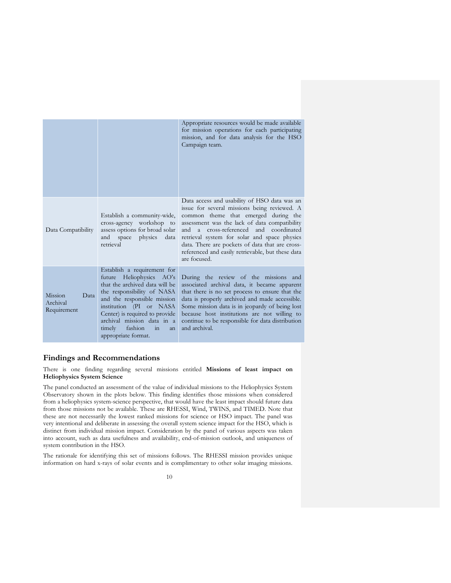|                                            |                                                                                                                                                                                                                                                                                                           | Appropriate resources would be made available<br>for mission operations for each participating<br>mission, and for data analysis for the HSO<br>Campaign team.                                                                                                                                                                                                                                                    |
|--------------------------------------------|-----------------------------------------------------------------------------------------------------------------------------------------------------------------------------------------------------------------------------------------------------------------------------------------------------------|-------------------------------------------------------------------------------------------------------------------------------------------------------------------------------------------------------------------------------------------------------------------------------------------------------------------------------------------------------------------------------------------------------------------|
| Data Compatibility                         | Establish a community-wide,<br>cross-agency workshop to<br>assess options for broad solar<br>space physics<br>data<br>and<br>retrieval                                                                                                                                                                    | Data access and usability of HSO data was an<br>issue for several missions being reviewed. A<br>common theme that emerged during the<br>assessment was the lack of data compatibility<br>cross-referenced and coordinated<br>and<br>$a -$<br>retrieval system for solar and space physics<br>data. There are pockets of data that are cross-<br>referenced and easily retrievable, but these data<br>are focused. |
| Mission<br>Data<br>Archival<br>Requirement | Establish a requirement for<br>future Heliophysics AO's<br>that the archived data will be<br>the responsibility of NASA<br>and the responsible mission<br>institution (PI or NASA<br>Center) is required to provide<br>archival mission data in a<br>fashion<br>timely<br>in<br>an<br>appropriate format. | During the review of the missions and<br>associated archival data, it became apparent<br>that there is no set process to ensure that the<br>data is properly archived and made accessible.<br>Some mission data is in jeopardy of being lost<br>because host institutions are not willing to<br>continue to be responsible for data distribution<br>and archival.                                                 |

# **Findings and Recommendations**

There is one finding regarding several missions entitled **Missions of least impact on Heliophysics System Science**

The panel conducted an assessment of the value of individual missions to the Heliophysics System Observatory shown in the plots below. This finding identifies those missions when considered from a heliophysics system-science perspective, that would have the least impact should future data from those missions not be available. These are RHESSI, Wind, TWINS, and TIMED. Note that these are not necessarily the lowest ranked missions for science or HSO impact. The panel was very intentional and deliberate in assessing the overall system science impact for the HSO, which is distinct from individual mission impact. Consideration by the panel of various aspects was taken into account, such as data usefulness and availability, end-of-mission outlook, and uniqueness of system contribution in the HSO.

The rationale for identifying this set of missions follows. The RHESSI mission provides unique information on hard x-rays of solar events and is complimentary to other solar imaging missions.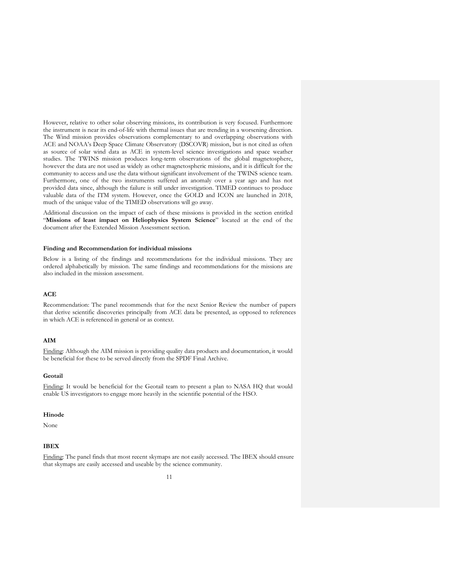However, relative to other solar observing missions, its contribution is very focused. Furthermore the instrument is near its end-of-life with thermal issues that are trending in a worsening direction. The Wind mission provides observations complementary to and overlapping observations with ACE and NOAA's Deep Space Climate Observatory (DSCOVR) mission, but is not cited as often as source of solar wind data as ACE in system-level science investigations and space weather studies. The TWINS mission produces long-term observations of the global magnetosphere, however the data are not used as widely as other magnetospheric missions, and it is difficult for the community to access and use the data without significant involvement of the TWINS science team. Furthermore, one of the two instruments suffered an anomaly over a year ago and has not provided data since, although the failure is still under investigation. TIMED continues to produce valuable data of the ITM system. However, once the GOLD and ICON are launched in 2018, much of the unique value of the TIMED observations will go away.

Additional discussion on the impact of each of these missions is provided in the section entitled "**Missions of least impact on Heliophysics System Science**" located at the end of the document after the Extended Mission Assessment section.

#### **Finding and Recommendation for individual missions**

Below is a listing of the findings and recommendations for the individual missions. They are ordered alphabetically by mission. The same findings and recommendations for the missions are also included in the mission assessment.

# **ACE**

Recommendation: The panel recommends that for the next Senior Review the number of papers that derive scientific discoveries principally from ACE data be presented, as opposed to references in which ACE is referenced in general or as context.

# **AIM**

Finding: Although the AIM mission is providing quality data products and documentation, it would be beneficial for these to be served directly from the SPDF Final Archive.

#### **Geotail**

Finding: It would be beneficial for the Geotail team to present a plan to NASA HQ that would enable US investigators to engage more heavily in the scientific potential of the HSO.

#### **Hinode**

None

# **IBEX**

Finding: The panel finds that most recent skymaps are not easily accessed. The IBEX should ensure that skymaps are easily accessed and useable by the science community.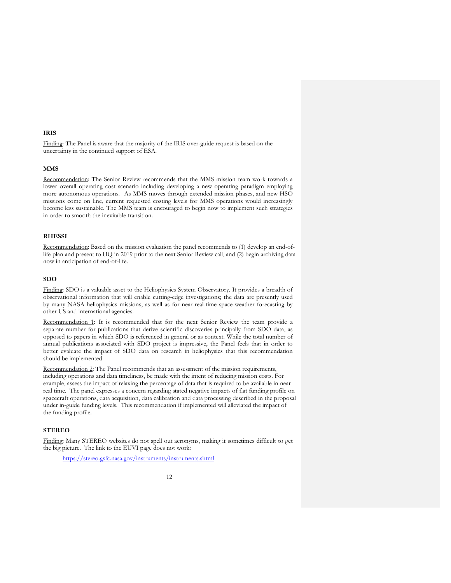# **IRIS**

Finding: The Panel is aware that the majority of the IRIS over-guide request is based on the uncertainty in the continued support of ESA.

#### **MMS**

Recommendation: The Senior Review recommends that the MMS mission team work towards a lower overall operating cost scenario including developing a new operating paradigm employing more autonomous operations. As MMS moves through extended mission phases, and new HSO missions come on line, current requested costing levels for MMS operations would increasingly become less sustainable. The MMS team is encouraged to begin now to implement such strategies in order to smooth the inevitable transition.

# **RHESSI**

Recommendation: Based on the mission evaluation the panel recommends to (1) develop an end-oflife plan and present to HQ in 2019 prior to the next Senior Review call, and (2) begin archiving data now in anticipation of end-of-life.

# **SDO**

Finding: SDO is a valuable asset to the Heliophysics System Observatory. It provides a breadth of observational information that will enable cutting-edge investigations; the data are presently used by many NASA heliophysics missions, as well as for near-real-time space-weather forecasting by other US and international agencies.

Recommendation 1: It is recommended that for the next Senior Review the team provide a separate number for publications that derive scientific discoveries principally from SDO data, as opposed to papers in which SDO is referenced in general or as context. While the total number of annual publications associated with SDO project is impressive, the Panel feels that in order to better evaluate the impact of SDO data on research in heliophysics that this recommendation should be implemented

Recommendation 2: The Panel recommends that an assessment of the mission requirements, including operations and data timeliness, be made with the intent of reducing mission costs. For example, assess the impact of relaxing the percentage of data that is required to be available in near real time. The panel expresses a concern regarding stated negative impacts of flat funding profile on spacecraft operations, data acquisition, data calibration and data processing described in the proposal under in-guide funding levels. This recommendation if implemented will alleviated the impact of the funding profile.

# **STEREO**

Finding: Many STEREO websites do not spell out acronyms, making it sometimes difficult to get the big picture. The link to the EUVI page does not work:

https://stereo.gsfc.nasa.gov/instruments/instruments.shtml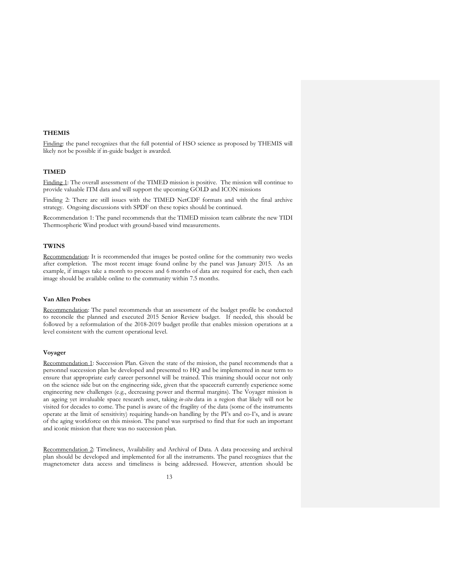# **THEMIS**

Finding: the panel recognizes that the full potential of HSO science as proposed by THEMIS will likely not be possible if in-guide budget is awarded.

# **TIMED**

Finding 1: The overall assessment of the TIMED mission is positive. The mission will continue to provide valuable ITM data and will support the upcoming GOLD and ICON missions

Finding 2: There are still issues with the TIMED NetCDF formats and with the final archive strategy. Ongoing discussions with SPDF on these topics should be continued.

Recommendation 1: The panel recommends that the TIMED mission team calibrate the new TIDI Thermospheric Wind product with ground-based wind measurements.

# **TWINS**

Recommendation: It is recommended that images be posted online for the community two weeks after completion. The most recent image found online by the panel was January 2015. As an example, if images take a month to process and 6 months of data are required for each, then each image should be available online to the community within 7.5 months.

# **Van Allen Probes**

Recommendation: The panel recommends that an assessment of the budget profile be conducted to reconcile the planned and executed 2015 Senior Review budget. If needed, this should be followed by a reformulation of the 2018-2019 budget profile that enables mission operations at a level consistent with the current operational level.

## **Voyager**

Recommendation 1: Succession Plan. Given the state of the mission, the panel recommends that a personnel succession plan be developed and presented to HQ and be implemented in near term to ensure that appropriate early career personnel will be trained. This training should occur not only on the science side but on the engineering side, given that the spacecraft currently experience some engineering new challenges (e.g., decreasing power and thermal margins). The Voyager mission is an ageing yet invaluable space research asset, taking *in-situ* data in a region that likely will not be visited for decades to come. The panel is aware of the fragility of the data (some of the instruments operate at the limit of sensitivity) requiring hands-on handling by the PI's and co-I's, and is aware of the aging workforce on this mission. The panel was surprised to find that for such an important and iconic mission that there was no succession plan.

Recommendation 2: Timeliness, Availability and Archival of Data. A data processing and archival plan should be developed and implemented for all the instruments. The panel recognizes that the magnetometer data access and timeliness is being addressed. However, attention should be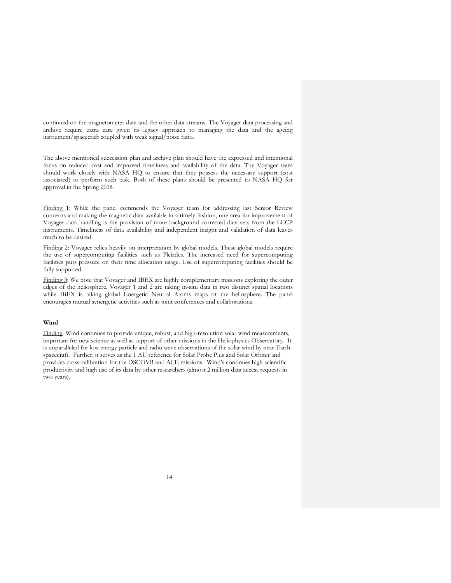continued on the magnetometer data and the other data streams. The Voyager data processing and archive require extra care given its legacy approach to managing the data and the ageing instrument/spacecraft coupled with weak signal/noise ratio.

The above mentioned succession plan and archive plan should have the expressed and intentional focus on reduced cost and improved timeliness and availability of the data. The Voyager team should work closely with NASA HQ to ensure that they possess the necessary support (cost associated) to perform such task. Both of these plans should be presented to NASA HQ for approval in the Spring 2018.

Finding 1: While the panel commends the Voyager team for addressing last Senior Review concerns and making the magnetic data available in a timely fashion, one area for improvement of Voyager data handling is the provision of more background corrected data sets from the LECP instruments. Timeliness of data availability and independent insight and validation of data leaves much to be desired.

Finding 2: Voyager relies heavily on interpretation by global models. These global models require the use of supercomputing facilities such as Pleiades. The increased need for supercomputing facilities puts pressure on their time allocation usage. Use of supercomputing facilities should be fully supported.

Finding 3: We note that Voyager and IBEX are highly complementary missions exploring the outer edges of the heliosphere. Voyager 1 and 2 are taking in-situ data in two distinct spatial locations while IBEX is taking global Energetic Neutral Atoms maps of the heliosphere. The panel encourages mutual synergetic activities such as joint conferences and collaborations.

#### **Wind**

Finding: Wind continues to provide unique, robust, and high-resolution solar wind measurements, important for new science as well as support of other missions in the Heliophysics Observatory. It is unparalleled for low energy particle and radio wave observations of the solar wind by near-Earth spacecraft. Further, it serves as the 1 AU reference for Solar Probe Plus and Solar Orbiter and provides cross-calibration for the DSCOVR and ACE missions. Wind's continues high scientific productivity and high use of its data by other researchers (almost 2 million data access requests in two years).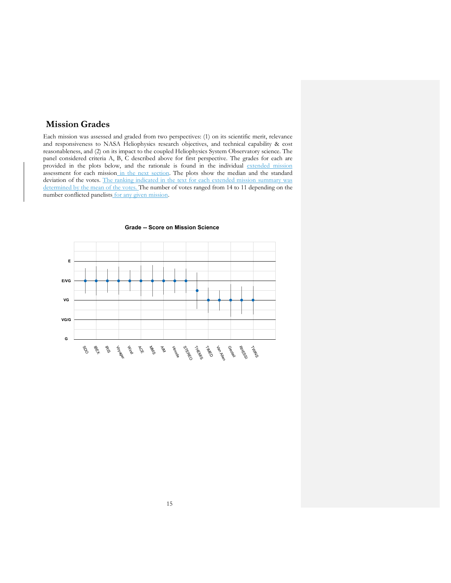# **Mission Grades**

Each mission was assessed and graded from two perspectives: (1) on its scientific merit, relevance and responsiveness to NASA Heliophysics research objectives, and technical capability & cost reasonableness, and (2) on its impact to the coupled Heliophysics System Observatory science. The panel considered criteria A, B, C described above for first perspective. The grades for each are provided in the plots below, and the rationale is found in the individual extended mission assessment for each mission in the next section. The plots show the median and the standard deviation of the votes. The ranking indicated in the text for each extended mission summary was determined by the mean of the votes. The number of votes ranged from 14 to 11 depending on the number conflicted panelists for any given mission.



#### **Grade -- Score on Mission Science**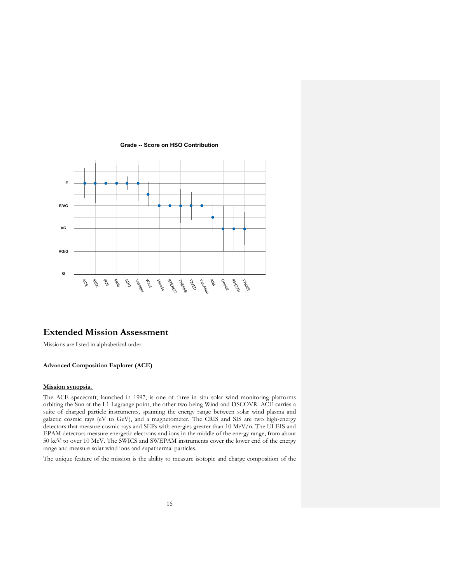

#### **Grade -- Score on HSO Contribution**

# **Extended Mission Assessment**

<br>音<br>、

SDO Voyager rt<br>B Hinode STEREO THEMIS TIME T Van Allen **R** Geotail RHE<sup>SSI</sup> Turning

Missions are listed in alphabetical order.

 $\mathbb{S}^2$ **BEX** 

**G**

# **Advanced Composition Explorer (ACE)**

# **Mission synopsis.**

The ACE spacecraft, launched in 1997, is one of three in situ solar wind monitoring platforms orbiting the Sun at the L1 Lagrange point, the other two being Wind and DSCOVR. ACE carries a suite of charged particle instruments, spanning the energy range between solar wind plasma and galactic cosmic rays (eV to GeV), and a magnetometer. The CRIS and SIS are two high-energy detectors that measure cosmic rays and SEPs with energies greater than 10 MeV/n. The ULEIS and EPAM detectors measure energetic electrons and ions in the middle of the energy range, from about 50 keV to over 10 MeV. The SWICS and SWEPAM instruments cover the lower end of the energy range and measure solar wind ions and supathermal particles.

The unique feature of the mission is the ability to measure isotopic and charge composition of the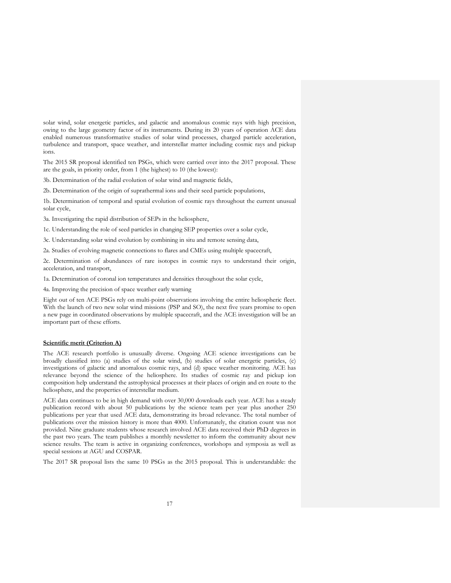solar wind, solar energetic particles, and galactic and anomalous cosmic rays with high precision, owing to the large geometry factor of its instruments. During its 20 years of operation ACE data enabled numerous transformative studies of solar wind processes, charged particle acceleration, turbulence and transport, space weather, and interstellar matter including cosmic rays and pickup ions.

The 2015 SR proposal identified ten PSGs, which were carried over into the 2017 proposal. These are the goals, in priority order, from 1 (the highest) to 10 (the lowest):

3b. Determination of the radial evolution of solar wind and magnetic fields,

2b. Determination of the origin of suprathermal ions and their seed particle populations,

1b. Determination of temporal and spatial evolution of cosmic rays throughout the current unusual solar cycle,

3a. Investigating the rapid distribution of SEPs in the heliosphere,

1c. Understanding the role of seed particles in changing SEP properties over a solar cycle,

3c. Understanding solar wind evolution by combining in situ and remote sensing data,

2a. Studies of evolving magnetic connections to flares and CMEs using multiple spacecraft,

2c. Determination of abundances of rare isotopes in cosmic rays to understand their origin, acceleration, and transport,

1a. Determination of coronal ion temperatures and densities throughout the solar cycle,

4a. Improving the precision of space weather early warning

Eight out of ten ACE PSGs rely on multi-point observations involving the entire heliospheric fleet. With the launch of two new solar wind missions (PSP and SO), the next five years promise to open a new page in coordinated observations by multiple spacecraft, and the ACE investigation will be an important part of these efforts.

#### **Scientific merit (Criterion A)**

The ACE research portfolio is unusually diverse. Ongoing ACE science investigations can be broadly classified into (a) studies of the solar wind, (b) studies of solar energetic particles, (c) investigations of galactic and anomalous cosmic rays, and (d) space weather monitoring. ACE has relevance beyond the science of the heliosphere. Its studies of cosmic ray and pickup ion composition help understand the astrophysical processes at their places of origin and en route to the heliosphere, and the properties of interstellar medium.

ACE data continues to be in high demand with over 30,000 downloads each year. ACE has a steady publication record with about 50 publications by the science team per year plus another 250 publications per year that used ACE data, demonstrating its broad relevance. The total number of publications over the mission history is more than 4000. Unfortunately, the citation count was not provided. Nine graduate students whose research involved ACE data received their PhD degrees in the past two years. The team publishes a monthly newsletter to inform the community about new science results. The team is active in organizing conferences, workshops and symposia as well as special sessions at AGU and COSPAR.

The 2017 SR proposal lists the same 10 PSGs as the 2015 proposal. This is understandable: the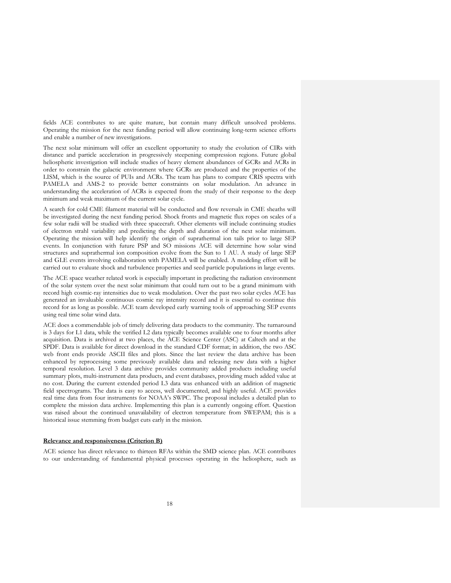fields ACE contributes to are quite mature, but contain many difficult unsolved problems. Operating the mission for the next funding period will allow continuing long-term science efforts and enable a number of new investigations.

The next solar minimum will offer an excellent opportunity to study the evolution of CIRs with distance and particle acceleration in progressively steepening compression regions. Future global heliospheric investigation will include studies of heavy element abundances of GCRs and ACRs in order to constrain the galactic environment where GCRs are produced and the properties of the LISM, which is the source of PUIs and ACRs. The team has plans to compare CRIS spectra with PAMELA and AMS-2 to provide better constraints on solar modulation. An advance in understanding the acceleration of ACRs is expected from the study of their response to the deep minimum and weak maximum of the current solar cycle.

A search for cold CME filament material will be conducted and flow reversals in CME sheaths will be investigated during the next funding period. Shock fronts and magnetic flux ropes on scales of a few solar radii will be studied with three spacecraft. Other elements will include continuing studies of electron strahl variability and predicting the depth and duration of the next solar minimum. Operating the mission will help identify the origin of suprathermal ion tails prior to large SEP events. In conjunction with future PSP and SO missions ACE will determine how solar wind structures and suprathermal ion composition evolve from the Sun to 1 AU. A study of large SEP and GLE events involving collaboration with PAMELA will be enabled. A modeling effort will be carried out to evaluate shock and turbulence properties and seed particle populations in large events.

The ACE space weather related work is especially important in predicting the radiation environment of the solar system over the next solar minimum that could turn out to be a grand minimum with record high cosmic-ray intensities due to weak modulation. Over the past two solar cycles ACE has generated an invaluable continuous cosmic ray intensity record and it is essential to continue this record for as long as possible. ACE team developed early warning tools of approaching SEP events using real time solar wind data.

ACE does a commendable job of timely delivering data products to the community. The turnaround is 3 days for L1 data, while the verified L2 data typically becomes available one to four months after acquisition. Data is archived at two places, the ACE Science Center (ASC) at Caltech and at the SPDF. Data is available for direct download in the standard CDF format; in addition, the two ASC web front ends provide ASCII files and plots. Since the last review the data archive has been enhanced by reprocessing some previously available data and releasing new data with a higher temporal resolution. Level 3 data archive provides community added products including useful summary plots, multi-instrument data products, and event databases, providing much added value at no cost. During the current extended period L3 data was enhanced with an addition of magnetic field spectrograms. The data is easy to access, well documented, and highly useful. ACE provides real time data from four instruments for NOAA's SWPC. The proposal includes a detailed plan to complete the mission data archive. Implementing this plan is a currently ongoing effort. Question was raised about the continued unavailability of electron temperature from SWEPAM; this is a historical issue stemming from budget cuts early in the mission.

# **Relevance and responsiveness (Criterion B)**

ACE science has direct relevance to thirteen RFAs within the SMD science plan. ACE contributes to our understanding of fundamental physical processes operating in the heliosphere, such as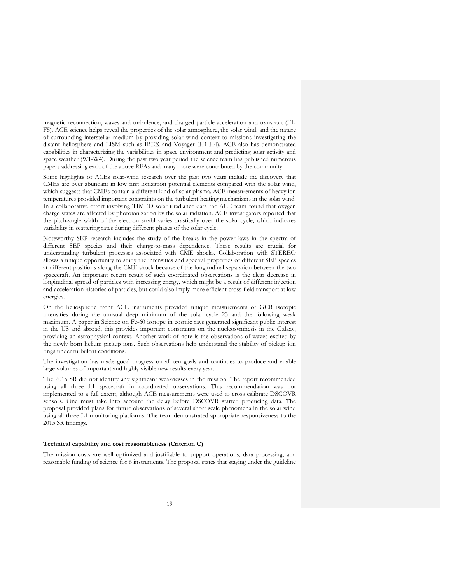magnetic reconnection, waves and turbulence, and charged particle acceleration and transport (F1- F5). ACE science helps reveal the properties of the solar atmosphere, the solar wind, and the nature of surrounding interstellar medium by providing solar wind context to missions investigating the distant heliosphere and LISM such as IBEX and Voyager (H1-H4). ACE also has demonstrated capabilities in characterizing the variabilities in space environment and predicting solar activity and space weather (W1-W4). During the past two year period the science team has published numerous papers addressing each of the above RFAs and many more were contributed by the community.

Some highlights of ACEs solar-wind research over the past two years include the discovery that CMEs are over abundant in low first ionization potential elements compared with the solar wind, which suggests that CMEs contain a different kind of solar plasma. ACE measurements of heavy ion temperatures provided important constraints on the turbulent heating mechanisms in the solar wind. In a collaborative effort involving TIMED solar irradiance data the ACE team found that oxygen charge states are affected by photoionization by the solar radiation. ACE investigators reported that the pitch-angle width of the electron strahl varies drastically over the solar cycle, which indicates variability in scattering rates during different phases of the solar cycle.

Noteworthy SEP research includes the study of the breaks in the power laws in the spectra of different SEP species and their charge-to-mass dependence. These results are crucial for understanding turbulent processes associated with CME shocks. Collaboration with STEREO allows a unique opportunity to study the intensities and spectral properties of different SEP species at different positions along the CME shock because of the longitudinal separation between the two spacecraft. An important recent result of such coordinated observations is the clear decrease in longitudinal spread of particles with increasing energy, which might be a result of different injection and acceleration histories of particles, but could also imply more efficient cross-field transport at low energies.

On the heliospheric front ACE instruments provided unique measurements of GCR isotopic intensities during the unusual deep minimum of the solar cycle 23 and the following weak maximum. A paper in Science on Fe-60 isotope in cosmic rays generated significant public interest in the US and abroad; this provides important constraints on the nucleosynthesis in the Galaxy, providing an astrophysical context. Another work of note is the observations of waves excited by the newly born helium pickup ions. Such observations help understand the stability of pickup ion rings under turbulent conditions.

The investigation has made good progress on all ten goals and continues to produce and enable large volumes of important and highly visible new results every year.

The 2015 SR did not identify any significant weaknesses in the mission. The report recommended using all three L1 spacecraft in coordinated observations. This recommendation was not implemented to a full extent, although ACE measurements were used to cross calibrate DSCOVR sensors. One must take into account the delay before DSCOVR started producing data. The proposal provided plans for future observations of several short scale phenomena in the solar wind using all three L1 monitoring platforms. The team demonstrated appropriate responsiveness to the 2015 SR findings.

## **Technical capability and cost reasonableness (Criterion C)**

The mission costs are well optimized and justifiable to support operations, data processing, and reasonable funding of science for 6 instruments. The proposal states that staying under the guideline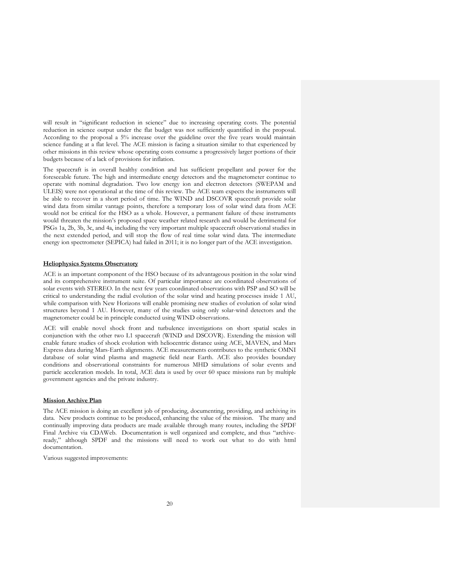will result in "significant reduction in science" due to increasing operating costs. The potential reduction in science output under the flat budget was not sufficiently quantified in the proposal. According to the proposal a 5% increase over the guideline over the five years would maintain science funding at a flat level. The ACE mission is facing a situation similar to that experienced by other missions in this review whose operating costs consume a progressively larger portions of their budgets because of a lack of provisions for inflation.

The spacecraft is in overall healthy condition and has sufficient propellant and power for the foreseeable future. The high and intermediate energy detectors and the magnetometer continue to operate with nominal degradation. Two low energy ion and electron detectors (SWEPAM and ULEIS) were not operational at the time of this review. The ACE team expects the instruments will be able to recover in a short period of time. The WIND and DSCOVR spacecraft provide solar wind data from similar vantage points, therefore a temporary loss of solar wind data from ACE would not be critical for the HSO as a whole. However, a permanent failure of these instruments would threaten the mission's proposed space weather related research and would be detrimental for PSGs 1a, 2b, 3b, 3c, and 4a, including the very important multiple spacecraft observational studies in the next extended period, and will stop the flow of real time solar wind data. The intermediate energy ion spectrometer (SEPICA) had failed in 2011; it is no longer part of the ACE investigation.

#### **Heliophysics Systems Observatory**

ACE is an important component of the HSO because of its advantageous position in the solar wind and its comprehensive instrument suite. Of particular importance are coordinated observations of solar events with STEREO. In the next few years coordinated observations with PSP and SO will be critical to understanding the radial evolution of the solar wind and heating processes inside 1 AU, while comparison with New Horizons will enable promising new studies of evolution of solar wind structures beyond 1 AU. However, many of the studies using only solar-wind detectors and the magnetometer could be in principle conducted using WIND observations.

ACE will enable novel shock front and turbulence investigations on short spatial scales in conjunction with the other two L1 spacecraft (WIND and DSCOVR). Extending the mission will enable future studies of shock evolution with heliocentric distance using ACE, MAVEN, and Mars Express data during Mars-Earth alignments. ACE measurements contributes to the synthetic OMNI database of solar wind plasma and magnetic field near Earth. ACE also provides boundary conditions and observational constraints for numerous MHD simulations of solar events and particle acceleration models. In total, ACE data is used by over 60 space missions run by multiple government agencies and the private industry.

## **Mission Archive Plan**

The ACE mission is doing an excellent job of producing, documenting, providing, and archiving its data. New products continue to be produced, enhancing the value of the mission. The many and continually improving data products are made available through many routes, including the SPDF Final Archive via CDAWeb. Documentation is well organized and complete, and thus "archiveready," although SPDF and the missions will need to work out what to do with html documentation.

Various suggested improvements: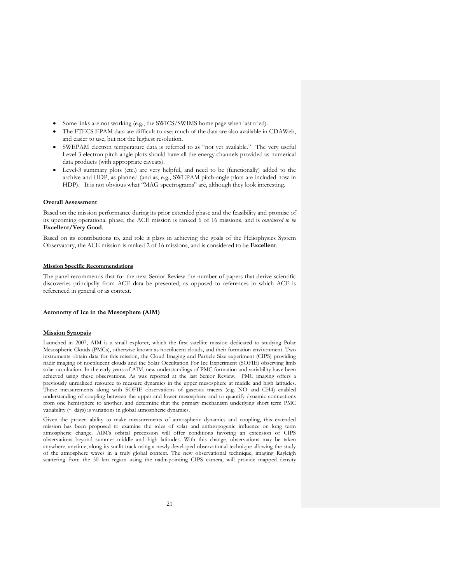- Some links are not working (e.g., the SWICS/SWIMS home page when last tried).
- The FTECS EPAM data are difficult to use; much of the data are also available in CDAWeb, and easier to use, but not the highest resolution.
- SWEPAM electron temperature data is referred to as "not yet available." The very useful Level 3 electron pitch angle plots should have all the energy channels provided as numerical data products (with appropriate caveats).
- Level-3 summary plots (etc.) are very helpful, and need to be (functionally) added to the archive and HDP, as planned (and as, e.g., SWEPAM pitch-angle plots are included now in HDP). It is not obvious what "MAG spectrograms" are, although they look interesting.

#### **Overall Assessment**

Based on the mission performance during its prior extended phase and the feasibility and promise of its upcoming operational phase, the ACE mission is ranked 6 of 16 missions, and is *considered to be*  **Excellent/Very Good***.*

Based on its contributions to, and role it plays in achieving the goals of the Heliophysics System Observatory, the ACE mission is ranked 2 of 16 missions, and is considered to be **Excellent**.

# **Mission Specific Recommendations**

The panel recommends that for the next Senior Review the number of papers that derive scientific discoveries principally from ACE data be presented, as opposed to references in which ACE is referenced in general or as context.

#### **Aeronomy of Ice in the Mesosphere (AIM)**

# **Mission Synopsis**

Launched in 2007, AIM is a small explorer, which the first satellite mission dedicated to studying Polar Mesospheric Clouds (PMCs), otherwise known as noctilucent clouds, and their formation environment. Two instruments obtain data for this mission, the Cloud Imaging and Particle Size experiment (CIPS) providing nadir imaging of noctilucent clouds and the Solar Occultation For Ice Experiment (SOFIE) observing limb solar occultation. In the early years of AIM, new understandings of PMC formation and variability have been achieved using these observations. As was reported at the last Senior Review, PMC imaging offers a previously unrealized resource to measure dynamics in the upper mesosphere at middle and high latitudes. These measurements along with SOFIE observations of gaseous tracers (e.g. NO and CH4) enabled understanding of coupling between the upper and lower mesosphere and to quantify dynamic connections from one hemisphere to another, and determine that the primary mechanism underlying short term PMC variability  $($   $\sim$  days $)$  is variations in global atmospheric dynamics.

Given the proven ability to make measurements of atmospheric dynamics and coupling, this extended mission has been proposed to examine the roles of solar and anthropogenic influence on long term atmospheric change. AIM's orbital precession will offer conditions favoring an extension of CIPS observations beyond summer middle and high latitudes. With this change, observations may be taken anywhere, anytime, along its sunlit track using a newly developed observational technique allowing the study of the atmosphere waves in a truly global context. The new observational technique, imaging Rayleigh scattering from the 50 km region using the nadir-pointing CIPS camera, will provide mapped density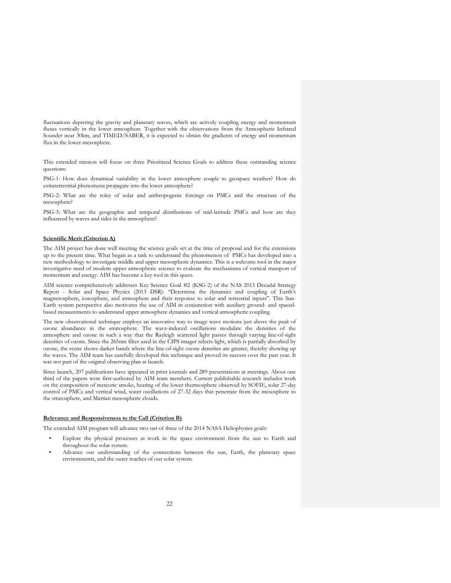fluctuations depicting the gravity and planetary waves, which are actively coupling energy and momentum fluxes vertically in the lower atmosphere. Together with the observations from the Atmospheric Infrared Sounder near 30km, and TIMED/SABER, it is expected to obtain the gradients of energy and momentum flux in the lower mesosphere.

This extended mission will focus on three Prioritized Science Goals to address these outstanding science questions:

PSG-1: How does dynamical variability in the lower atmosphere couple to geospace weather? How do extraterrestrial phenomena propagate into the lower atmosphere?

PSG-2: What are the roles of solar and anthropogenic forcings on PMCs and the structure of the mesosphere?

PSG-3: What are the geographic and temporal distributions of mid-latitude PMCs and how are they influenced by waves and tides in the atmosphere?

#### **Scientific Merit (Criterion A)**

The AIM project has done well meeting the science goals set at the time of proposal and for the extensions up to the present time. What began as a task to understand the phenomenon of PMCs has developed into a new methodology to investigate middle and upper mesospheric dynamics. This is a welcome tool in the major investigative need of modern upper atmospheric science to evaluate the mechanisms of vertical transport of momentum and energy. AIM has become a key tool in this quest.

AIM science comprehensively addresses Key Science Goal #2 (KSG-2) of the NAS 2013 Decadal Strategy Report - Solar and Space Physics (2013 DSR): "Determine the dynamics and coupling of Earth's magnetosphere, ionosphere, and atmosphere and their response to solar and terrestrial inputs". This Sun-Earth system perspective also motivates the use of AIM in conjunction with auxiliary ground- and spacedbased measurements to understand upper atmosphere dynamics and vertical atmospheric coupling.

The new observational technique employs an innovative way to image wave motions just above the peak of ozone abundance in the stratosphere. The wave-induced oscillations modulate the densities of the atmosphere and ozone in such a way that the Rayleigh scattered light passes through varying line-of-sight densities of ozone. Since the 265nm filter used in the CIPS imager selects light, which is partially absorbed by ozone, the scene shows darker bands where the line-of-sight ozone densities are greater, thereby showing up the waves. The AIM team has carefully developed this technique and proved its success over the past year. It was not part of the original observing plan at launch.

Since launch, 207 publications have appeared in print journals and 289 presentations at meetings. About one third of the papers were first-authored by AIM team members. Current publishable research includes work on the composition of meteoric smoke, heating of the lower thermosphere observed by SOFIE, solar 27-day control of PMCs and vertical wind, water oscillations of 27-32 days that penetrate from the mesosphere to the stratosphere, and Martian mesospheric clouds.

#### **Relevance and Responsiveness to the Call (Criterion B)**

The extended AIM program will advance two out of three of the 2014 NASA Heliophysics goals:

- Explore the physical processes at work in the space environment from the sun to Earth and throughout the solar system.
- Advance our understanding of the connections between the sun, Earth, the planetary space environments, and the outer reaches of our solar system.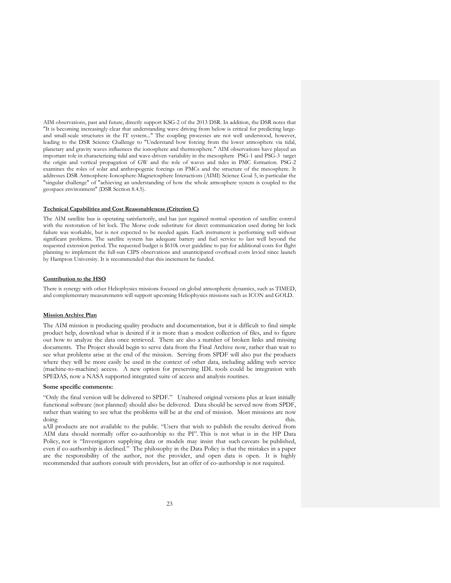AIM observations, past and future, directly support KSG-2 of the 2013 DSR. In addition, the DSR notes that "It is becoming increasingly clear that understanding wave driving from below is critical for predicting largeand small-scale structures in the IT system..." The coupling processes are not well understood, however, leading to the DSR Science Challenge to "Understand how forcing from the lower atmosphere via tidal, planetary and gravity waves influences the ionosphere and thermosphere." AIM observations have played an important role in characterizing tidal and wave-driven variability in the mesosphere PSG-1 and PSG-3 target the origin and vertical propagation of GW and the role of waves and tides in PMC formation. PSG-2 examines the roles of solar and anthropogenic forcings on PMCs and the structure of the mesosphere. It addresses DSR Atmosphere-Ionosphere-Magnetosphere Interactions (AIMI) Science Goal 5, in particular the "singular challenge" of "achieving an understanding of how the whole atmosphere system is coupled to the geospace environment" (DSR Section 8.4.5).

#### **Technical Capabilities and Cost Reasonableness (Criterion C)**

The AIM satellite bus is operating satisfactorily, and has just regained normal operation of satellite control with the restoration of bit lock. The Morse code substitute for direct communication used during bit lock failure was workable, but is not expected to be needed again. Each instrument is performing well without significant problems. The satellite system has adequate battery and fuel service to last well beyond the requested extension period. The requested budget is \$610k over guideline to pay for additional costs for flight planning to implement the full-sun CIPS observations and unanticipated overhead costs levied since launch by Hampton University. It is recommended that this increment be funded.

#### **Contribution to the HSO**

There is synergy with other Heliophysics missions focused on global atmospheric dynamics, such as TIMED, and complementary measurements will support upcoming Heliophysics missions such as ICON and GOLD.

# **Mission Archive Plan**

The AIM mission is producing quality products and documentation, but it is difficult to find simple product help, download what is desired if it is more than a modest collection of files, and to figure out how to analyze the data once retrieved. There are also a number of broken links and missing documents. The Project should begin to serve data from the Final Archive now, rather than wait to see what problems arise at the end of the mission. Serving from SPDF will also put the products where they will be more easily be used in the context of other data, including adding web service (machine-to-machine) access. A new option for preserving IDL tools could be integration with SPEDAS, now a NASA supported integrated suite of access and analysis routines.

# **Some specific comments:**

"Only the final version will be delivered to SPDF." Unaltered original versions plus at least initially functional software (not planned) should also be delivered. Data should be served now from SPDF, rather than waiting to see what the problems will be at the end of mission. Most missions are now doing this.

aAll products are not available to the public. "Users that wish to publish the results derived from AIM data should normally offer co-authorship to the PI". This is not what is in the HP Data Policy, nor is "Investigators supplying data or models may insist that such caveats be published, even if co-authorship is declined." The philosophy in the Data Policy is that the mistakes in a paper are the responsibility of the author, not the provider, and open data is open. It is highly recommended that authors consult with providers, but an offer of co-authorship is not required.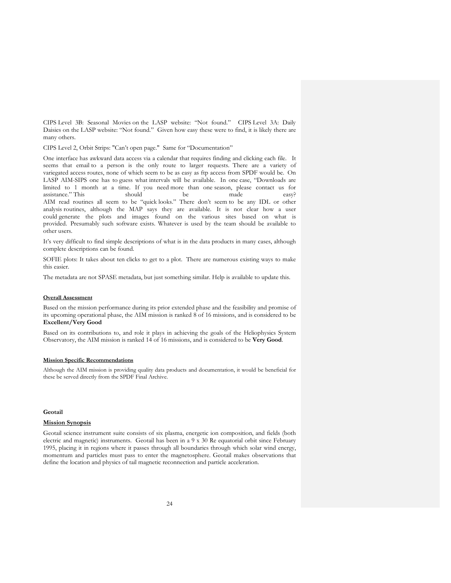CIPS Level 3B: Seasonal Movies on the LASP website: "Not found." CIPS Level 3A: Daily Daisies on the LASP website: "Not found." Given how easy these were to find, it is likely there are many others.

CIPS Level 2, Orbit Strips: "Can't open page." Same for "Documentation"

One interface has awkward data access via a calendar that requires finding and clicking each file. It seems that email to a person is the only route to larger requests. There are a variety of variegated access routes, none of which seem to be as easy as ftp access from SPDF would be. On LASP AIM-SIPS one has to guess what intervals will be available. In one case, "Downloads are limited to 1 month at a time. If you need more than one season, please contact us for assistance." This should be made easy? AIM read routines all seem to be "quick looks." There don't seem to be any IDL or other analysis routines, although the MAP says they are available. It is not clear how a user could generate the plots and images found on the various sites based on what is provided. Presumably such software exists. Whatever is used by the team should be available to other users.

It's very difficult to find simple descriptions of what is in the data products in many cases, although complete descriptions can be found.

SOFIE plots: It takes about ten clicks to get to a plot. There are numerous existing ways to make this easier.

The metadata are not SPASE metadata, but just something similar. Help is available to update this.

#### **Overall Assessment**

Based on the mission performance during its prior extended phase and the feasibility and promise of its upcoming operational phase, the AIM mission is ranked 8 of 16 missions, and is considered to be **Excellent/Very Good**

Based on its contributions to, and role it plays in achieving the goals of the Heliophysics System Observatory, the AIM mission is ranked 14 of 16 missions, and is considered to be **Very Good**.

#### **Mission Specific Recommendations**

Although the AIM mission is providing quality data products and documentation, it would be beneficial for these be served directly from the SPDF Final Archive.

# **Geotail**

#### **Mission Synopsis**

Geotail science instrument suite consists of six plasma, energetic ion composition, and fields (both electric and magnetic) instruments. Geotail has been in a 9 x 30 Re equatorial orbit since February 1995, placing it in regions where it passes through all boundaries through which solar wind energy, momentum and particles must pass to enter the magnetosphere. Geotail makes observations that define the location and physics of tail magnetic reconnection and particle acceleration.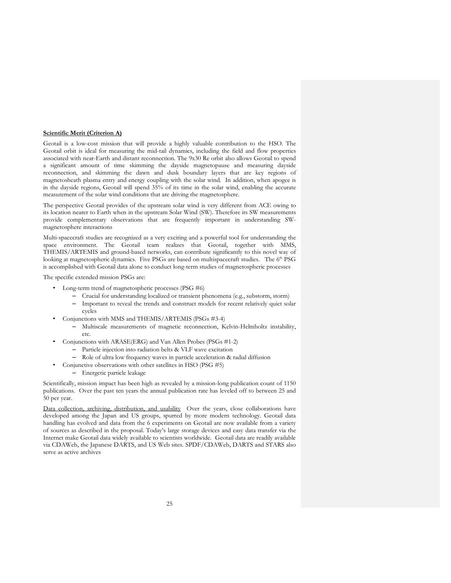## **Scientific Merit (Criterion A)**

Geotail is a low-cost mission that will provide a highly valuable contribution to the HSO. The Geotail orbit is ideal for measuring the mid-tail dynamics, including the field and flow properties associated with near-Earth and distant reconnection. The 9x30 Re orbit also allows Geotail to spend a significant amount of time skimming the dayside magnetopause and measuring dayside reconnection, and skimming the dawn and dusk boundary layers that are key regions of magnetosheath plasma entry and energy coupling with the solar wind. In addition, when apogee is in the dayside regions, Geotail will spend 35% of its time in the solar wind, enabling the accurate measurement of the solar wind conditions that are driving the magnetosphere.

The perspective Geotail provides of the upstream solar wind is very different from ACE owing to its location nearer to Earth when in the upstream Solar Wind (SW). Therefore its SW measurements provide complementary observations that are frequently important in understanding SWmagnetosphere interactions

Multi-spacecraft studies are recognized as a very exciting and a powerful tool for understanding the space environment. The Geotail team realizes that Geotail, together with MMS, THEMIS/ARTEMIS and ground-based networks, can contribute significantly to this novel way of looking at magnetospheric dynamics. Five PSGs are based on multispacecraft studies. The 6<sup>th</sup> PSG is accomplished with Geotail data alone to conduct long-term studies of magnetospheric processes

The specific extended mission PSGs are:

- Long-term trend of magnetospheric processes (PSG #6)
	- Crucial for understanding localized or transient phenomena (e.g., substorm, storm)
	- Important to reveal the trends and construct models for recent relatively quiet solar cycles
- Conjunctions with MMS and THEMIS/ARTEMIS (PSGs #3-4)
	- Multiscale measurements of magnetic reconnection, Kelvin-Helmholtz instability, etc.
- Conjunctions with ARASE(ERG) and Van Allen Probes (PSGs #1-2)
	- Particle injection into radiation belts & VLF wave excitation
	- Role of ultra low frequency waves in particle acceleration & radial diffusion
	- Conjunctive observations with other satellites in HSO (PSG #5)
		- Energetic particle leakage

Scientifically, mission impact has been high as revealed by a mission-long publication count of 1150 publications. Over the past ten years the annual publication rate has leveled off to between 25 and 50 per year.

Data collection, archiving, distribution, and usability Over the years, close collaborations have developed among the Japan and US groups, spurred by more modern technology. Geotail data handling has evolved and data from the 6 experiments on Geotail are now available from a variety of sources as described in the proposal. Today's large storage devices and easy data transfer via the Internet make Geotail data widely available to scientists worldwide. Geotail data are readily available via CDAWeb, the Japanese DARTS, and US Web sites. SPDF/CDAWeb, DARTS and STARS also serve as active archives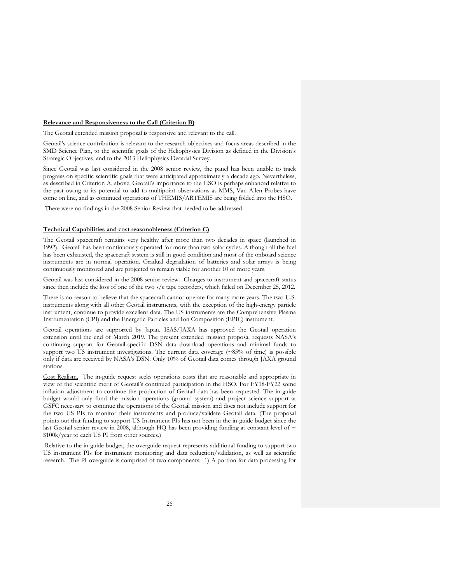#### **Relevance and Responsiveness to the Call (Criterion B)**

The Geotail extended mission proposal is responsive and relevant to the call.

Geotail's science contribution is relevant to the research objectives and focus areas described in the SMD Science Plan, to the scientific goals of the Heliophysics Division as defined in the Division's Strategic Objectives, and to the 2013 Heliophysics Decadal Survey.

Since Geotail was last considered in the 2008 senior review, the panel has been unable to track progress on specific scientific goals that were anticipated approximately a decade ago. Nevertheless, as described in Criterion A, above, Geotail's importance to the HSO is perhaps enhanced relative to the past owing to its potential to add to multipoint observations as MMS, Van Allen Probes have come on line, and as continued operations of THEMIS/ARTEMIS are being folded into the HSO.

There were no findings in the 2008 Senior Review that needed to be addressed.

# **Technical Capabilities and cost reasonableness (Criterion C)**

The Geotail spacecraft remains very healthy after more than two decades in space (launched in 1992). Geotail has been continuously operated for more than two solar cycles. Although all the fuel has been exhausted, the spacecraft system is still in good condition and most of the onboard science instruments are in normal operation. Gradual degradation of batteries and solar arrays is being continuously monitored and are projected to remain viable for another 10 or more years.

Geotail was last considered in the 2008 senior review. Changes to instrument and spacecraft status since then include the loss of one of the two s/c tape recorders, which failed on December 25, 2012.

There is no reason to believe that the spacecraft cannot operate for many more years. The two U.S. instruments along with all other Geotail instruments, with the exception of the high-energy particle instrument, continue to provide excellent data. The US instruments are the Comprehensive Plasma Instrumentation (CPI) and the Energetic Particles and Ion Composition (EPIC) instrument.

Geotail operations are supported by Japan. ISAS/JAXA has approved the Geotail operation extension until the end of March 2019. The present extended mission proposal requests NASA's continuing support for Geotail-specific DSN data download operations and minimal funds to support two US instrument investigations. The current data coverage (~85% of time) is possible only if data are received by NASA's DSN. Only 10% of Geotail data comes through JAXA ground stations.

Cost Realism. The in-guide request seeks operations costs that are reasonable and appropriate in view of the scientific merit of Geotail's continued participation in the HSO. For FY18-FY22 some inflation adjustment to continue the production of Geotail data has been requested. The in-guide budget would only fund the mission operations (ground system) and project science support at GSFC necessary to continue the operations of the Geotail mission and does not include support for the two US PIs to monitor their instruments and produce/validate Geotail data. (The proposal points out that funding to support US Instrument PIs has not been in the in-guide budget since the last Geotail senior review in 2008, although HQ has been providing funding at constant level of  $\sim$ \$100k/year to each US PI from other sources.)

Relative to the in-guide budget, the overguide request represents additional funding to support two US instrument PIs for instrument monitoring and data reduction/validation, as well as scientific research. The PI overguide is comprised of two components: 1) A portion for data processing for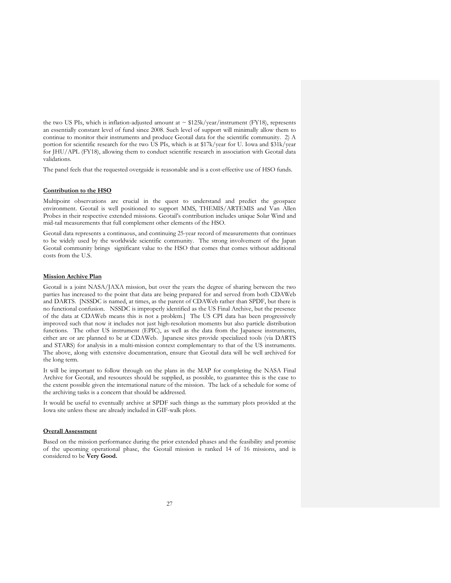the two US PIs, which is inflation-adjusted amount at  $\sim$  \$125k/year/instrument (FY18), represents an essentially constant level of fund since 2008. Such level of support will minimally allow them to continue to monitor their instruments and produce Geotail data for the scientific community. 2) A portion for scientific research for the two US PIs, which is at \$17k/year for U. Iowa and \$31k/year for JHU/APL (FY18), allowing them to conduct scientific research in association with Geotail data validations.

The panel feels that the requested overguide is reasonable and is a cost-effective use of HSO funds.

## **Contribution to the HSO**

Multipoint observations are crucial in the quest to understand and predict the geospace environment. Geotail is well positioned to support MMS, THEMIS/ARTEMIS and Van Allen Probes in their respective extended missions. Geotail's contribution includes unique Solar Wind and mid-tail measurements that full complement other elements of the HSO.

Geotail data represents a continuous, and continuing 25-year record of measurements that continues to be widely used by the worldwide scientific community. The strong involvement of the Japan Geotail community brings significant value to the HSO that comes that comes without additional costs from the U.S.

#### **Mission Archive Plan**

Geotail is a joint NASA/JAXA mission, but over the years the degree of sharing between the two parties has increased to the point that data are being prepared for and served from both CDAWeb and DARTS. [NSSDC is named, at times, as the parent of CDAWeb rather than SPDF, but there is no functional confusion. NSSDC is improperly identified as the US Final Archive, but the presence of the data at CDAWeb means this is not a problem.] The US CPI data has been progressively improved such that now it includes not just high-resolution moments but also particle distribution functions. The other US instrument (EPIC), as well as the data from the Japanese instruments, either are or are planned to be at CDAWeb. Japanese sites provide specialized tools (via DARTS and STARS) for analysis in a multi-mission context complementary to that of the US instruments. The above, along with extensive documentation, ensure that Geotail data will be well archived for the long term.

It will be important to follow through on the plans in the MAP for completing the NASA Final Archive for Geotail, and resources should be supplied, as possible, to guarantee this is the case to the extent possible given the international nature of the mission. The lack of a schedule for some of the archiving tasks is a concern that should be addressed.

It would be useful to eventually archive at SPDF such things as the summary plots provided at the Iowa site unless these are already included in GIF-walk plots.

#### **Overall Assessment**

Based on the mission performance during the prior extended phases and the feasibility and promise of the upcoming operational phase, the Geotail mission is ranked 14 of 16 missions, and is considered to be **Very Good.**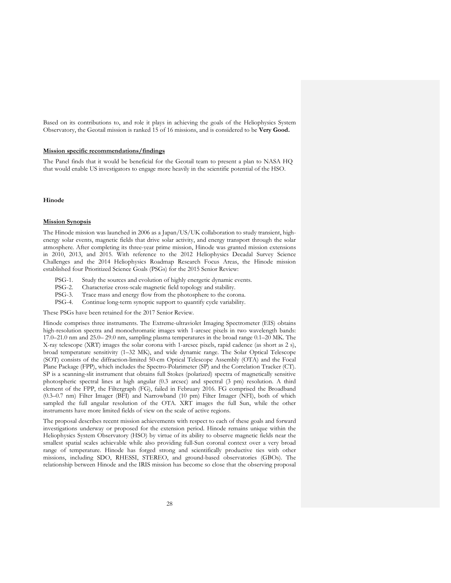Based on its contributions to, and role it plays in achieving the goals of the Heliophysics System Observatory, the Geotail mission is ranked 15 of 16 missions, and is considered to be **Very Good.**

#### **Mission specific recommendations/findings**

The Panel finds that it would be beneficial for the Geotail team to present a plan to NASA HQ that would enable US investigators to engage more heavily in the scientific potential of the HSO.

#### **Hinode**

## **Mission Synopsis**

The Hinode mission was launched in 2006 as a Japan/US/UK collaboration to study transient, highenergy solar events, magnetic fields that drive solar activity, and energy transport through the solar atmosphere. After completing its three-year prime mission, Hinode was granted mission extensions in 2010, 2013, and 2015. With reference to the 2012 Heliophysics Decadal Survey Science Challenges and the 2014 Heliophysics Roadmap Research Focus Areas, the Hinode mission established four Prioritized Science Goals (PSGs) for the 2015 Senior Review:

- PSG-1. Study the sources and evolution of highly energetic dynamic events.
- PSG-2. Characterize cross-scale magnetic field topology and stability.
- PSG-3. Trace mass and energy flow from the photosphere to the corona.
- PSG-4. Continue long-term synoptic support to quantify cycle variability.

These PSGs have been retained for the 2017 Senior Review.

Hinode comprises three instruments. The Extreme-ultraviolet Imaging Spectrometer (EIS) obtains high-resolution spectra and monochromatic images with 1-arcsec pixels in two wavelength bands: 17.0–21.0 nm and 25.0– 29.0 nm, sampling plasma temperatures in the broad range 0.1–20 MK. The X-ray telescope (XRT) images the solar corona with 1-arcsec pixels, rapid cadence (as short as 2 s), broad temperature sensitivity (1–32 MK), and wide dynamic range. The Solar Optical Telescope (SOT) consists of the diffraction-limited 50-cm Optical Telescope Assembly (OTA) and the Focal Plane Package (FPP), which includes the Spectro-Polarimeter (SP) and the Correlation Tracker (CT). SP is a scanning-slit instrument that obtains full Stokes (polarized) spectra of magnetically sensitive photospheric spectral lines at high angular (0.3 arcsec) and spectral (3 pm) resolution. A third element of the FPP, the Filtergraph (FG), failed in February 2016. FG comprised the Broadband (0.3–0.7 nm) Filter Imager (BFI) and Narrowband (10 pm) Filter Imager (NFI), both of which sampled the full angular resolution of the OTA. XRT images the full Sun, while the other instruments have more limited fields of view on the scale of active regions.

The proposal describes recent mission achievements with respect to each of these goals and forward investigations underway or proposed for the extension period. Hinode remains unique within the Heliophysics System Observatory (HSO) by virtue of its ability to observe magnetic fields near the smallest spatial scales achievable while also providing full-Sun coronal context over a very broad range of temperature. Hinode has forged strong and scientifically productive ties with other missions, including SDO, RHESSI, STEREO, and ground-based observatories (GBOs). The relationship between Hinode and the IRIS mission has become so close that the observing proposal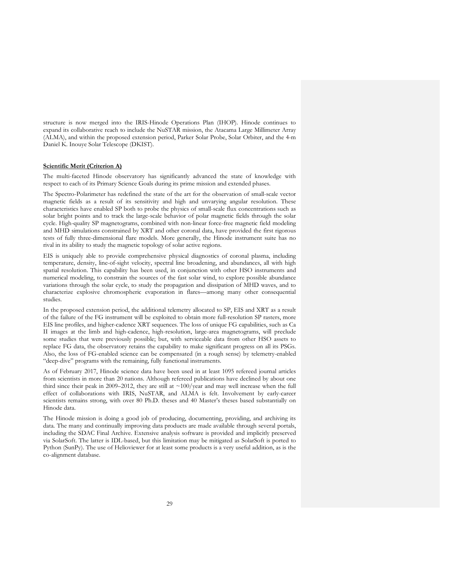structure is now merged into the IRIS-Hinode Operations Plan (IHOP). Hinode continues to expand its collaborative reach to include the NuSTAR mission, the Atacama Large Millimeter Array (ALMA), and within the proposed extension period, Parker Solar Probe, Solar Orbiter, and the 4-m Daniel K. Inouye Solar Telescope (DKIST).

# **Scientific Merit (Criterion A)**

The multi-faceted Hinode observatory has significantly advanced the state of knowledge with respect to each of its Primary Science Goals during its prime mission and extended phases.

The Spectro-Polarimeter has redefined the state of the art for the observation of small-scale vector magnetic fields as a result of its sensitivity and high and unvarying angular resolution. These characteristics have enabled SP both to probe the physics of small-scale flux concentrations such as solar bright points and to track the large-scale behavior of polar magnetic fields through the solar cycle. High-quality SP magnetograms, combined with non-linear force-free magnetic field modeling and MHD simulations constrained by XRT and other coronal data, have provided the first rigorous tests of fully three-dimensional flare models. More generally, the Hinode instrument suite has no rival in its ability to study the magnetic topology of solar active regions.

EIS is uniquely able to provide comprehensive physical diagnostics of coronal plasma, including temperature, density, line-of-sight velocity, spectral line broadening, and abundances, all with high spatial resolution. This capability has been used, in conjunction with other HSO instruments and numerical modeling, to constrain the sources of the fast solar wind, to explore possible abundance variations through the solar cycle, to study the propagation and dissipation of MHD waves, and to characterize explosive chromospheric evaporation in flares—among many other consequential studies.

In the proposed extension period, the additional telemetry allocated to SP, EIS and XRT as a result of the failure of the FG instrument will be exploited to obtain more full-resolution SP rasters, more EIS line profiles, and higher-cadence XRT sequences. The loss of unique FG capabilities, such as Ca II images at the limb and high-cadence, high-resolution, large-area magnetograms, will preclude some studies that were previously possible; but, with serviceable data from other HSO assets to replace FG data, the observatory retains the capability to make significant progress on all its PSGs. Also, the loss of FG-enabled science can be compensated (in a rough sense) by telemetry-enabled "deep-dive" programs with the remaining, fully functional instruments.

As of February 2017, Hinode science data have been used in at least 1095 refereed journal articles from scientists in more than 20 nations. Although refereed publications have declined by about one third since their peak in 2009–2012, they are still at  $\sim$ 100/year and may well increase when the full effect of collaborations with IRIS, NuSTAR, and ALMA is felt. Involvement by early-career scientists remains strong, with over 80 Ph.D. theses and 40 Master's theses based substantially on Hinode data.

The Hinode mission is doing a good job of producing, documenting, providing, and archiving its data. The many and continually improving data products are made available through several portals, including the SDAC Final Archive. Extensive analysis software is provided and implicitly preserved via SolarSoft. The latter is IDL-based, but this limitation may be mitigated as SolarSoft is ported to Python (SunPy). The use of Helioviewer for at least some products is a very useful addition, as is the co-alignment database.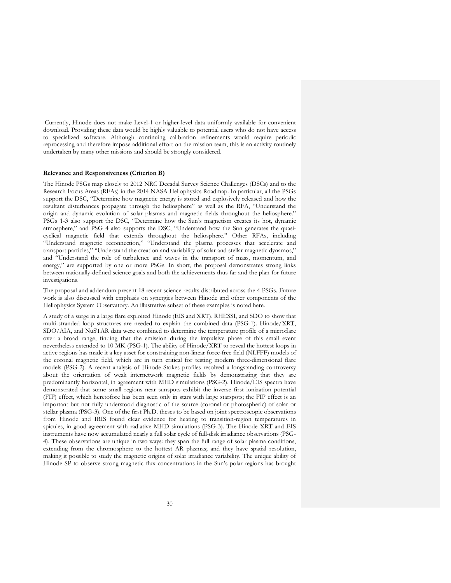Currently, Hinode does not make Level-1 or higher-level data uniformly available for convenient download. Providing these data would be highly valuable to potential users who do not have access to specialized software. Although continuing calibration refinements would require periodic reprocessing and therefore impose additional effort on the mission team, this is an activity routinely undertaken by many other missions and should be strongly considered.

# **Relevance and Responsiveness (Criterion B)**

The Hinode PSGs map closely to 2012 NRC Decadal Survey Science Challenges (DSCs) and to the Research Focus Areas (RFAs) in the 2014 NASA Heliophysics Roadmap. In particular, all the PSGs support the DSC, "Determine how magnetic energy is stored and explosively released and how the resultant disturbances propagate through the heliosphere" as well as the RFA, "Understand the origin and dynamic evolution of solar plasmas and magnetic fields throughout the heliosphere." PSGs 1-3 also support the DSC, "Determine how the Sun's magnetism creates its hot, dynamic atmosphere," and PSG 4 also supports the DSC, "Understand how the Sun generates the quasicyclical magnetic field that extends throughout the heliosphere." Other RFAs, including "Understand magnetic reconnection," "Understand the plasma processes that accelerate and transport particles," "Understand the creation and variability of solar and stellar magnetic dynamos," and "Understand the role of turbulence and waves in the transport of mass, momentum, and energy," are supported by one or more PSGs. In short, the proposal demonstrates strong links between nationally-defined science goals and both the achievements thus far and the plan for future investigations.

The proposal and addendum present 18 recent science results distributed across the 4 PSGs. Future work is also discussed with emphasis on synergies between Hinode and other components of the Heliophysics System Observatory. An illustrative subset of these examples is noted here.

A study of a surge in a large flare exploited Hinode (EIS and XRT), RHESSI, and SDO to show that multi-stranded loop structures are needed to explain the combined data (PSG-1). Hinode/XRT, SDO/AIA, and NuSTAR data were combined to determine the temperature profile of a microflare over a broad range, finding that the emission during the impulsive phase of this small event nevertheless extended to 10 MK (PSG-1). The ability of Hinode/XRT to reveal the hottest loops in active regions has made it a key asset for constraining non-linear force-free field (NLFFF) models of the coronal magnetic field, which are in turn critical for testing modern three-dimensional flare models (PSG-2). A recent analysis of Hinode Stokes profiles resolved a longstanding controversy about the orientation of weak internetwork magnetic fields by demonstrating that they are predominantly horizontal, in agreement with MHD simulations (PSG-2). Hinode/EIS spectra have demonstrated that some small regions near sunspots exhibit the inverse first ionization potential (FIP) effect, which heretofore has been seen only in stars with large starspots; the FIP effect is an important but not fully understood diagnostic of the source (coronal or photospheric) of solar or stellar plasma (PSG-3). One of the first Ph.D. theses to be based on joint spectroscopic observations from Hinode and IRIS found clear evidence for heating to transition-region temperatures in spicules, in good agreement with radiative MHD simulations (PSG-3). The Hinode XRT and EIS instruments have now accumulated nearly a full solar cycle of full-disk irradiance observations (PSG-4). These observations are unique in two ways: they span the full range of solar plasma conditions, extending from the chromosphere to the hottest AR plasmas; and they have spatial resolution, making it possible to study the magnetic origins of solar irradiance variability. The unique ability of Hinode SP to observe strong magnetic flux concentrations in the Sun's polar regions has brought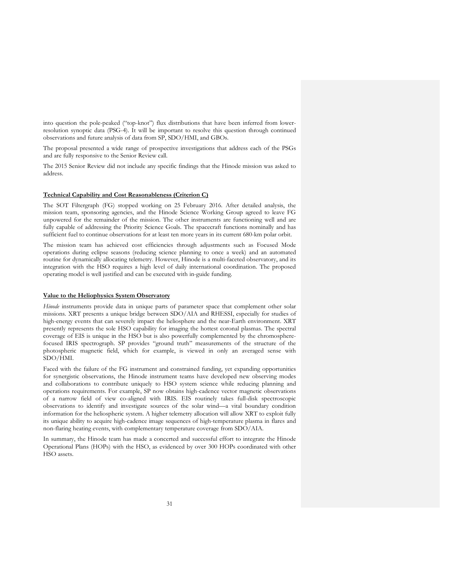into question the pole-peaked ("top-knot") flux distributions that have been inferred from lowerresolution synoptic data (PSG-4). It will be important to resolve this question through continued observations and future analysis of data from SP, SDO/HMI, and GBOs.

The proposal presented a wide range of prospective investigations that address each of the PSGs and are fully responsive to the Senior Review call.

The 2015 Senior Review did not include any specific findings that the Hinode mission was asked to address.

## **Technical Capability and Cost Reasonableness (Criterion C)**

The SOT Filtergraph (FG) stopped working on 25 February 2016. After detailed analysis, the mission team, sponsoring agencies, and the Hinode Science Working Group agreed to leave FG unpowered for the remainder of the mission. The other instruments are functioning well and are fully capable of addressing the Priority Science Goals. The spacecraft functions nominally and has sufficient fuel to continue observations for at least ten more years in its current 680-km polar orbit.

The mission team has achieved cost efficiencies through adjustments such as Focused Mode operations during eclipse seasons (reducing science planning to once a week) and an automated routine for dynamically allocating telemetry. However, Hinode is a multi-faceted observatory, and its integration with the HSO requires a high level of daily international coordination. The proposed operating model is well justified and can be executed with in-guide funding.

#### **Value to the Heliophysics System Observatory**

*Hinode* instruments provide data in unique parts of parameter space that complement other solar missions. XRT presents a unique bridge between SDO/AIA and RHESSI, especially for studies of high-energy events that can severely impact the heliosphere and the near-Earth environment. XRT presently represents the sole HSO capability for imaging the hottest coronal plasmas. The spectral coverage of EIS is unique in the HSO but is also powerfully complemented by the chromospherefocused IRIS spectrograph. SP provides "ground truth" measurements of the structure of the photospheric magnetic field, which for example, is viewed in only an averaged sense with SDO/HMI.

Faced with the failure of the FG instrument and constrained funding, yet expanding opportunities for synergistic observations, the Hinode instrument teams have developed new observing modes and collaborations to contribute uniquely to HSO system science while reducing planning and operations requirements. For example, SP now obtains high-cadence vector magnetic observations of a narrow field of view co-aligned with IRIS. EIS routinely takes full-disk spectroscopic observations to identify and investigate sources of the solar wind—a vital boundary condition information for the heliospheric system. A higher telemetry allocation will allow XRT to exploit fully its unique ability to acquire high-cadence image sequences of high-temperature plasma in flares and non-flaring heating events, with complementary temperature coverage from SDO/AIA.

In summary, the Hinode team has made a concerted and successful effort to integrate the Hinode Operational Plans (HOPs) with the HSO, as evidenced by over 300 HOPs coordinated with other HSO assets.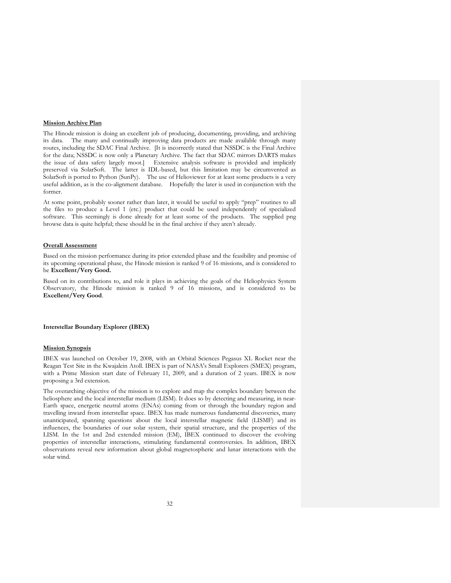## **Mission Archive Plan**

The Hinode mission is doing an excellent job of producing, documenting, providing, and archiving its data. The many and continually improving data products are made available through many routes, including the SDAC Final Archive. [It is incorrectly stated that NSSDC is the Final Archive for the data; NSSDC is now only a Planetary Archive. The fact that SDAC mirrors DARTS makes the issue of data safety largely moot.] Extensive analysis software is provided and implicitly preserved via SolarSoft. The latter is IDL-based, but this limitation may be circumvented as SolarSoft is ported to Python (SunPy). The use of Helioviewer for at least some products is a very useful addition, as is the co-alignment database. Hopefully the later is used in conjunction with the former.

At some point, probably sooner rather than later, it would be useful to apply "prep" routines to all the files to produce a Level 1 (etc.) product that could be used independently of specialized software. This seemingly is done already for at least some of the products. The supplied png browse data is quite helpful; these should be in the final archive if they aren't already.

# **Overall Assessment**

Based on the mission performance during its prior extended phase and the feasibility and promise of its upcoming operational phase, the Hinode mission is ranked 9 of 16 missions, and is considered to be **Excellent/Very Good.**

Based on its contributions to, and role it plays in achieving the goals of the Heliophysics System Observatory, the Hinode mission is ranked 9 of 16 missions, and is considered to be **Excellent/Very Good**.

# **Interstellar Boundary Explorer (IBEX)**

# **Mission Synopsis**

IBEX was launched on October 19, 2008, with an Orbital Sciences Pegasus XL Rocket near the Reagan Test Site in the Kwajalein Atoll. IBEX is part of NASA's Small Explorers (SMEX) program, with a Prime Mission start date of February 11, 2009, and a duration of 2 years. IBEX is now proposing a 3rd extension.

The overarching objective of the mission is to explore and map the complex boundary between the heliosphere and the local interstellar medium (LISM). It does so by detecting and measuring, in near-Earth space, energetic neutral atoms (ENAs) coming from or through the boundary region and travelling inward from interstellar space. IBEX has made numerous fundamental discoveries, many unanticipated, spanning questions about the local interstellar magnetic field (LISMF) and its influences, the boundaries of our solar system, their spatial structure, and the properties of the LISM. In the 1st and 2nd extended mission (EM), IBEX continued to discover the evolving properties of interstellar interactions, stimulating fundamental controversies. In addition, IBEX observations reveal new information about global magnetospheric and lunar interactions with the solar wind.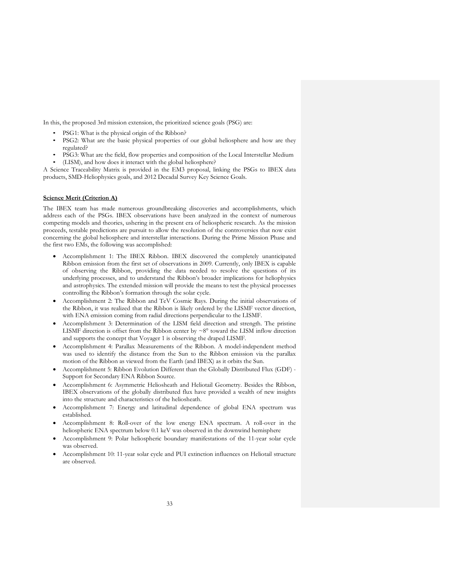In this, the proposed 3rd mission extension, the prioritized science goals (PSG) are:

- PSG1: What is the physical origin of the Ribbon?
- PSG2: What are the basic physical properties of our global heliosphere and how are they regulated?
- PSG3: What are the field, flow properties and composition of the Local Interstellar Medium (LISM), and how does it interact with the global heliosphere?

A Science Traceability Matrix is provided in the EM3 proposal, linking the PSGs to IBEX data products, SMD-Heliophysics goals, and 2012 Decadal Survey Key Science Goals.

# **Science Merit (Criterion A)**

The IBEX team has made numerous groundbreaking discoveries and accomplishments, which address each of the PSGs. IBEX observations have been analyzed in the context of numerous competing models and theories, ushering in the present era of heliospheric research. As the mission proceeds, testable predictions are pursuit to allow the resolution of the controversies that now exist concerning the global heliosphere and interstellar interactions. During the Prime Mission Phase and the first two EMs, the following was accomplished:

- Accomplishment 1: The IBEX Ribbon. IBEX discovered the completely unanticipated Ribbon emission from the first set of observations in 2009. Currently, only IBEX is capable of observing the Ribbon, providing the data needed to resolve the questions of its underlying processes, and to understand the Ribbon's broader implications for heliophysics and astrophysics. The extended mission will provide the means to test the physical processes controlling the Ribbon's formation through the solar cycle.
- Accomplishment 2: The Ribbon and TeV Cosmic Rays. During the initial observations of the Ribbon, it was realized that the Ribbon is likely ordered by the LISMF vector direction, with ENA emission coming from radial directions perpendicular to the LISMF.
- Accomplishment 3: Determination of the LISM field direction and strength. The pristine LISMF direction is offset from the Ribbon center by  $\sim 8^\circ$  toward the LISM inflow direction and supports the concept that Voyager 1 is observing the draped LISMF.
- Accomplishment 4: Parallax Measurements of the Ribbon. A model-independent method was used to identify the distance from the Sun to the Ribbon emission via the parallax motion of the Ribbon as viewed from the Earth (and IBEX) as it orbits the Sun.
- Accomplishment 5: Ribbon Evolution Different than the Globally Distributed Flux (GDF) Support for Secondary ENA Ribbon Source.
- Accomplishment 6: Asymmetric Heliosheath and Heliotail Geometry. Besides the Ribbon, IBEX observations of the globally distributed flux have provided a wealth of new insights into the structure and characteristics of the heliosheath.
- Accomplishment 7: Energy and latitudinal dependence of global ENA spectrum was established.
- Accomplishment 8: Roll-over of the low energy ENA spectrum. A roll-over in the heliospheric ENA spectrum below 0.1 keV was observed in the downwind hemisphere
- Accomplishment 9: Polar heliospheric boundary manifestations of the 11-year solar cycle was observed.
- Accomplishment 10: 11-year solar cycle and PUI extinction influences on Heliotail structure are observed.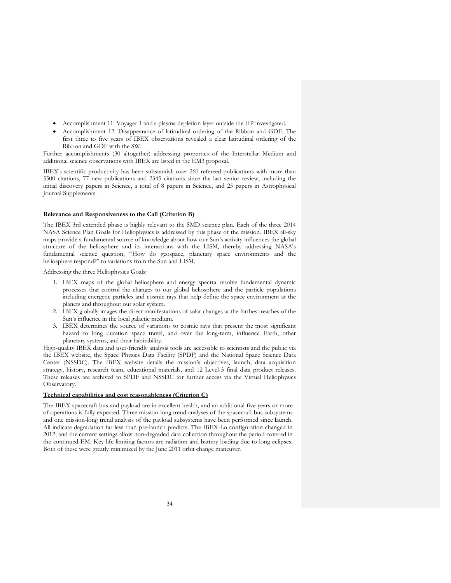- Accomplishment 11: Voyager 1 and a plasma depletion layer outside the HP investigated.
- Accomplishment 12: Disappearance of latitudinal ordering of the Ribbon and GDF. The first three to five years of IBEX observations revealed a clear latitudinal ordering of the Ribbon and GDF with the SW.

Further accomplishments (30 altogether) addressing properties of the Interstellar Medium and additional science observations with IBEX are listed in the EM3 proposal.

IBEX's scientific productivity has been substantial: over 260 refereed publications with more than 5500 citations, 77 new publications and 2345 citations since the last senior review, including the initial discovery papers in Science, a total of 8 papers in Science, and 25 papers in Astrophysical Journal Supplements.

#### **Relevance and Responsiveness to the Call (Criterion B)**

The IBEX 3rd extended phase is highly relevant to the SMD science plan. Each of the three 2014 NASA Science Plan Goals for Heliophysics is addressed by this phase of the mission. IBEX all-sky maps provide a fundamental source of knowledge about how our Sun's activity influences the global structure of the heliosphere and its interactions with the LISM, thereby addressing NASA's fundamental science question, "How do geospace, planetary space environments and the heliosphere respond?" to variations from the Sun and LISM.

Addressing the three Heliophysics Goals:

- 1. IBEX maps of the global heliosphere and energy spectra resolve fundamental dynamic processes that control the changes to our global heliosphere and the particle populations including energetic particles and cosmic rays that help define the space environment at the planets and throughout our solar system.
- 2. IBEX globally images the direct manifestations of solar changes at the farthest reaches of the Sun's influence in the local galactic medium.
- 3. IBEX determines the source of variations to cosmic rays that present the most significant hazard to long duration space travel, and over the long-term, influence Earth, other planetary systems, and their habitability.

High-quality IBEX data and user-friendly analysis tools are accessible to scientists and the public via the IBEX website, the Space Physics Data Facility (SPDF) and the National Space Science Data Center (NSSDC). The IBEX website details the mission's objectives, launch, data acquisition strategy, history, research team, educational materials, and 12 Level-3 final data product releases. These releases are archived to SPDF and NSSDC for further access via the Virtual Heliophysics Observatory.

#### **Technical capabilities and cost reasonableness (Criterion C)**

The IBEX spacecraft bus and payload are in excellent health, and an additional five years or more of operations is fully expected. Three mission-long trend analyses of the spacecraft bus subsystems and one mission-long trend analysis of the payload subsystems have been performed since launch. All indicate degradation far less than pre-launch predicts. The IBEX-Lo configuration changed in 2012, and the current settings allow non-degraded data collection throughout the period covered in the continued EM. Key life-limiting factors are radiation and battery loading due to long eclipses. Both of these were greatly minimized by the June 2011 orbit change maneuver.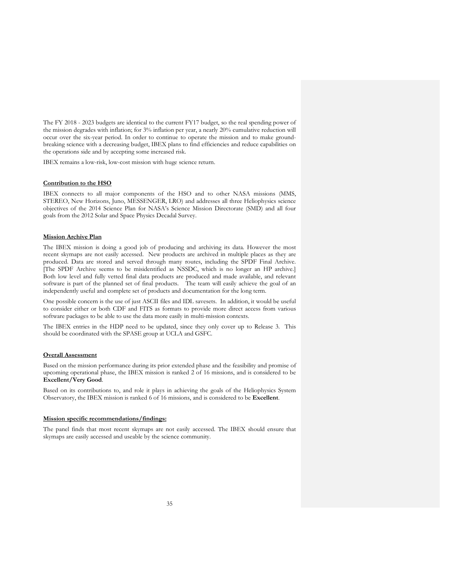The FY 2018 - 2023 budgets are identical to the current FY17 budget, so the real spending power of the mission degrades with inflation; for 3% inflation per year, a nearly 20% cumulative reduction will occur over the six-year period. In order to continue to operate the mission and to make groundbreaking science with a decreasing budget, IBEX plans to find efficiencies and reduce capabilities on the operations side and by accepting some increased risk.

IBEX remains a low-risk, low-cost mission with huge science return.

## **Contribution to the HSO**

IBEX connects to all major components of the HSO and to other NASA missions (MMS, STEREO, New Horizons, Juno, MESSENGER, LRO) and addresses all three Heliophysics science objectives of the 2014 Science Plan for NASA's Science Mission Directorate (SMD) and all four goals from the 2012 Solar and Space Physics Decadal Survey.

#### **Mission Archive Plan**

The IBEX mission is doing a good job of producing and archiving its data. However the most recent skymaps are not easily accessed. New products are archived in multiple places as they are produced. Data are stored and served through many routes, including the SPDF Final Archive. [The SPDF Archive seems to be misidentified as NSSDC, which is no longer an HP archive.] Both low level and fully vetted final data products are produced and made available, and relevant software is part of the planned set of final products. The team will easily achieve the goal of an independently useful and complete set of products and documentation for the long term.

One possible concern is the use of just ASCII files and IDL savesets. In addition, it would be useful to consider either or both CDF and FITS as formats to provide more direct access from various software packages to be able to use the data more easily in multi-mission contexts.

The IBEX entries in the HDP need to be updated, since they only cover up to Release 3. This should be coordinated with the SPASE group at UCLA and GSFC.

#### **Overall Assessment**

Based on the mission performance during its prior extended phase and the feasibility and promise of upcoming operational phase, the IBEX mission is ranked 2 of 16 missions, and is considered to be **Excellent/Very Good***.*

Based on its contributions to, and role it plays in achieving the goals of the Heliophysics System Observatory, the IBEX mission is ranked 6 of 16 missions, and is considered to be **Excellent**.

# **Mission specific recommendations/findings:**

The panel finds that most recent skymaps are not easily accessed. The IBEX should ensure that skymaps are easily accessed and useable by the science community.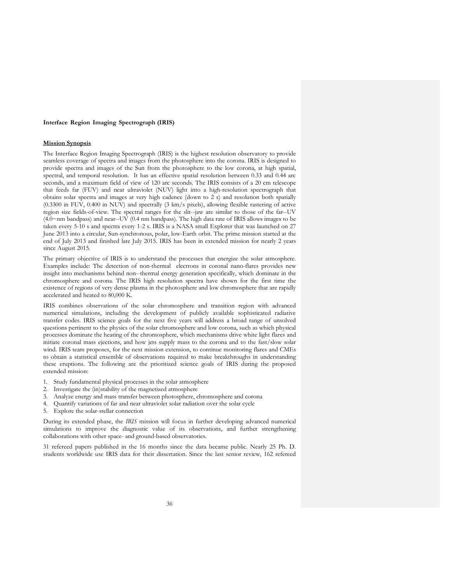## **Interface Region Imaging Spectrograph (IRIS)**

#### **Mission Synopsis**

The Interface Region Imaging Spectrograph (IRIS) is the highest resolution observatory to provide seamless coverage of spectra and images from the photosphere into the corona. IRIS is designed to provide spectra and images of the Sun from the photosphere to the low corona, at high spatial, spectral, and temporal resolution. It has an effective spatial resolution between 0.33 and 0.44 arc seconds, and a maximum field of view of 120 arc seconds. The IRIS consists of a 20 cm telescope that feeds far (FUV) and near ultraviolet (NUV) light into a high-resolution spectrograph that obtains solar spectra and images at very high cadence (down to 2 s) and resolution both spatially (0.3300 in FUV, 0.400 in NUV) and spectrally (3 km/s pixels), allowing flexible rastering of active region size fields-of-view. The spectral ranges for the slit--jaw are similar to those of the far--UV (4.0~nm bandpass) and near--UV (0.4 nm bandpass). The high data rate of IRIS allows images to be taken every 5-10 s and spectra every 1-2 s. IRIS is a NASA small Explorer that was launched on 27 June 2013 into a circular, Sun-synchronous, polar, low-Earth orbit. The prime mission started at the end of July 2013 and finished late July 2015. IRIS has been in extended mission for nearly 2 years since August 2015.

The primary objective of IRIS is to understand the processes that energize the solar atmosphere. Examples include: The detection of non-thermal electrons in coronal nano-flares provides new insight into mechanisms behind non--thermal energy generation specifically, which dominate in the chromosphere and corona. The IRIS high resolution spectra have shown for the first time the existence of regions of very dense plasma in the photosphere and low chromosphere that are rapidly accelerated and heated to 80,000 K.

IRIS combines observations of the solar chromosphere and transition region with advanced numerical simulations, including the development of publicly available sophisticated radiative transfer codes. IRIS science goals for the next five years will address a broad range of unsolved questions pertinent to the physics of the solar chromosphere and low corona, such as which physical processes dominate the heating of the chromosphere, which mechanisms drive white light flares and initiate coronal mass ejections, and how jets supply mass to the corona and to the fast/slow solar wind. IRIS team proposes, for the next mission extension, to continue monitoring flares and CMEs to obtain a statistical ensemble of observations required to make breakthroughs in understanding these eruptions. The following are the prioritized science goals of IRIS during the proposed extended mission:

- 1. Study fundamental physical processes in the solar atmosphere
- 2. Investigate the (in)stability of the magnetized atmosphere
- 3. Analyze energy and mass transfer between photosphere, chromosphere and corona
- 4. Quantify variations of far and near ultraviolet solar radiation over the solar cycle
- 5. Explore the solar-stellar connection

During its extended phase, the *IRIS* mission will focus in further developing advanced numerical simulations to improve the diagnostic value of its observations, and further strengthening collaborations with other space- and ground-based observatories.

31 refereed papers published in the 16 months since the data became public. Nearly 25 Ph. D. students worldwide use IRIS data for their dissertation. Since the last senior review, 162 refereed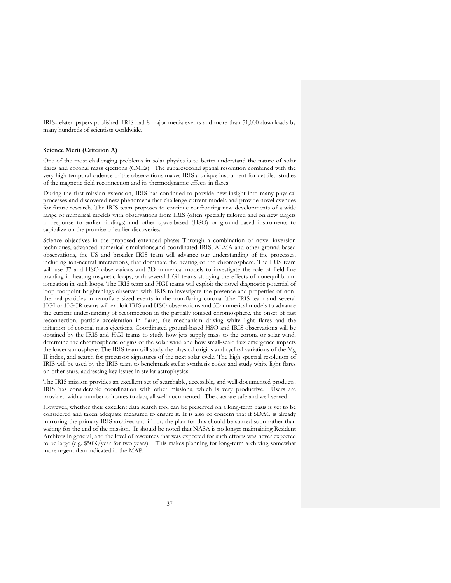IRIS-related papers published. IRIS had 8 major media events and more than 51,000 downloads by many hundreds of scientists worldwide.

## **Science Merit (Criterion A)**

One of the most challenging problems in solar physics is to better understand the nature of solar flares and coronal mass ejections (CMEs). The subarcsecond spatial resolution combined with the very high temporal cadence of the observations makes IRIS a unique instrument for detailed studies of the magnetic field reconnection and its thermodynamic effects in flares.

During the first mission extension, IRIS has continued to provide new insight into many physical processes and discovered new phenomena that challenge current models and provide novel avenues for future research. The IRIS team proposes to continue confronting new developments of a wide range of numerical models with observations from IRIS (often specially tailored and on new targets in response to earlier findings) and other space-based (HSO) or ground-based instruments to capitalize on the promise of earlier discoveries.

Science objectives in the proposed extended phase: Through a combination of novel inversion techniques, advanced numerical simulations,and coordinated IRIS, ALMA and other ground-based observations, the US and broader IRIS team will advance our understanding of the processes, including ion-neutral interactions, that dominate the heating of the chromosphere. The IRIS team will use 37 and HSO observations and 3D numerical models to investigate the role of field line braiding in heating magnetic loops, with several HGI teams studying the effects of nonequilibrium ionization in such loops. The IRIS team and HGI teams will exploit the novel diagnostic potential of loop footpoint brightenings observed with IRIS to investigate the presence and properties of nonthermal particles in nanoflare sized events in the non-flaring corona. The IRIS team and several HGI or HGCR teams will exploit IRIS and HSO observations and 3D numerical models to advance the current understanding of reconnection in the partially ionized chromosphere, the onset of fast reconnection, particle acceleration in flares, the mechanism driving white light flares and the initiation of coronal mass ejections. Coordinated ground-based HSO and IRIS observations will be obtained by the IRIS and HGI teams to study how jets supply mass to the corona or solar wind, determine the chromospheric origins of the solar wind and how small-scale flux emergence impacts the lower atmosphere. The IRIS team will study the physical origins and cyclical variations of the Mg II index, and search for precursor signatures of the next solar cycle. The high spectral resolution of IRIS will be used by the IRIS team to benchmark stellar synthesis codes and study white light flares on other stars, addressing key issues in stellar astrophysics.

The IRIS mission provides an excellent set of searchable, accessible, and well-documented products. IRIS has considerable coordination with other missions, which is very productive. Users are provided with a number of routes to data, all well documented. The data are safe and well served.

However, whether their excellent data search tool can be preserved on a long-term basis is yet to be considered and taken adequate measured to ensure it. It is also of concern that if SDAC is already mirroring the primary IRIS archives and if not, the plan for this should be started soon rather than waiting for the end of the mission. It should be noted that NASA is no longer maintaining Resident Archives in general, and the level of resources that was expected for such efforts was never expected to be large (e.g. \$50K/year for two years). This makes planning for long-term archiving somewhat more urgent than indicated in the MAP.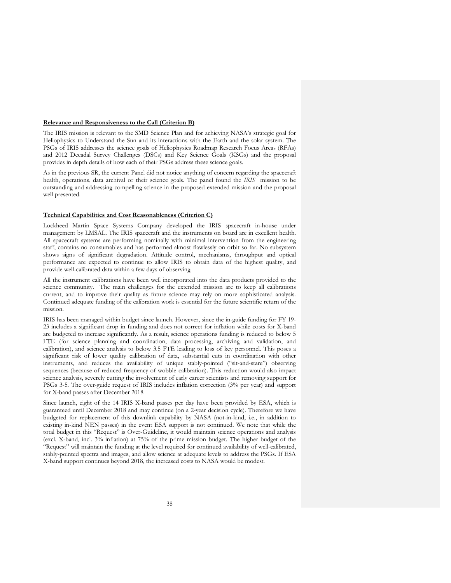#### **Relevance and Responsiveness to the Call (Criterion B)**

The IRIS mission is relevant to the SMD Science Plan and for achieving NASA's strategic goal for Heliophysics to Understand the Sun and its interactions with the Earth and the solar system. The PSGs of IRIS addresses the science goals of Heliophysics Roadmap Research Focus Areas (RFAs) and 2012 Decadal Survey Challenges (DSCs) and Key Science Goals (KSGs) and the proposal provides in depth details of how each of their PSGs address these science goals.

As in the previous SR, the current Panel did not notice anything of concern regarding the spacecraft health, operations, data archival or their science goals. The panel found the *IRIS* mission to be outstanding and addressing compelling science in the proposed extended mission and the proposal well presented.

## **Technical Capabilities and Cost Reasonableness (Criterion C)**

Lockheed Martin Space Systems Company developed the IRIS spacecraft in-house under management by LMSAL. The IRIS spacecraft and the instruments on board are in excellent health. All spacecraft systems are performing nominally with minimal intervention from the engineering staff, contains no consumables and has performed almost flawlessly on orbit so far. No subsystem shows signs of significant degradation. Attitude control, mechanisms, throughput and optical performance are expected to continue to allow IRIS to obtain data of the highest quality, and provide well-calibrated data within a few days of observing.

All the instrument calibrations have been well incorporated into the data products provided to the science community. The main challenges for the extended mission are to keep all calibrations current, and to improve their quality as future science may rely on more sophisticated analysis. Continued adequate funding of the calibration work is essential for the future scientific return of the mission.

IRIS has been managed within budget since launch. However, since the in-guide funding for FY 19- 23 includes a significant drop in funding and does not correct for inflation while costs for X-band are budgeted to increase significantly. As a result, science operations funding is reduced to below 5 FTE (for science planning and coordination, data processing, archiving and validation, and calibration), and science analysis to below 3.5 FTE leading to loss of key personnel. This poses a significant risk of lower quality calibration of data, substantial cuts in coordination with other instruments, and reduces the availability of unique stably-pointed ("sit-and-stare") observing sequences (because of reduced frequency of wobble calibration). This reduction would also impact science analysis, severely cutting the involvement of early career scientists and removing support for PSGs 3-5. The over-guide request of IRIS includes inflation correction (3% per year) and support for X-band passes after December 2018.

Since launch, eight of the 14 IRIS X-band passes per day have been provided by ESA, which is guaranteed until December 2018 and may continue (on a 2-year decision cycle). Therefore we have budgeted for replacement of this downlink capability by NASA (not-in-kind, i.e., in addition to existing in-kind NEN passes) in the event ESA support is not continued. We note that while the total budget in this "Request" is Over-Guideline, it would maintain science operations and analysis (excl. X-band, incl. 3% inflation) at 75% of the prime mission budget. The higher budget of the "Request" will maintain the funding at the level required for continued availability of well-calibrated, stably-pointed spectra and images, and allow science at adequate levels to address the PSGs. If ESA X-band support continues beyond 2018, the increased costs to NASA would be modest.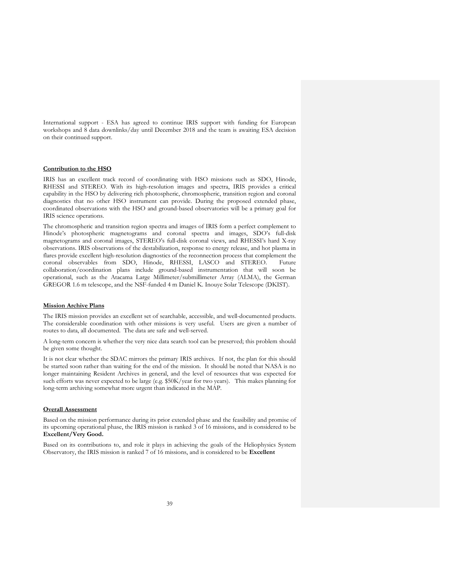International support - ESA has agreed to continue IRIS support with funding for European workshops and 8 data downlinks/day until December 2018 and the team is awaiting ESA decision on their continued support.

## **Contribution to the HSO**

IRIS has an excellent track record of coordinating with HSO missions such as SDO, Hinode, RHESSI and STEREO. With its high-resolution images and spectra, IRIS provides a critical capability in the HSO by delivering rich photospheric, chromospheric, transition region and coronal diagnostics that no other HSO instrument can provide. During the proposed extended phase, coordinated observations with the HSO and ground-based observatories will be a primary goal for IRIS science operations.

The chromospheric and transition region spectra and images of IRIS form a perfect complement to Hinode's photospheric magnetograms and coronal spectra and images, SDO's full-disk magnetograms and coronal images, STEREO's full-disk coronal views, and RHESSI's hard X-ray observations. IRIS observations of the destabilization, response to energy release, and hot plasma in flares provide excellent high-resolution diagnostics of the reconnection process that complement the coronal observables from SDO, Hinode, RHESSI, LASCO and STEREO. Future collaboration/coordination plans include ground-based instrumentation that will soon be operational, such as the Atacama Large Millimeter/submillimeter Array (ALMA), the German GREGOR 1.6 m telescope, and the NSF-funded 4 m Daniel K. Inouye Solar Telescope (DKIST).

### **Mission Archive Plans**

The IRIS mission provides an excellent set of searchable, accessible, and well-documented products. The considerable coordination with other missions is very useful. Users are given a number of routes to data, all documented. The data are safe and well-served.

A long-term concern is whether the very nice data search tool can be preserved; this problem should be given some thought.

It is not clear whether the SDAC mirrors the primary IRIS archives. If not, the plan for this should be started soon rather than waiting for the end of the mission. It should be noted that NASA is no longer maintaining Resident Archives in general, and the level of resources that was expected for such efforts was never expected to be large (e.g. \$50K/year for two years). This makes planning for long-term archiving somewhat more urgent than indicated in the MAP.

## **Overall Assessment**

Based on the mission performance during its prior extended phase and the feasibility and promise of its upcoming operational phase, the IRIS mission is ranked 3 of 16 missions, and is considered to be **Excellent/Very Good.**

Based on its contributions to, and role it plays in achieving the goals of the Heliophysics System Observatory, the IRIS mission is ranked 7 of 16 missions, and is considered to be **Excellent**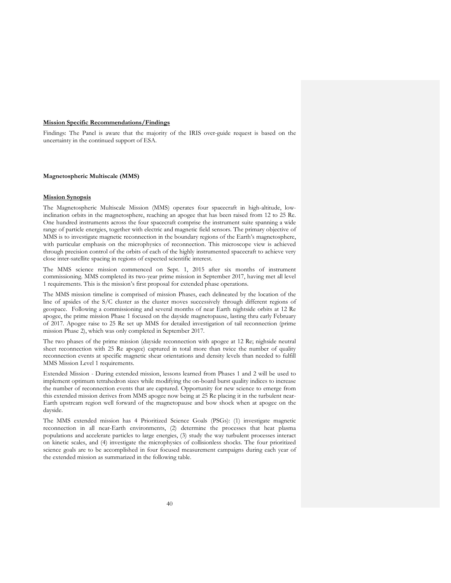### **Mission Specific Recommendations/Findings**

Findings: The Panel is aware that the majority of the IRIS over-guide request is based on the uncertainty in the continued support of ESA.

#### **Magnetospheric Multiscale (MMS)**

## **Mission Synopsis**

The Magnetospheric Multiscale Mission (MMS) operates four spacecraft in high-altitude, lowinclination orbits in the magnetosphere, reaching an apogee that has been raised from 12 to 25 Re. One hundred instruments across the four spacecraft comprise the instrument suite spanning a wide range of particle energies, together with electric and magnetic field sensors. The primary objective of MMS is to investigate magnetic reconnection in the boundary regions of the Earth's magnetosphere, with particular emphasis on the microphysics of reconnection. This microscope view is achieved through precision control of the orbits of each of the highly instrumented spacecraft to achieve very close inter-satellite spacing in regions of expected scientific interest.

The MMS science mission commenced on Sept. 1, 2015 after six months of instrument commissioning. MMS completed its two-year prime mission in September 2017, having met all level 1 requirements. This is the mission's first proposal for extended phase operations.

The MMS mission timeline is comprised of mission Phases, each delineated by the location of the line of apsides of the S/C cluster as the cluster moves successively through different regions of geospace. Following a commissioning and several months of near Earth nightside orbits at 12 Re apogee, the prime mission Phase 1 focused on the dayside magnetopause, lasting thru early February of 2017. Apogee raise to 25 Re set up MMS for detailed investigation of tail reconnection (prime mission Phase 2), which was only completed in September 2017.

The two phases of the prime mission (dayside reconnection with apogee at 12 Re; nighside neutral sheet reconnection with 25 Re apogee) captured in total more than twice the number of quality reconnection events at specific magnetic shear orientations and density levels than needed to fulfill MMS Mission Level 1 requirements.

Extended Mission - During extended mission, lessons learned from Phases 1 and 2 will be used to implement optimum tetrahedron sizes while modifying the on-board burst quality indices to increase the number of reconnection events that are captured. Opportunity for new science to emerge from this extended mission derives from MMS apogee now being at 25 Re placing it in the turbulent near-Earth upstream region well forward of the magnetopause and bow shock when at apogee on the dayside.

The MMS extended mission has 4 Prioritized Science Goals (PSGs): (1) investigate magnetic reconnection in all near-Earth environments, (2) determine the processes that heat plasma populations and accelerate particles to large energies, (3) study the way turbulent processes interact on kinetic scales, and (4) investigate the microphysics of collisionless shocks. The four prioritized science goals are to be accomplished in four focused measurement campaigns during each year of the extended mission as summarized in the following table.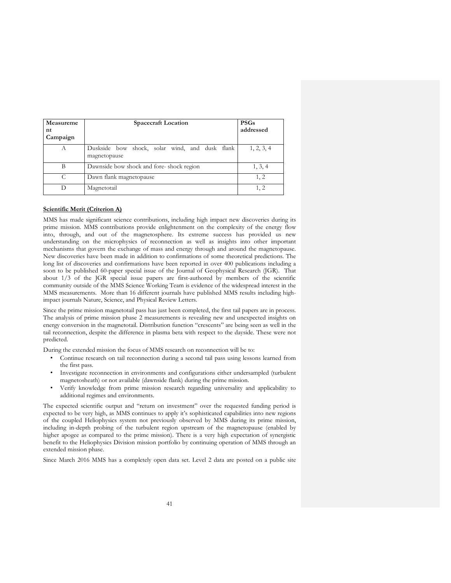| Measureme<br>nt<br>Campaign | <b>Spacecraft Location</b>                                     | <b>PSGs</b><br>addressed |
|-----------------------------|----------------------------------------------------------------|--------------------------|
| А                           | Duskside bow shock, solar wind, and dusk flank<br>magnetopause | 1, 2, 3, 4               |
| B                           | Dawnside bow shock and fore-shock region                       | 1, 3, 4                  |
| C                           | Dawn flank magnetopause                                        | 1, 2                     |
| D                           | Magnetotail                                                    | 1, 2                     |

## **Scientific Merit (Criterion A)**

MMS has made significant science contributions, including high impact new discoveries during its prime mission. MMS contributions provide enlightenment on the complexity of the energy flow into, through, and out of the magnetosphere. Its extreme success has provided us new understanding on the microphysics of reconnection as well as insights into other important mechanisms that govern the exchange of mass and energy through and around the magnetopause. New discoveries have been made in addition to confirmations of some theoretical predictions. The long list of discoveries and confirmations have been reported in over 400 publications including a soon to be published 60-paper special issue of the Journal of Geophysical Research (JGR). That about 1/3 of the JGR special issue papers are first-authored by members of the scientific community outside of the MMS Science Working Team is evidence of the widespread interest in the MMS measurements. More than 16 different journals have published MMS results including highimpact journals Nature, Science, and Physical Review Letters.

Since the prime mission magnetotail pass has just been completed, the first tail papers are in process. The analysis of prime mission phase 2 measurements is revealing new and unexpected insights on energy conversion in the magnetotail. Distribution function "crescents" are being seen as well in the tail reconnection, despite the difference in plasma beta with respect to the dayside. These were not predicted.

During the extended mission the focus of MMS research on reconnection will be to:

- Continue research on tail reconnection during a second tail pass using lessons learned from the first pass.
- Investigate reconnection in environments and configurations either undersampled (turbulent magnetosheath) or not available (dawnside flank) during the prime mission.
- Verify knowledge from prime mission research regarding universality and applicability to additional regimes and environments.

The expected scientific output and "return on investment" over the requested funding period is expected to be very high, as MMS continues to apply it's sophisticated capabilities into new regions of the coupled Heliophysics system not previously observed by MMS during its prime mission, including in-depth probing of the turbulent region upstream of the magnetopause (enabled by higher apogee as compared to the prime mission). There is a very high expectation of synergistic benefit to the Heliophysics Division mission portfolio by continuing operation of MMS through an extended mission phase.

Since March 2016 MMS has a completely open data set. Level 2 data are posted on a public site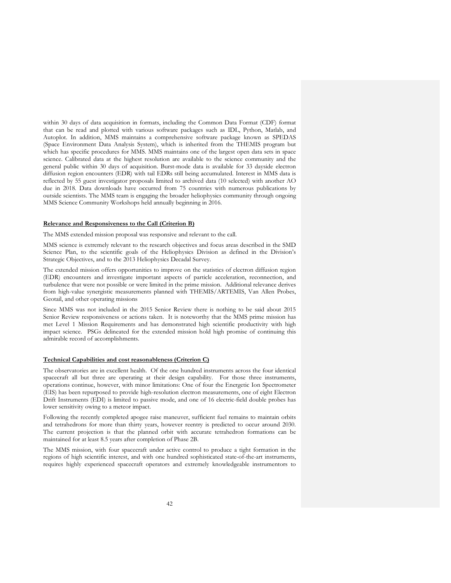within 30 days of data acquisition in formats, including the Common Data Format (CDF) format that can be read and plotted with various software packages such as IDL, Python, Matlab, and Autoplot. In addition, MMS maintains a comprehensive software package known as SPEDAS (Space Environment Data Analysis System), which is inherited from the THEMIS program but which has specific procedures for MMS. MMS maintains one of the largest open data sets in space science. Calibrated data at the highest resolution are available to the science community and the general public within 30 days of acquisition. Burst-mode data is available for 33 dayside electron diffusion region encounters (EDR) with tail EDRs still being accumulated. Interest in MMS data is reflected by 55 guest investigator proposals limited to archived data (10 selected) with another AO due in 2018. Data downloads have occurred from 75 countries with numerous publications by outside scientists. The MMS team is engaging the broader heliophysics community through ongoing MMS Science Community Workshops held annually beginning in 2016.

#### **Relevance and Responsiveness to the Call (Criterion B)**

The MMS extended mission proposal was responsive and relevant to the call.

MMS science is extremely relevant to the research objectives and focus areas described in the SMD Science Plan, to the scientific goals of the Heliophysics Division as defined in the Division's Strategic Objectives, and to the 2013 Heliophysics Decadal Survey.

The extended mission offers opportunities to improve on the statistics of electron diffusion region (EDR) encounters and investigate important aspects of particle acceleration, reconnection, and turbulence that were not possible or were limited in the prime mission. Additional relevance derives from high-value synergistic measurements planned with THEMIS/ARTEMIS, Van Allen Probes, Geotail, and other operating missions

Since MMS was not included in the 2015 Senior Review there is nothing to be said about 2015 Senior Review responsiveness or actions taken. It is noteworthy that the MMS prime mission has met Level 1 Mission Requirements and has demonstrated high scientific productivity with high impact science. PSGs delineated for the extended mission hold high promise of continuing this admirable record of accomplishments.

### **Technical Capabilities and cost reasonableness (Criterion C)**

The observatories are in excellent health. Of the one hundred instruments across the four identical spacecraft all but three are operating at their design capability. For those three instruments, operations continue, however, with minor limitations: One of four the Energetic Ion Spectrometer (EIS) has been repurposed to provide high-resolution electron measurements, one of eight Electron Drift Instruments (EDI) is limited to passive mode, and one of 16 electric-field double probes has lower sensitivity owing to a meteor impact.

Following the recently completed apogee raise maneuver, sufficient fuel remains to maintain orbits and tetrahedrons for more than thirty years, however reentry is predicted to occur around 2030. The current projection is that the planned orbit with accurate tetrahedron formations can be maintained for at least 8.5 years after completion of Phase 2B.

The MMS mission, with four spacecraft under active control to produce a tight formation in the regions of high scientific interest, and with one hundred sophisticated state-of-the-art instruments, requires highly experienced spacecraft operators and extremely knowledgeable instrumentors to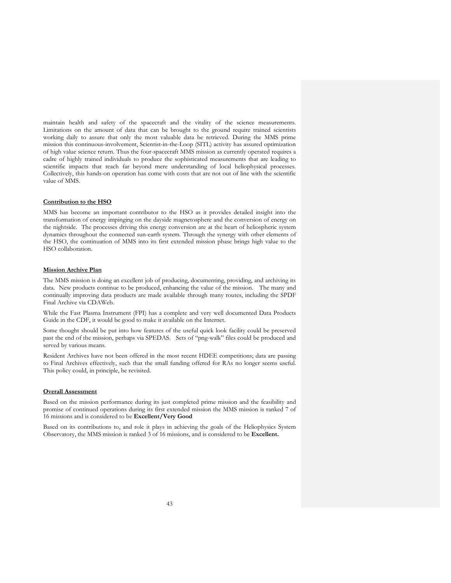maintain health and safety of the spacecraft and the vitality of the science measurements. Limitations on the amount of data that can be brought to the ground require trained scientists working daily to assure that only the most valuable data be retrieved. During the MMS prime mission this continuous-involvement, Scientist-in-the-Loop (SITL) activity has assured optimization of high value science return. Thus the four-spacecraft MMS mission as currently operated requires a cadre of highly trained individuals to produce the sophisticated measurements that are leading to scientific impacts that reach far beyond mere understanding of local heliophysical processes. Collectively, this hands-on operation has come with costs that are not out of line with the scientific value of MMS.

#### **Contribution to the HSO**

MMS has become an important contributor to the HSO as it provides detailed insight into the transformation of energy impinging on the dayside magnetosphere and the conversion of energy on the nightside. The processes driving this energy conversion are at the heart of heliospheric system dynamics throughout the connected sun-earth system. Through the synergy with other elements of the HSO, the continuation of MMS into its first extended mission phase brings high value to the HSO collaboration.

## **Mission Archive Plan**

The MMS mission is doing an excellent job of producing, documenting, providing, and archiving its data. New products continue to be produced, enhancing the value of the mission. The many and continually improving data products are made available through many routes, including the SPDF Final Archive via CDAWeb.

While the Fast Plasma Instrument (FPI) has a complete and very well documented Data Products Guide in the CDF, it would be good to make it available on the Internet.

Some thought should be put into how features of the useful quick look facility could be preserved past the end of the mission, perhaps via SPEDAS. Sets of "png-walk" files could be produced and served by various means.

Resident Archives have not been offered in the most recent HDEE competitions; data are passing to Final Archives effectively, such that the small funding offered for RAs no longer seems useful. This policy could, in principle, be revisited.

## **Overall Assessment**

Based on the mission performance during its just completed prime mission and the feasibility and promise of continued operations during its first extended mission the MMS mission is ranked 7 of 16 missions and is considered to be **Excellent/Very Good**

Based on its contributions to, and role it plays in achieving the goals of the Heliophysics System Observatory, the MMS mission is ranked 3 of 16 missions, and is considered to be **Excellent.**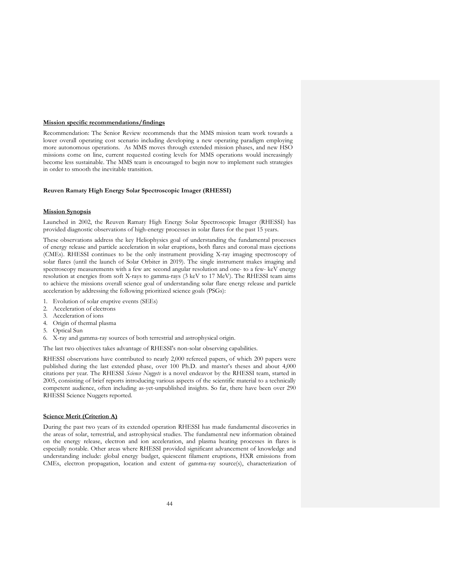### **Mission specific recommendations/findings**

Recommendation: The Senior Review recommends that the MMS mission team work towards a lower overall operating cost scenario including developing a new operating paradigm employing more autonomous operations. As MMS moves through extended mission phases, and new HSO missions come on line, current requested costing levels for MMS operations would increasingly become less sustainable. The MMS team is encouraged to begin now to implement such strategies in order to smooth the inevitable transition.

### **Reuven Ramaty High Energy Solar Spectroscopic Imager (RHESSI)**

#### **Mission Synopsis**

Launched in 2002, the Reuven Ramaty High Energy Solar Spectroscopic Imager (RHESSI) has provided diagnostic observations of high-energy processes in solar flares for the past 15 years.

These observations address the key Heliophysics goal of understanding the fundamental processes of energy release and particle acceleration in solar eruptions, both flares and coronal mass ejections (CMEs). RHESSI continues to be the only instrument providing X-ray imaging spectroscopy of solar flares (until the launch of Solar Orbiter in 2019). The single instrument makes imaging and spectroscopy measurements with a few arc second angular resolution and one- to a few- keV energy resolution at energies from soft X-rays to gamma-rays (3 keV to 17 MeV). The RHESSI team aims to achieve the missions overall science goal of understanding solar flare energy release and particle acceleration by addressing the following prioritized science goals (PSGs):

- 1. Evolution of solar eruptive events (SEEs)
- 2. Acceleration of electrons
- 3. Acceleration of ions
- 4. Origin of thermal plasma
- 5. Optical Sun
- 6. X-ray and gamma-ray sources of both terrestrial and astrophysical origin.

The last two objectives takes advantage of RHESSI's non-solar observing capabilities.

RHESSI observations have contributed to nearly 2,000 refereed papers, of which 200 papers were published during the last extended phase, over 100 Ph.D. and master's theses and about 4,000 citations per year. The RHESSI *Science Nuggets* is a novel endeavor by the RHESSI team, started in 2005, consisting of brief reports introducing various aspects of the scientific material to a technically competent audience, often including as-yet-unpublished insights. So far, there have been over 290 RHESSI Science Nuggets reported.

# **Science Merit (Criterion A)**

During the past two years of its extended operation RHESSI has made fundamental discoveries in the areas of solar, terrestrial, and astrophysical studies. The fundamental new information obtained on the energy release, electron and ion acceleration, and plasma heating processes in flares is especially notable. Other areas where RHESSI provided significant advancement of knowledge and understanding include: global energy budget, quiescent filament eruptions, HXR emissions from CMEs, electron propagation, location and extent of gamma-ray source(s), characterization of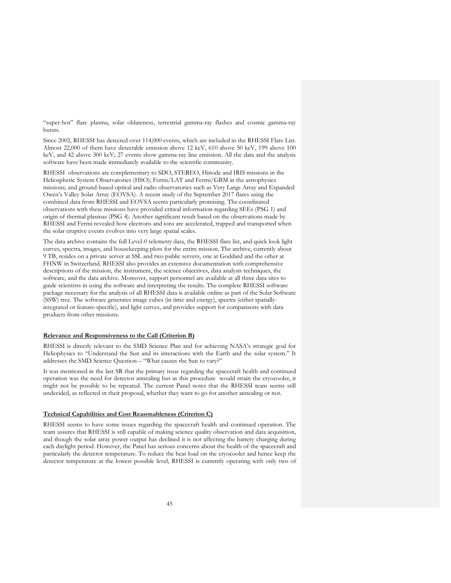"super-hot" flare plasma, solar oblateness, terrestrial gamma-ray flashes and cosmic gamma-ray bursts.

Since 2002, RHESSI has detected over 114,000 events, which are included in the RHESSI Flare List. Almost 22,000 of them have detectable emission above 12 keV, 610 above 50 keV, 199 above 100 keV, and 42 above 300 keV; 27 events show gamma-ray line emission. All the data and the analysis software have been made immediately available to the scientific community.

RHESSI observations are complementary to SDO, STEREO, Hinode and IRIS missions in the Heliospheric System Observatories (HSO); Fermi/LAT and Fermi/GBM in the astrophysics missions; and ground-based optical and radio observatories such as Very Large Array and Expanded Owen's Valley Solar Array (EOVSA). A recent study of the September 2017 flares using the combined data from RHESSI and EOVSA seems particularly promising. The coordinated observations with these missions have provided critical information regarding SEEs (PSG 1) and origin of thermal plasmas (PSG 4). Another significant result based on the observations made by RHESSI and Fermi revealed how electrons and ions are accelerated, trapped and transported when the solar eruptive events evolves into very large spatial scales.

The data archive contains the full Level-0 telemetry data, the RHESSI flare list, and quick look light curves, spectra, images, and housekeeping plots for the entire mission. The archive, currently about 9 TB, resides on a private server at SSL and two public servers, one at Goddard and the other at FHNW in Switzerland. RHESSI also provides an extensive documentation with comprehensive descriptions of the mission, the instrument, the science objectives, data analysis techniques, the software, and the data archive. Moreover, support personnel are available at all three data sites to guide scientists in using the software and interpreting the results. The complete RHESSI software package necessary for the analysis of all RHESSI data is available online as part of the Solar Software (SSW) tree. The software generates image cubes (in time and energy), spectra (either spatiallyintegrated or feature-specific), and light curves, and provides support for comparisons with data products from other missions.

## **Relevance and Responsiveness to the Call (Criterion B)**

RHESSI is directly relevant to the SMD Science Plan and for achieving NASA's strategic goal for Heliophysics to "Understand the Sun and its interactions with the Earth and the solar system." It addresses the SMD Science Question – "What causes the Sun to vary?"

It was mentioned in the last SR that the primary issue regarding the spacecraft health and continued operation was the need for detector annealing but as this procedure would strain the cryocooler, it might not be possible to be repeated. The current Panel notes that the RHESSI team seems still undecided, as reflected in their proposal, whether they want to go for another annealing or not.

### **Technical Capabilities and Cost Reasonableness (Criterion C)**

RHESSI seems to have some issues regarding the spacecraft health and continued operation. The team assures that RHESSI is still capable of making science quality observation and data acquisition, and though the solar array power output has declined it is not affecting the battery charging during each daylight period. However, the Panel has serious concerns about the health of the spacecraft and particularly the detector temperature. To reduce the heat load on the cryocooler and hence keep the detector temperature at the lowest possible level, RHESSI is currently operating with only two of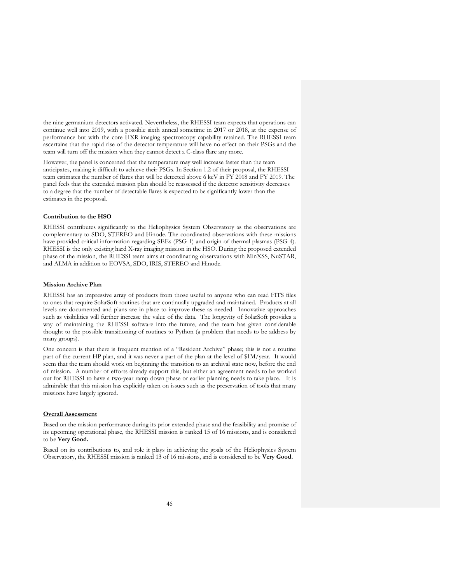the nine germanium detectors activated. Nevertheless, the RHESSI team expects that operations can continue well into 2019, with a possible sixth anneal sometime in 2017 or 2018, at the expense of performance but with the core HXR imaging spectroscopy capability retained. The RHESSI team ascertains that the rapid rise of the detector temperature will have no effect on their PSGs and the team will turn off the mission when they cannot detect a C-class flare any more.

However, the panel is concerned that the temperature may well increase faster than the team anticipates, making it difficult to achieve their PSGs. In Section 1.2 of their proposal, the RHESSI team estimates the number of flares that will be detected above 6 keV in FY 2018 and FY 2019. The panel feels that the extended mission plan should be reassessed if the detector sensitivity decreases to a degree that the number of detectable flares is expected to be significantly lower than the estimates in the proposal.

#### **Contribution to the HSO**

RHESSI contributes significantly to the Heliophysics System Observatory as the observations are complementary to SDO, STEREO and Hinode. The coordinated observations with these missions have provided critical information regarding SEEs (PSG 1) and origin of thermal plasmas (PSG 4). RHESSI is the only existing hard X-ray imaging mission in the HSO. During the proposed extended phase of the mission, the RHESSI team aims at coordinating observations with MinXSS, NuSTAR, and ALMA in addition to EOVSA, SDO, IRIS, STEREO and Hinode.

#### **Mission Archive Plan**

RHESSI has an impressive array of products from those useful to anyone who can read FITS files to ones that require SolarSoft routines that are continually upgraded and maintained. Products at all levels are documented and plans are in place to improve these as needed. Innovative approaches such as visibilities will further increase the value of the data. The longevity of SolarSoft provides a way of maintaining the RHESSI software into the future, and the team has given considerable thought to the possible transitioning of routines to Python (a problem that needs to be address by many groups).

One concern is that there is frequent mention of a "Resident Archive" phase; this is not a routine part of the current HP plan, and it was never a part of the plan at the level of \$1M/year. It would seem that the team should work on beginning the transition to an archival state now, before the end of mission. A number of efforts already support this, but either an agreement needs to be worked out for RHESSI to have a two-year ramp down phase or earlier planning needs to take place. It is admirable that this mission has explicitly taken on issues such as the preservation of tools that many missions have largely ignored.

## **Overall Assessment**

Based on the mission performance during its prior extended phase and the feasibility and promise of its upcoming operational phase, the RHESSI mission is ranked 15 of 16 missions, and is considered to be **Very Good.**

Based on its contributions to, and role it plays in achieving the goals of the Heliophysics System Observatory, the RHESSI mission is ranked 13 of 16 missions, and is considered to be **Very Good.**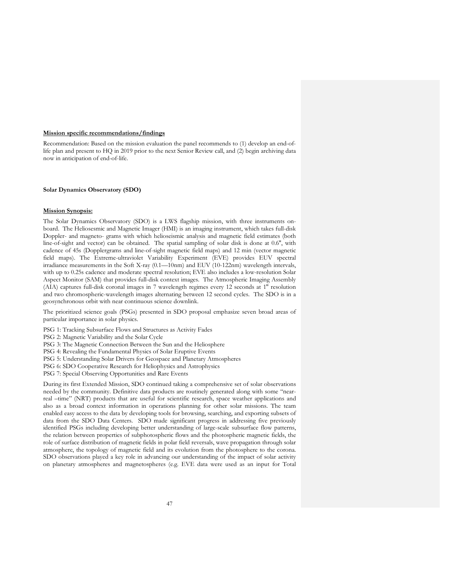#### **Mission specific recommendations/findings**

Recommendation: Based on the mission evaluation the panel recommends to (1) develop an end-oflife plan and present to HQ in 2019 prior to the next Senior Review call, and (2) begin archiving data now in anticipation of end-of-life.

## **Solar Dynamics Observatory (SDO)**

### **Mission Synopsis:**

The Solar Dynamics Observatory (SDO) is a LWS flagship mission, with three instruments onboard. The Heliosesmic and Magnetic Imager (HMI) is an imaging instrument, which takes full-disk Doppler- and magneto- grams with which helioseismic analysis and magnetic field estimates (both line-of-sight and vector) can be obtained. The spatial sampling of solar disk is done at 0.6'', with cadence of 45s (Dopplergrams and line-of-sight magnetic field maps) and 12 min (vector magnetic field maps). The Extreme-ultraviolet Variability Experiment (EVE) provides EUV spectral irradiance measurements in the Soft X-ray (0.1—10nm) and EUV (10-122nm) wavelength intervals, with up to 0.25s cadence and moderate spectral resolution; EVE also includes a low-resolution Solar Aspect Monitor (SAM) that provides full-disk context images. The Atmospheric Imaging Assembly (AIA) captures full-disk coronal images in 7 wavelength regimes every 12 seconds at 1'' resolution and two chromospheric-wavelength images alternating between 12 second cycles. The SDO is in a geosynchronous orbit with near continuous science downlink.

The prioritized science goals (PSGs) presented in SDO proposal emphasize seven broad areas of particular importance in solar physics.

PSG 1: Tracking Subsurface Flows and Structures as Activity Fades

PSG 2: Magnetic Variability and the Solar Cycle

PSG 3: The Magnetic Connection Between the Sun and the Heliosphere

- PSG 4: Revealing the Fundamental Physics of Solar Eruptive Events
- PSG 5: Understanding Solar Drivers for Geospace and Planetary Atmospheres
- PSG 6: SDO Cooperative Research for Heliophysics and Astrophysics
- PSG 7: Special Observing Opportunities and Rare Events

During its first Extended Mission, SDO continued taking a comprehensive set of solar observations needed by the community. Definitive data products are routinely generated along with some "nearreal –time" (NRT) products that are useful for scientific research, space weather applications and also as a broad context information in operations planning for other solar missions. The team enabled easy access to the data by developing tools for browsing, searching, and exporting subsets of data from the SDO Data Centers. SDO made significant progress in addressing five previously identified PSGs including developing better understanding of large-scale subsurface flow patterns, the relation between properties of subphotospheric flows and the photospheric magnetic fields, the role of surface distribution of magnetic fields in polar field reversals, wave propagation through solar atmosphere, the topology of magnetic field and its evolution from the photosphere to the corona. SDO observations played a key role in advancing our understanding of the impact of solar activity on planetary atmospheres and magnetospheres (e.g. EVE data were used as an input for Total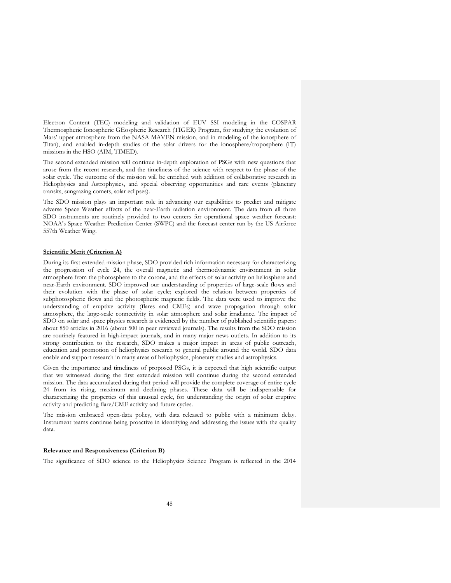Electron Content (TEC) modeling and validation of EUV SSI modeling in the COSPAR Thermospheric Ionospheric GEospheric Research (TIGER) Program, for studying the evolution of Mars' upper atmosphere from the NASA MAVEN mission, and in modeling of the ionosphere of Titan), and enabled in-depth studies of the solar drivers for the ionosphere/troposphere (IT) missions in the HSO (AIM, TIMED).

The second extended mission will continue in-depth exploration of PSGs with new questions that arose from the recent research, and the timeliness of the science with respect to the phase of the solar cycle. The outcome of the mission will be enriched with addition of collaborative research in Heliophysics and Astrophysics, and special observing opportunities and rare events (planetary transits, sungrazing comets, solar eclipses).

The SDO mission plays an important role in advancing our capabilities to predict and mitigate adverse Space Weather effects of the near-Earth radiation environment. The data from all three SDO instruments are routinely provided to two centers for operational space weather forecast: NOAA's Space Weather Prediction Center (SWPC) and the forecast center run by the US Airforce 557th Weather Wing.

#### **Scientific Merit (Criterion A)**

During its first extended mission phase, SDO provided rich information necessary for characterizing the progression of cycle 24, the overall magnetic and thermodynamic environment in solar atmosphere from the photosphere to the corona, and the effects of solar activity on heliosphere and near-Earth environment. SDO improved our understanding of properties of large-scale flows and their evolution with the phase of solar cycle; explored the relation between properties of subphotospheric flows and the photospheric magnetic fields. The data were used to improve the understanding of eruptive activity (flares and CMEs) and wave propagation through solar atmosphere, the large-scale connectivity in solar atmosphere and solar irradiance. The impact of SDO on solar and space physics research is evidenced by the number of published scientific papers: about 850 articles in 2016 (about 500 in peer reviewed journals). The results from the SDO mission are routinely featured in high-impact journals, and in many major news outlets. In addition to its strong contribution to the research, SDO makes a major impact in areas of public outreach, education and promotion of heliophysics research to general public around the world. SDO data enable and support research in many areas of heliophysics, planetary studies and astrophysics.

Given the importance and timeliness of proposed PSGs, it is expected that high scientific output that we witnessed during the first extended mission will continue during the second extended mission. The data accumulated during that period will provide the complete coverage of entire cycle 24 from its rising, maximum and declining phases. These data will be indispensable for characterizing the properties of this unusual cycle, for understanding the origin of solar eruptive activity and predicting flare/CME activity and future cycles.

The mission embraced open-data policy, with data released to public with a minimum delay. Instrument teams continue being proactive in identifying and addressing the issues with the quality data.

### **Relevance and Responsiveness (Criterion B)**

The significance of SDO science to the Heliophysics Science Program is reflected in the 2014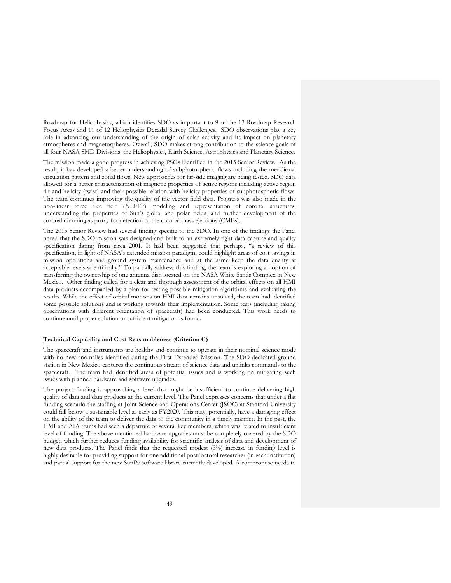Roadmap for Heliophysics, which identifies SDO as important to 9 of the 13 Roadmap Research Focus Areas and 11 of 12 Heliophysics Decadal Survey Challenges. SDO observations play a key role in advancing our understanding of the origin of solar activity and its impact on planetary atmospheres and magnetospheres. Overall, SDO makes strong contribution to the science goals of all four NASA SMD Divisions: the Heliophysics, Earth Science, Astrophysics and Planetary Science.

The mission made a good progress in achieving PSGs identified in the 2015 Senior Review. As the result, it has developed a better understanding of subphotospheric flows including the meridional circulation pattern and zonal flows. New approaches for far-side imaging are being tested. SDO data allowed for a better characterization of magnetic properties of active regions including active region tilt and helicity (twist) and their possible relation with helicity properties of subphotospheric flows. The team continues improving the quality of the vector field data. Progress was also made in the non-linear force free field (NLFFF) modeling and representation of coronal structures, understanding the properties of Sun's global and polar fields, and further development of the coronal dimming as proxy for detection of the coronal mass ejections (CMEs).

The 2015 Senior Review had several finding specific to the SDO. In one of the findings the Panel noted that the SDO mission was designed and built to an extremely tight data capture and quality specification dating from circa 2001. It had been suggested that perhaps, "a review of this specification, in light of NASA's extended mission paradigm, could highlight areas of cost savings in mission operations and ground system maintenance and at the same keep the data quality at acceptable levels scientifically." To partially address this finding, the team is exploring an option of transferring the ownership of one antenna dish located on the NASA White Sands Complex in New Mexico. Other finding called for a clear and thorough assessment of the orbital effects on all HMI data products accompanied by a plan for testing possible mitigation algorithms and evaluating the results. While the effect of orbital motions on HMI data remains unsolved, the team had identified some possible solutions and is working towards their implementation. Some tests (including taking observations with different orientation of spacecraft) had been conducted. This work needs to continue until proper solution or sufficient mitigation is found.

#### **Technical Capability and Cost Reasonableness** (**Criterion C)**

The spacecraft and instruments are healthy and continue to operate in their nominal science mode with no new anomalies identified during the First Extended Mission. The SDO-dedicated ground station in New Mexico captures the continuous stream of science data and uplinks commands to the spacecraft. The team had identified areas of potential issues and is working on mitigating such issues with planned hardware and software upgrades.

The project funding is approaching a level that might be insufficient to continue delivering high quality of data and data products at the current level. The Panel expresses concerns that under a flat funding scenario the staffing at Joint Science and Operations Center (JSOC) at Stanford University could fall below a sustainable level as early as FY2020. This may, potentially, have a damaging effect on the ability of the team to deliver the data to the community in a timely manner. In the past, the HMI and AIA teams had seen a departure of several key members, which was related to insufficient level of funding. The above mentioned hardware upgrades must be completely covered by the SDO budget, which further reduces funding availability for scientific analysis of data and development of new data products. The Panel finds that the requested modest (3%) increase in funding level is highly desirable for providing support for one additional postdoctoral researcher (in each institution) and partial support for the new SunPy software library currently developed. A compromise needs to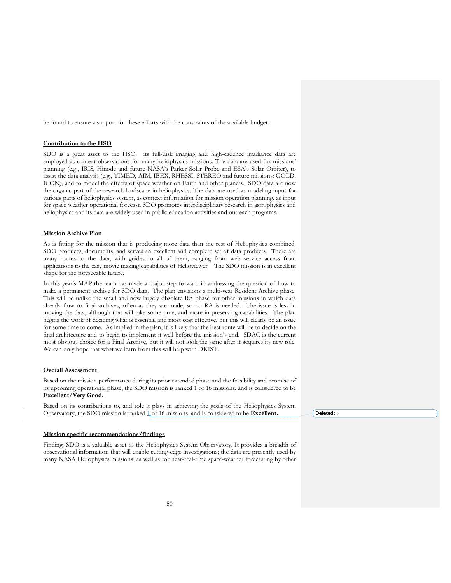be found to ensure a support for these efforts with the constraints of the available budget.

## **Contribution to the HSO**

SDO is a great asset to the HSO: its full-disk imaging and high-cadence irradiance data are employed as context observations for many heliophysics missions. The data are used for missions' planning (e.g., IRIS, Hinode and future NASA's Parker Solar Probe and ESA's Solar Orbiter), to assist the data analysis (e.g., TIMED, AIM, IBEX, RHESSI, STEREO and future missions: GOLD, ICON), and to model the effects of space weather on Earth and other planets. SDO data are now the organic part of the research landscape in heliophysics. The data are used as modeling input for various parts of heliophysics system, as context information for mission operation planning, as input for space weather operational forecast. SDO promotes interdisciplinary research in astrophysics and heliophysics and its data are widely used in public education activities and outreach programs.

#### **Mission Archive Plan**

As is fitting for the mission that is producing more data than the rest of Heliophysics combined, SDO produces, documents, and serves an excellent and complete set of data products. There are many routes to the data, with guides to all of them, ranging from web service access from applications to the easy movie making capabilities of Helioviewer. The SDO mission is in excellent shape for the foreseeable future.

In this year's MAP the team has made a major step forward in addressing the question of how to make a permanent archive for SDO data. The plan envisions a multi-year Resident Archive phase. This will be unlike the small and now largely obsolete RA phase for other missions in which data already flow to final archives, often as they are made, so no RA is needed. The issue is less in moving the data, although that will take some time, and more in preserving capabilities. The plan begins the work of deciding what is essential and most cost effective, but this will clearly be an issue for some time to come. As implied in the plan, it is likely that the best route will be to decide on the final architecture and to begin to implement it well before the mission's end. SDAC is the current most obvious choice for a Final Archive, but it will not look the same after it acquires its new role. We can only hope that what we learn from this will help with DKIST.

#### **Overall Assessment**

Based on the mission performance during its prior extended phase and the feasibility and promise of its upcoming operational phase, the SDO mission is ranked 1 of 16 missions, and is considered to be **Excellent/Very Good.**

Based on its contributions to, and role it plays in achieving the goals of the Heliophysics System Observatory, the SDO mission is ranked  $\frac{1}{2}$  of 16 missions, and is considered to be **Excellent.** 

#### **Mission specific recommendations/findings**

Finding: SDO is a valuable asset to the Heliophysics System Observatory. It provides a breadth of observational information that will enable cutting-edge investigations; the data are presently used by many NASA Heliophysics missions, as well as for near-real-time space-weather forecasting by other Deleted: 5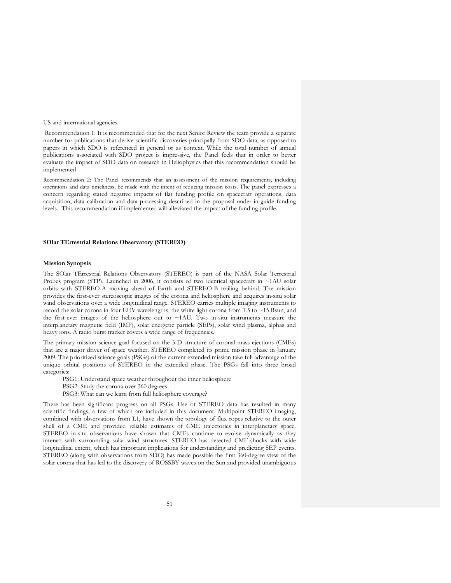US and international agencies.

Recommendation 1: It is recommended that for the next Senior Review the team provide a separate number for publications that derive scientific discoveries principally from SDO data, as opposed to papers in which SDO is referenced in general or as context. While the total number of annual publications associated with SDO project is impressive, the Panel feels that in order to better evaluate the impact of SDO data on research in Heliophysics that this recommendation should be implemented

Recommendation 2: The Panel recommends that an assessment of the mission requirements, including operations and data timeliness, be made with the intent of reducing mission costs. The panel expresses a concern regarding stated negative impacts of flat funding profile on spacecraft operations, data acquisition, data calibration and data processing described in the proposal under in-guide funding levels. This recommendation if implemented will alleviated the impact of the funding profile.

### **SOlar TErrestrial Relations Observatory (STEREO)**

#### **Mission Synopsis**

The SOlar TErrestrial Relations Observatory (STEREO) is part of the NASA Solar Terrestrial Probes program (STP). Launched in 2006, it consists of two identical spacecraft in  $~1$ AU solar orbits with STEREO-A moving ahead of Earth and STEREO-B trailing behind. The mission provides the first-ever stereoscopic images of the corona and heliosphere and acquires in-situ solar wind observations over a wide longitudinal range. STEREO carries multiple imaging instruments to record the solar corona in four EUV wavelengths, the white light corona from 1.5 to ~15 Rsun, and the first-ever images of the heliosphere out to ~1AU. Two in-situ instruments measure the interplanetary magnetic field (IMF), solar energetic particle (SEPs), solar wind plasma, alphas and heavy ions. A radio burst tracker covers a wide range of frequencies.

The primary mission science goal focused on the 3-D structure of coronal mass ejections (CMEs) that are a major driver of space weather. STEREO completed its prime mission phase in January 2009. The prioritized science goals (PSGs) of the current extended mission take full advantage of the unique orbital positions of STEREO in the extended phase. The PSGs fall into three broad categories:

PSG1: Understand space weather throughout the inner heliosphere

- PSG2: Study the corona over 360 degrees
- PSG3: What can we learn from full heliosphere coverage?

There has been significant progress on all PSGs. Use of STEREO data has resulted in many scientific findings, a few of which are included in this document. Multipoint STEREO imaging, combined with observations from L1, have shown the topology of flux ropes relative to the outer shell of a CME and provided reliable estimates of CME trajectories in interplanetary space. STEREO in-situ observations have shown that CMEs continue to evolve dynamically as they interact with surrounding solar wind structures. STEREO has detected CME-shocks with wide longitudinal extent, which has important implications for understanding and predicting SEP events. STEREO (along with observations from SDO) has made possible the first 360-degree view of the solar corona that has led to the discovery of ROSSBY waves on the Sun and provided unambiguous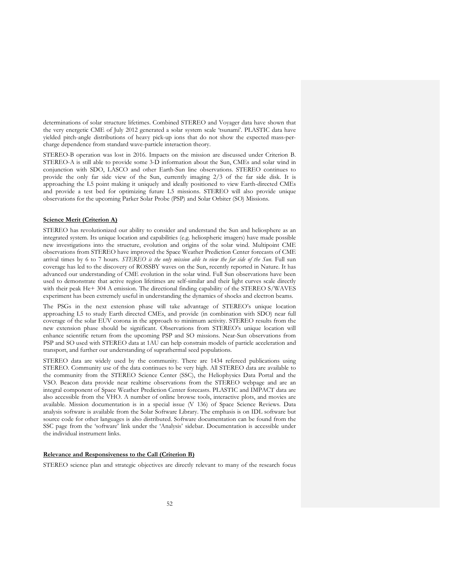determinations of solar structure lifetimes. Combined STEREO and Voyager data have shown that the very energetic CME of July 2012 generated a solar system scale 'tsunami'. PLASTIC data have yielded pitch-angle distributions of heavy pick-up ions that do not show the expected mass-percharge dependence from standard wave-particle interaction theory.

STEREO-B operation was lost in 2016. Impacts on the mission are discussed under Criterion B. STEREO-A is still able to provide some 3-D information about the Sun, CMEs and solar wind in conjunction with SDO, LASCO and other Earth-Sun line observations. STEREO continues to provide the only far side view of the Sun, currently imaging 2/3 of the far side disk. It is approaching the L5 point making it uniquely and ideally positioned to view Earth-directed CMEs and provide a test bed for optimizing future L5 missions. STEREO will also provide unique observations for the upcoming Parker Solar Probe (PSP) and Solar Orbiter (SO) Missions.

### **Science Merit (Criterion A)**

STEREO has revolutionized our ability to consider and understand the Sun and heliosphere as an integrated system. Its unique location and capabilities (e.g. heliospheric imagers) have made possible new investigations into the structure, evolution and origins of the solar wind. Multipoint CME observations from STEREO have improved the Space Weather Prediction Center forecasts of CME arrival times by 6 to 7 hours. *STEREO is the only mission able to view the far side of the Sun*. Full sun coverage has led to the discovery of ROSSBY waves on the Sun, recently reported in Nature. It has advanced our understanding of CME evolution in the solar wind. Full Sun observations have been used to demonstrate that active region lifetimes are self-similar and their light curves scale directly with their peak He+ 304 A emission. The directional finding capability of the STEREO S/WAVES experiment has been extremely useful in understanding the dynamics of shocks and electron beams.

The PSGs in the next extension phase will take advantage of STEREO's unique location approaching L5 to study Earth directed CMEs, and provide (in combination with SDO) near full coverage of the solar EUV corona in the approach to minimum activity. STEREO results from the new extension phase should be significant. Observations from STEREO's unique location will enhance scientific return from the upcoming PSP and SO missions. Near-Sun observations from PSP and SO used with STEREO data at 1AU can help constrain models of particle acceleration and transport, and further our understanding of suprathermal seed populations.

STEREO data are widely used by the community. There are 1434 refereed publications using STEREO. Community use of the data continues to be very high. All STEREO data are available to the community from the STEREO Science Center (SSC), the Heliophysics Data Portal and the VSO. Beacon data provide near realtime observations from the STEREO webpage and are an integral component of Space Weather Prediction Center forecasts. PLASTIC and IMPACT data are also accessible from the VHO. A number of online browse tools, interactive plots, and movies are available. Mission documentation is in a special issue (V 136) of Space Science Reviews. Data analysis software is available from the Solar Software Library. The emphasis is on IDL software but source code for other languages is also distributed. Software documentation can be found from the SSC page from the 'software' link under the 'Analysis' sidebar. Documentation is accessible under the individual instrument links.

# **Relevance and Responsiveness to the Call (Criterion B)**

STEREO science plan and strategic objectives are directly relevant to many of the research focus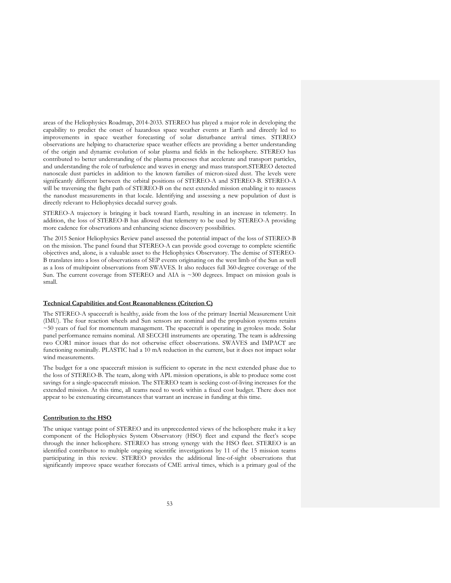areas of the Heliophysics Roadmap, 2014-2033. STEREO has played a major role in developing the capability to predict the onset of hazardous space weather events at Earth and directly led to improvements in space weather forecasting of solar disturbance arrival times. STEREO observations are helping to characterize space weather effects are providing a better understanding of the origin and dynamic evolution of solar plasma and fields in the heliosphere. STEREO has contributed to better understanding of the plasma processes that accelerate and transport particles, and understanding the role of turbulence and waves in energy and mass transport.STEREO detected nanoscale dust particles in addition to the known families of micron-sized dust. The levels were significantly different between the orbital positions of STEREO-A and STEREO-B. STEREO-A will be traversing the flight path of STEREO-B on the next extended mission enabling it to reassess the nanodust measurements in that locale. Identifying and assessing a new population of dust is directly relevant to Heliophysics decadal survey goals.

STEREO-A trajectory is bringing it back toward Earth, resulting in an increase in telemetry. In addition, the loss of STEREO-B has allowed that telemetry to be used by STEREO-A providing more cadence for observations and enhancing science discovery possibilities.

The 2015 Senior Heliophysics Review panel assessed the potential impact of the loss of STEREO-B on the mission. The panel found that STEREO-A can provide good coverage to complete scientific objectives and, alone, is a valuable asset to the Heliophysics Observatory. The demise of STEREO-B translates into a loss of observations of SEP events originating on the west limb of the Sun as well as a loss of multipoint observations from SWAVES. It also reduces full 360-degree coverage of the Sun. The current coverage from STEREO and AIA is ~300 degrees. Impact on mission goals is small.

#### **Technical Capabilities and Cost Reasonableness (Criterion C)**

The STEREO-A spacecraft is healthy, aside from the loss of the primary Inertial Measurement Unit (IMU). The four reaction wheels and Sun sensors are nominal and the propulsion systems retains ~50 years of fuel for momentum management. The spacecraft is operating in gyroless mode. Solar panel performance remains nominal. All SECCHI instruments are operating. The team is addressing two COR1 minor issues that do not otherwise effect observations. SWAVES and IMPACT are functioning nominally. PLASTIC had a 10 mA reduction in the current, but it does not impact solar wind measurements.

The budget for a one spacecraft mission is sufficient to operate in the next extended phase due to the loss of STEREO-B. The team, along with APL mission operations, is able to produce some cost savings for a single-spacecraft mission. The STEREO team is seeking cost-of-living increases for the extended mission. At this time, all teams need to work within a fixed cost budget. There does not appear to be extenuating circumstances that warrant an increase in funding at this time.

#### **Contribution to the HSO**

The unique vantage point of STEREO and its unprecedented views of the heliosphere make it a key component of the Heliophysics System Observatory (HSO) fleet and expand the fleet's scope through the inner heliosphere. STEREO has strong synergy with the HSO fleet. STEREO is an identified contributor to multiple ongoing scientific investigations by 11 of the 15 mission teams participating in this review. STEREO provides the additional line-of-sight observations that significantly improve space weather forecasts of CME arrival times, which is a primary goal of the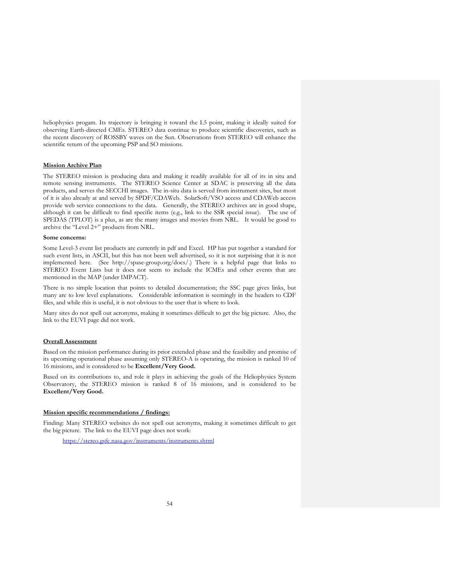heliophysics progam. Its trajectory is bringing it toward the L5 point, making it ideally suited for observing Earth-directed CMEs. STEREO data continue to produce scientific discoveries, such as the recent discovery of ROSSBY waves on the Sun. Observations from STEREO will enhance the scientific return of the upcoming PSP and SO missions.

## **Mission Archive Plan**

The STEREO mission is producing data and making it readily available for all of its in situ and remote sensing instruments. The STEREO Science Center at SDAC is preserving all the data products, and serves the SECCHI images. The in-situ data is served from instrument sites, but most of it is also already at and served by SPDF/CDAWeb. SolarSoft/VSO access and CDAWeb access provide web service connections to the data. Generally, the STEREO archives are in good shape, although it can be difficult to find specific items (e.g., link to the SSR special issue). The use of SPEDAS (TPLOT) is a plus, as are the many images and movies from NRL. It would be good to archive the "Level 2+" products from NRL.

## **Some concerns:**

Some Level-3 event list products are currently in pdf and Excel. HP has put together a standard for such event lists, in ASCII, but this has not been well advertised, so it is not surprising that it is not implemented here. (See http://spase-group.org/docs/.) There is a helpful page that links to STEREO Event Lists but it does not seem to include the ICMEs and other events that are mentioned in the MAP (under IMPACT).

There is no simple location that points to detailed documentation; the SSC page gives links, but many are to low level explanations. Considerable information is seemingly in the headers to CDF files, and while this is useful, it is not obvious to the user that is where to look.

Many sites do not spell out acronyms, making it sometimes difficult to get the big picture. Also, the link to the EUVI page did not work.

#### **Overall Assessment**

Based on the mission performance during its prior extended phase and the feasibility and promise of its upcoming operational phase assuming only STEREO-A is operating, the mission is ranked 10 of 16 missions, and is considered to be **Excellent/Very Good.**

Based on its contributions to, and role it plays in achieving the goals of the Heliophysics System Observatory, the STEREO mission is ranked 8 of 16 missions, and is considered to be **Excellent/Very Good.**

#### **Mission specific recommendations / findings:**

Finding: Many STEREO websites do not spell out acronyms, making it sometimes difficult to get the big picture. The link to the EUVI page does not work:

https://stereo.gsfc.nasa.gov/instruments/instruments.shtml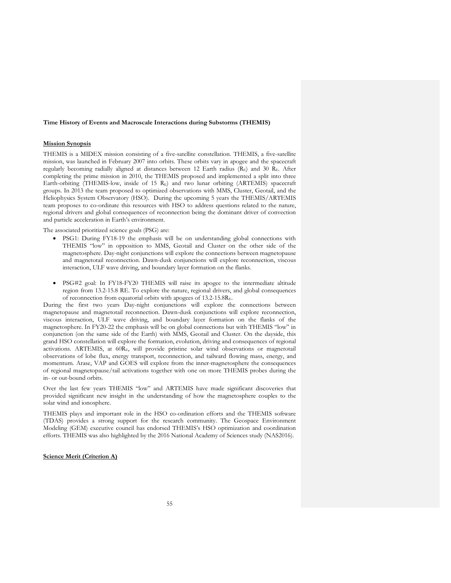#### **Time History of Events and Macroscale Interactions during Substorms (THEMIS)**

#### **Mission Synopsis**

THEMIS is a MIDEX mission consisting of a five-satellite constellation. THEMIS, a five-satellite mission, was launched in February 2007 into orbits. These orbits vary in apogee and the spacecraft regularly becoming radially aligned at distances between 12 Earth radius (RE) and 30 RE. After completing the prime mission in 2010, the THEMIS proposed and implemented a split into three Earth-orbiting (THEMIS-low, inside of 15 RE) and two lunar orbiting (ARTEMIS) spacecraft groups. In 2013 the team proposed to optimized observations with MMS, Cluster, Geotail, and the Heliophysics System Observatory (HSO). During the upcoming 5 years the THEMIS/ARTEMIS team proposes to co-ordinate this resources with HSO to address questions related to the nature, regional drivers and global consequences of reconnection being the dominant driver of convection and particle acceleration in Earth's environment.

The associated prioritized science goals (PSG) are:

- PSG1: During FY18-19 the emphasis will be on understanding global connections with THEMIS "low" in opposition to MMS, Geotail and Cluster on the other side of the magnetosphere. Day-night conjunctions will explore the connections between magnetopause and magnetotail reconnection. Dawn-dusk conjunctions will explore reconnection, viscous interaction, ULF wave driving, and boundary layer formation on the flanks.
- PSG#2 goal: In FY18-FY20 THEMIS will raise its apogee to the intermediate altitude region from 13.2-15.8 RE. To explore the nature, regional drivers, and global consequences of reconnection from equatorial orbits with apogees of 13.2-15.8RE.

During the first two years Day-night conjunctions will explore the connections between magnetopause and magnetotail reconnection. Dawn-dusk conjunctions will explore reconnection, viscous interaction, ULF wave driving, and boundary layer formation on the flanks of the magnetosphere. In FY20-22 the emphasis will be on global connections but with THEMIS "low" in conjunction (on the same side of the Earth) with MMS, Geotail and Cluster. On the dayside, this grand HSO constellation will explore the formation, evolution, driving and consequences of regional activations. ARTEMIS, at 60RE, will provide pristine solar wind observations or magnetotail observations of lobe flux, energy transport, reconnection, and tailward flowing mass, energy, and momentum. Arase, VAP and GOES will explore from the inner-magnetosphere the consequences of regional magnetopause/tail activations together with one on more THEMIS probes during the in- or out-bound orbits.

Over the last few years THEMIS "low" and ARTEMIS have made significant discoveries that provided significant new insight in the understanding of how the magnetosphere couples to the solar wind and ionosphere.

THEMIS plays and important role in the HSO co-ordination efforts and the THEMIS software (TDAS) provides a strong support for the research community. The Geospace Environment Modeling (GEM) executive council has endorsed THEMIS's HSO optimization and coordination efforts. THEMIS was also highlighted by the 2016 National Academy of Sciences study (NAS2016).

## **Science Merit (Criterion A)**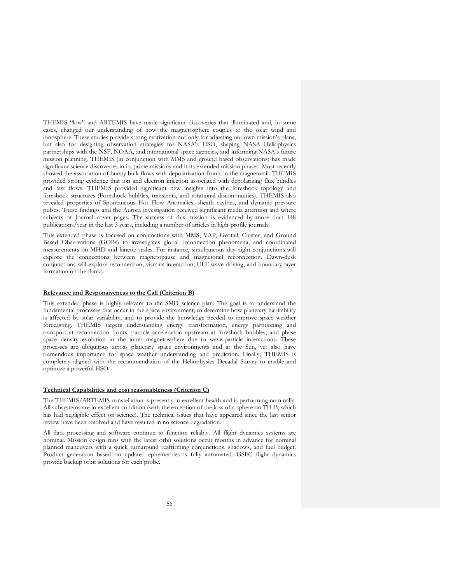THEMIS "low" and ARTEMIS have made significant discoveries that illuminated and, in some cases, changed our understanding of how the magnetosphere couples to the solar wind and ionosphere. These studies provide strong motivation not only for adjusting our own mission's plans, but also for designing observation strategies for NASA's HSO, shaping NASA Heliophysics partnerships with the NSF, NOAA, and international space agencies, and informing NASA's future mission planning. THEMIS (in conjunction with MMS and ground based observations) has made significant science discoveries in its prime missions and it its extended mission phases. Most recently showed the association of bursty bulk flows with depolarization fronts in the magnetotail. THEMIS provided strong evidence that ion and electron injection associated with depolarizing flux bundles and fast flows. THEMIS provided significant new insights into the foreshock topology and foreshock structures (Foreshock bubbles, transients, and rotational discontinuities). THEMIS also revealed properties of Spontaneous Hot Flow Anomalies, sheath cavities, and dynamic pressure pulses. These findings and the Aurora investigation received significant media attention and where subjects of Journal cover pages. The success of this mission is evidenced by more than 148 publications/year in the last 3 years, including a number of articles in high-profile journals.

This extended phase is focused on conjunctions with MMS, VAP, Geotail, Cluster, and Ground Based Observations (GOBs) to investigates global reconnection phenomena, and coordinated measurements on MHD and kinetic scales. For instance, simultaneous day-night conjunctions will explore the connections between magnetopause and magnetotail reconnection. Dawn-dusk conjunctions will explore reconnection, viscous interaction, ULF wave driving, and boundary layer formation on the flanks.

#### **Relevance and Responsiveness to the Call (Criterion B)**

This extended phase is highly relevant to the SMD science plan. The goal is to understand the fundamental processes that occur in the space environment; to determine how planetary habitability is affected by solar variability, and to provide the knowledge needed to improve space weather forecasting. THEMIS targets understanding energy transformation, energy partitioning and transport at reconnection fronts, particle acceleration upstream at foreshock bubbles, and phase space density evolution in the inner magnetosphere due to wave-particle interactions. These processes are ubiquitous across planetary space environments and at the Sun, yet also have tremendous importance for space weather understanding and prediction. Finally, THEMIS is completely aligned with the recommendation of the Heliophysics Decadal Survey to enable and optimize a powerful HSO.

#### **Technical Capabilities and cost reasonableness (Criterion C)**

The THEMIS/ARTEMIS constellation is presently in excellent health and is performing nominally. All subsystems are in excellent condition (with the exception of the loss of a sphere on TH-B, which has had negligible effect on science). The technical issues that have appeared since the last senior review have been resolved and have resulted in no science degradation.

All data processing and software continue to function reliably. All flight dynamics systems are nominal. Mission design runs with the latest orbit solutions occur months in advance for nominal planned maneuvers with a quick turnaround reaffirming conjunctions, shadows, and fuel budget. Product generation based on updated ephemerides is fully automated. GSFC flight dynamics provide backup orbit solutions for each probe.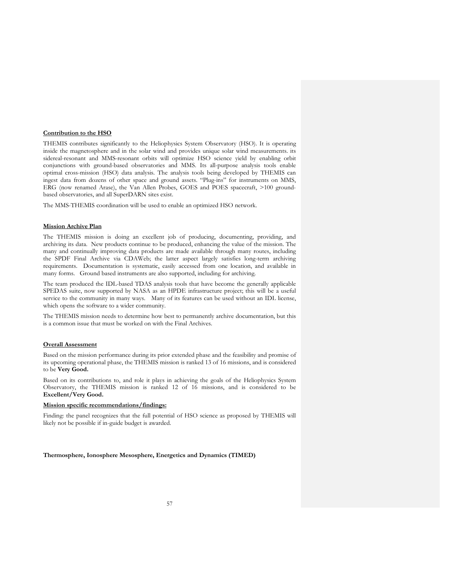### **Contribution to the HSO**

THEMIS contributes significantly to the Heliophysics System Observatory (HSO). It is operating inside the magnetosphere and in the solar wind and provides unique solar wind measurements. its sidereal-resonant and MMS-resonant orbits will optimize HSO science yield by enabling orbit conjunctions with ground-based observatories and MMS. Its all-purpose analysis tools enable optimal cross-mission (HSO) data analysis. The analysis tools being developed by THEMIS can ingest data from dozens of other space and ground assets. "Plug-ins" for instruments on MMS, ERG (now renamed Arase), the Van Allen Probes, GOES and POES spacecraft, >100 groundbased observatories, and all SuperDARN sites exist.

The MMS-THEMIS coordination will be used to enable an optimized HSO network.

## **Mission Archive Plan**

The THEMIS mission is doing an excellent job of producing, documenting, providing, and archiving its data. New products continue to be produced, enhancing the value of the mission. The many and continually improving data products are made available through many routes, including the SPDF Final Archive via CDAWeb; the latter aspect largely satisfies long-term archiving requirements. Documentation is systematic, easily accessed from one location, and available in many forms. Ground based instruments are also supported, including for archiving.

The team produced the IDL-based TDAS analysis tools that have become the generally applicable SPEDAS suite, now supported by NASA as an HPDE infrastructure project; this will be a useful service to the community in many ways. Many of its features can be used without an IDL license, which opens the software to a wider community.

The THEMIS mission needs to determine how best to permanently archive documentation, but this is a common issue that must be worked on with the Final Archives.

# **Overall Assessment**

Based on the mission performance during its prior extended phase and the feasibility and promise of its upcoming operational phase, the THEMIS mission is ranked 13 of 16 missions, and is considered to be **Very Good.**

Based on its contributions to, and role it plays in achieving the goals of the Heliophysics System Observatory, the THEMIS mission is ranked 12 of 16 missions, and is considered to be **Excellent/Very Good.**

## **Mission specific recommendations/findings:**

Finding: the panel recognizes that the full potential of HSO science as proposed by THEMIS will likely not be possible if in-guide budget is awarded.

## **Thermosphere, Ionosphere Mesosphere, Energetics and Dynamics (TIMED)**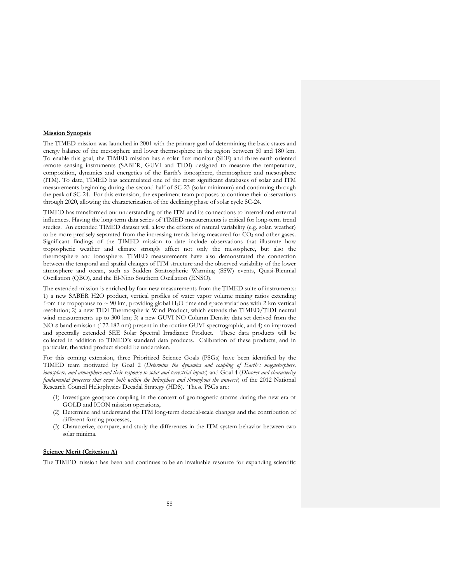## **Mission Synopsis**

The TIMED mission was launched in 2001 with the primary goal of determining the basic states and energy balance of the mesosphere and lower thermosphere in the region between 60 and 180 km. To enable this goal, the TIMED mission has a solar flux monitor (SEE) and three earth oriented remote sensing instruments (SABER, GUVI and TIDI) designed to measure the temperature, composition, dynamics and energetics of the Earth's ionosphere, thermosphere and mesosphere (ITM). To date, TIMED has accumulated one of the most significant databases of solar and ITM measurements beginning during the second half of SC-23 (solar minimum) and continuing through the peak of SC-24. For this extension, the experiment team proposes to continue their observations through 2020, allowing the characterization of the declining phase of solar cycle SC-24.

TIMED has transformed our understanding of the ITM and its connections to internal and external influences. Having the long-term data series of TIMED measurements is critical for long-term trend studies. An extended TIMED dataset will allow the effects of natural variability (e.g. solar, weather) to be more precisely separated from the increasing trends being measured for  $CO<sub>2</sub>$  and other gases. Significant findings of the TIMED mission to date include observations that illustrate how tropospheric weather and climate strongly affect not only the mesosphere, but also the thermosphere and ionosphere. TIMED measurements have also demonstrated the connection between the temporal and spatial changes of ITM structure and the observed variability of the lower atmosphere and ocean, such as Sudden Stratospheric Warming (SSW) events, Quasi-Biennial Oscillation (QBO), and the El-Nino Southern Oscillation (ENSO).

The extended mission is enriched by four new measurements from the TIMED suite of instruments: 1) a new SABER H2O product, vertical profiles of water vapor volume mixing ratios extending from the tropopause to  $\sim$  90 km, providing global H<sub>2</sub>O time and space variations with 2 km vertical resolution; 2) a new TIDI Thermospheric Wind Product, which extends the TIMED/TIDI neutral wind measurements up to 300 km; 3) a new GUVI NO Column Density data set derived from the NO-ε band emission (172-182 nm) present in the routine GUVI spectrographic, and 4) an improved and spectrally extended SEE Solar Spectral Irradiance Product. These data products will be collected in addition to TIMED's standard data products. Calibration of these products, and in particular, the wind product should be undertaken.

For this coming extension, three Prioritized Science Goals (PSGs) have been identified by the TIMED team motivated by Goal 2 (*Determine the dynamics and coupling of Earth's magnetosphere, ionosphere, and atmosphere and their response to solar and terrestrial inputs*) and Goal 4 (*Discover and characterize fundamental processes that occur both within the heliosphere and throughout the universe*) of the 2012 National Research Council Heliophysics Decadal Strategy (HDS). These PSGs are:

- (1) Investigate geospace coupling in the context of geomagnetic storms during the new era of GOLD and ICON mission operations,
- (2) Determine and understand the ITM long-term decadal-scale changes and the contribution of different forcing processes,
- (3) Characterize, compare, and study the differences in the ITM system behavior between two solar minima.

## **Science Merit (Criterion A)**

The TIMED mission has been and continues to be an invaluable resource for expanding scientific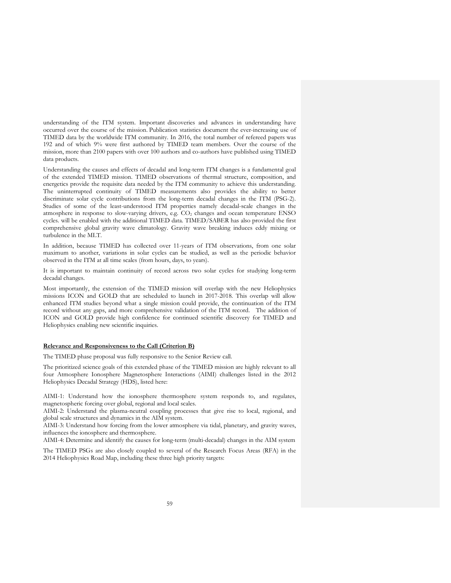understanding of the ITM system. Important discoveries and advances in understanding have occurred over the course of the mission. Publication statistics document the ever-increasing use of TIMED data by the worldwide ITM community. In 2016, the total number of refereed papers was 192 and of which 9% were first authored by TIMED team members. Over the course of the mission, more than 2100 papers with over 100 authors and co-authors have published using TIMED data products.

Understanding the causes and effects of decadal and long-term ITM changes is a fundamental goal of the extended TIMED mission. TIMED observations of thermal structure, composition, and energetics provide the requisite data needed by the ITM community to achieve this understanding. The uninterrupted continuity of TIMED measurements also provides the ability to better discriminate solar cycle contributions from the long-term decadal changes in the ITM (PSG-2). Studies of some of the least-understood ITM properties namely decadal-scale changes in the atmosphere in response to slow-varying drivers, e.g. CO<sub>2</sub> changes and ocean temperature ENSO cycles. will be enabled with the additional TIMED data. TIMED/SABER has also provided the first comprehensive global gravity wave climatology. Gravity wave breaking induces eddy mixing or turbulence in the MLT.

In addition, because TIMED has collected over 11-years of ITM observations, from one solar maximum to another, variations in solar cycles can be studied, as well as the periodic behavior observed in the ITM at all time scales (from hours, days, to years).

It is important to maintain continuity of record across two solar cycles for studying long-term decadal changes.

Most importantly, the extension of the TIMED mission will overlap with the new Heliophysics missions ICON and GOLD that are scheduled to launch in 2017-2018. This overlap will allow enhanced ITM studies beyond what a single mission could provide, the continuation of the ITM record without any gaps, and more comprehensive validation of the ITM record. The addition of ICON and GOLD provide high confidence for continued scientific discovery for TIMED and Heliophysics enabling new scientific inquiries.

## **Relevance and Responsiveness to the Call (Criterion B)**

The TIMED phase proposal was fully responsive to the Senior Review call.

The prioritized science goals of this extended phase of the TIMED mission are highly relevant to all four Atmosphere Ionosphere Magnetosphere Interactions (AIMI) challenges listed in the 2012 Heliophysics Decadal Strategy (HDS), listed here:

AIMI-1: Understand how the ionosphere thermosphere system responds to, and regulates, magnetospheric forcing over global, regional and local scales.

AIMI-2: Understand the plasma-neutral coupling processes that give rise to local, regional, and global scale structures and dynamics in the AIM system.

AIMI-3: Understand how forcing from the lower atmosphere via tidal, planetary, and gravity waves, influences the ionosphere and thermosphere.

AIMI-4: Determine and identify the causes for long-term (multi-decadal) changes in the AIM system

The TIMED PSGs are also closely coupled to several of the Research Focus Areas (RFA) in the 2014 Heliophysics Road Map, including these three high priority targets: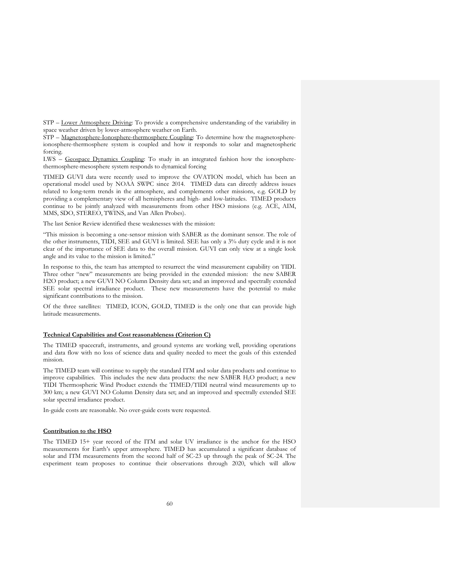STP – Lower Atmosphere Driving: To provide a comprehensive understanding of the variability in space weather driven by lower-atmosphere weather on Earth.

STP – Magnetosphere-Ionosphere-thermosphere Coupling: To determine how the magnetosphereionosphere-thermosphere system is coupled and how it responds to solar and magnetospheric forcing.

LWS – Geospace Dynamics Coupling: To study in an integrated fashion how the ionospherethermosphere-mesosphere system responds to dynamical forcing

TIMED GUVI data were recently used to improve the OVATION model, which has been an operational model used by NOAA SWPC since 2014. TIMED data can directly address issues related to long-term trends in the atmosphere, and complements other missions, e.g. GOLD by providing a complementary view of all hemispheres and high- and low-latitudes. TIMED products continue to be jointly analyzed with measurements from other HSO missions (e.g. ACE, AIM, MMS, SDO, STEREO, TWINS, and Van Allen Probes).

The last Senior Review identified these weaknesses with the mission:

"This mission is becoming a one-sensor mission with SABER as the dominant sensor. The role of the other instruments, TIDI, SEE and GUVI is limited. SEE has only a 3% duty cycle and it is not clear of the importance of SEE data to the overall mission. GUVI can only view at a single look angle and its value to the mission is limited."

In response to this, the team has attempted to resurrect the wind measurement capability on TIDI. Three other "new" measurements are being provided in the extended mission: the new SABER H2O product; a new GUVI NO Column Density data set; and an improved and spectrally extended SEE solar spectral irradiance product. These new measurements have the potential to make significant contributions to the mission.

Of the three satellites: TIMED, ICON, GOLD, TIMED is the only one that can provide high latitude measurements.

# **Technical Capabilities and Cost reasonableness (Criterion C)**

The TIMED spacecraft, instruments, and ground systems are working well, providing operations and data flow with no loss of science data and quality needed to meet the goals of this extended mission.

The TIMED team will continue to supply the standard ITM and solar data products and continue to improve capabilities. This includes the new data products: the new SABER H2O product; a new TIDI Thermospheric Wind Product extends the TIMED/TIDI neutral wind measurements up to 300 km; a new GUVI NO Column Density data set; and an improved and spectrally extended SEE solar spectral irradiance product.

In-guide costs are reasonable. No over-guide costs were requested.

#### **Contribution to the HSO**

The TIMED 15+ year record of the ITM and solar UV irradiance is the anchor for the HSO measurements for Earth's upper atmosphere. TIMED has accumulated a significant database of solar and ITM measurements from the second half of SC-23 up through the peak of SC-24. The experiment team proposes to continue their observations through 2020, which will allow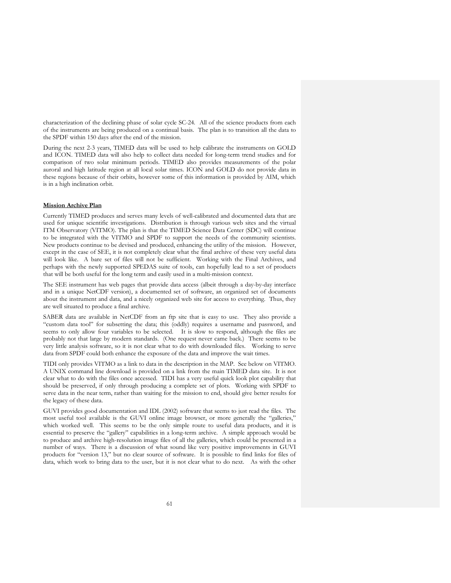characterization of the declining phase of solar cycle SC-24. All of the science products from each of the instruments are being produced on a continual basis. The plan is to transition all the data to the SPDF within 150 days after the end of the mission.

During the next 2-3 years, TIMED data will be used to help calibrate the instruments on GOLD and ICON. TIMED data will also help to collect data needed for long-term trend studies and for comparison of two solar minimum periods. TIMED also provides measurements of the polar auroral and high latitude region at all local solar times. ICON and GOLD do not provide data in these regions because of their orbits, however some of this information is provided by AIM, which is in a high inclination orbit.

### **Mission Archive Plan**

Currently TIMED produces and serves many levels of well-calibrated and documented data that are used for unique scientific investigations. Distribution is through various web sites and the virtual ITM Observatory (VITMO). The plan is that the TIMED Science Data Center (SDC) will continue to be integrated with the VITMO and SPDF to support the needs of the community scientists. New products continue to be devised and produced, enhancing the utility of the mission. However, except in the case of SEE, it is not completely clear what the final archive of these very useful data will look like. A bare set of files will not be sufficient. Working with the Final Archives, and perhaps with the newly supported SPEDAS suite of tools, can hopefully lead to a set of products that will be both useful for the long term and easily used in a multi-mission context.

The SEE instrument has web pages that provide data access (albeit through a day-by-day interface and in a unique NetCDF version), a documented set of software, an organized set of documents about the instrument and data, and a nicely organized web site for access to everything. Thus, they are well situated to produce a final archive.

SABER data are available in NetCDF from an ftp site that is easy to use. They also provide a "custom data tool" for subsetting the data; this (oddly) requires a username and password, and seems to only allow four variables to be selected. It is slow to respond, although the files are probably not that large by modern standards. (One request never came back.) There seems to be very little analysis software, so it is not clear what to do with downloaded files. Working to serve data from SPDF could both enhance the exposure of the data and improve the wait times.

TIDI only provides VITMO as a link to data in the description in the MAP. See below on VITMO. A UNIX command line download is provided on a link from the main TIMED data site. It is not clear what to do with the files once accessed. TIDI has a very useful quick look plot capability that should be preserved, if only through producing a complete set of plots. Working with SPDF to serve data in the near term, rather than waiting for the mission to end, should give better results for the legacy of these data.

GUVI provides good documentation and IDL (2002) software that seems to just read the files. The most useful tool available is the GUVI online image browser, or more generally the "galleries," which worked well. This seems to be the only simple route to useful data products, and it is essential to preserve the "gallery" capabilities in a long-term archive. A simple approach would be to produce and archive high-resolution image files of all the galleries, which could be presented in a number of ways. There is a discussion of what sound like very positive improvements in GUVI products for "version 13," but no clear source of software. It is possible to find links for files of data, which work to bring data to the user, but it is not clear what to do next. As with the other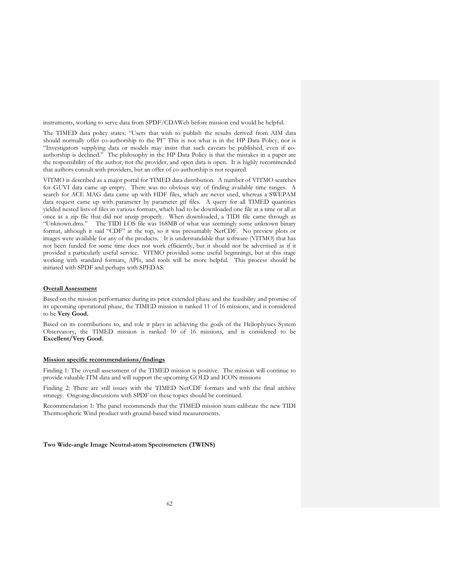instruments, working to serve data from SPDF/CDAWeb before mission end would be helpful.

The TIMED data policy states: "Users that wish to publish the results derived from AIM data should normally offer co-authorship to the PI" This is not what is in the HP Data Policy, nor is "Investigators supplying data or models may insist that such caveats be published, even if coauthorship is declined." The philosophy in the HP Data Policy is that the mistakes in a paper are the responsibility of the author, not the provider, and open data is open. It is highly recommended that authors consult with providers, but an offer of co-authorship is not required.

VITMO is described as a major portal for TIMED data distribution. A number of VITMO searches for GUVI data came up empty. There was no obvious way of finding available time ranges. A search for ACE MAG data came up with HDF files, which are never used, whereas a SWEPAM data request came up with parameter by parameter gif files. A query for all TIMED quantities yielded nested lists of files in various formats, which had to be downloaded one file at a time or all at once as a zip file that did not unzip properly. When downloaded, a TIDI file came through as "Unknown.dms." The TIDI LOS file was 168MB of what was seemingly some unknown binary format, although it said "CDF" at the top, so it was presumably NetCDF. No preview plots or images were available for any of the products. It is understandable that software (VITMO) that has not been funded for some time does not work efficiently, but it should not be advertised as if it provided a particularly useful service. VITMO provided some useful beginnings, but at this stage working with standard formats, APIs, and tools will be more helpful. This process should be initiated with SPDF and perhaps with SPEDAS.

## **Overall Assessment**

Based on the mission performance during its prior extended phase and the feasibility and promise of its upcoming operational phase, the TIMED mission is ranked 11 of 16 missions, and is considered to be **Very Good.**

Based on its contributions to, and role it plays in achieving the goals of the Heliophysics System Observatory, the TIMED mission is ranked 10 of 16 missions, and is considered to be **Excellent/Very Good.**

## **Mission specific recommendations/findings**

Finding 1: The overall assessment of the TIMED mission is positive. The mission will continue to provide valuable ITM data and will support the upcoming GOLD and ICON missions

Finding 2: There are still issues with the TIMED NetCDF formats and with the final archive strategy. Ongoing discussions with SPDF on these topics should be continued.

Recommendation 1: The panel recommends that the TIMED mission team calibrate the new TIDI Thermospheric Wind product with ground-based wind measurements.

## **Two Wide-angle Image Neutral-atom Spectrometers (TWINS)**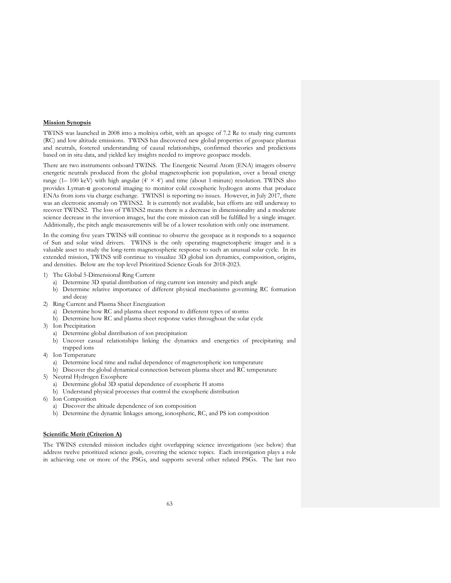## **Mission Synopsis**

TWINS was launched in 2008 into a molniya orbit, with an apogee of 7.2 Re to study ring currents (RC) and low altitude emissions. TWINS has discovered new global properties of geospace plasmas and neutrals, fostered understanding of causal relationships, confirmed theories and predictions based on in situ data, and yielded key insights needed to improve geospace models.

There are two instruments onboard TWINS. The Energetic Neutral Atom (ENA) imagers observe energetic neutrals produced from the global magnetospheric ion population, over a broad energy range (1– 100 keV) with high angular ( $4° \times 4°$ ) and time (about 1-minute) resolution. TWINS also provides Lyman-α geocoronal imaging to monitor cold exospheric hydrogen atoms that produce ENAs from ions via charge exchange. TWINS1 is reporting no issues. However, in July 2017, there was an electronic anomaly on TWINS2. It is currently not available, but efforts are still underway to recover TWINS2. The loss of TWINS2 means there is a decrease in dimensionality and a moderate science decrease in the inversion images, but the core mission can still be fulfilled by a single imager. Additionally, the pitch angle measurements will be of a lower resolution with only one instrument.

In the coming five years TWINS will continue to observe the geospace as it responds to a sequence of Sun and solar wind drivers. TWINS is the only operating magnetospheric imager and is a valuable asset to study the long-term magnetospheric response to such an unusual solar cycle. In its extended mission, TWINS will continue to visualize 3D global ion dynamics, composition, origins, and densities. Below are the top level Prioritized Science Goals for 2018-2023.

- 1) The Global 5-Dimensional Ring Current
	- a) Determine 3D spatial distribution of ring current ion intensity and pitch angle
	- b) Determine relative importance of different physical mechanisms governing RC formation and decay
- 2) Ring Current and Plasma Sheet Energization
	- a) Determine how RC and plasma sheet respond to different types of storms
	- b) Determine how RC and plasma sheet response varies throughout the solar cycle
- 3) Ion Precipitation
	- a) Determine global distribution of ion precipitation
	- b) Uncover casual relationships linking the dynamics and energetics of precipitating and trapped ions
- 4) Ion Temperature
	- a) Determine local time and radial dependence of magnetospheric ion temperature
	- b) Discover the global dynamical connection between plasma sheet and RC temperature
- 5) Neutral Hydrogen Exosphere
	- a) Determine global 3D spatial dependence of exospheric H atoms
	- b) Understand physical processes that control the exospheric distribution
- 6) Ion Composition
	- a) Discover the altitude dependence of ion composition
	- b) Determine the dynamic linkages among, ionospheric, RC, and PS ion composition

### **Scientific Merit (Criterion A)**

The TWINS extended mission includes eight overlapping science investigations (see below) that address twelve prioritized science goals, covering the science topics. Each investigation plays a role in achieving one or more of the PSGs, and supports several other related PSGs. The last two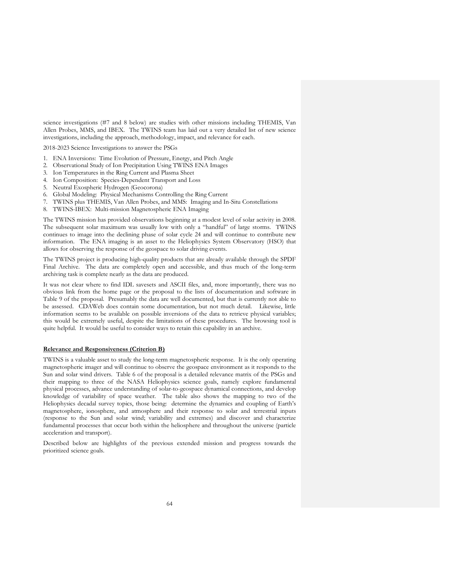science investigations (#7 and 8 below) are studies with other missions including THEMIS, Van Allen Probes, MMS, and IBEX. The TWINS team has laid out a very detailed list of new science investigations, including the approach, methodology, impact, and relevance for each.

2018-2023 Science Investigations to answer the PSGs

- 1. ENA Inversions: Time Evolution of Pressure, Energy, and Pitch Angle
- 2. Observational Study of Ion Precipitation Using TWINS ENA Images
- 3. Ion Temperatures in the Ring Current and Plasma Sheet
- 4. Ion Composition: Species-Dependent Transport and Loss
- 5. Neutral Exospheric Hydrogen (Geocorona)
- 6. Global Modeling: Physical Mechanisms Controlling the Ring Current
- 7. TWINS plus THEMIS, Van Allen Probes, and MMS: Imaging and In-Situ Constellations
- 8. TWINS-IBEX: Multi-mission Magnetospheric ENA Imaging

The TWINS mission has provided observations beginning at a modest level of solar activity in 2008. The subsequent solar maximum was usually low with only a "handful" of large storms. TWINS continues to image into the declining phase of solar cycle 24 and will continue to contribute new information. The ENA imaging is an asset to the Heliophysics System Observatory (HSO) that allows for observing the response of the geospace to solar driving events.

The TWINS project is producing high-quality products that are already available through the SPDF Final Archive. The data are completely open and accessible, and thus much of the long-term archiving task is complete nearly as the data are produced.

It was not clear where to find IDL savesets and ASCII files, and, more importantly, there was no obvious link from the home page or the proposal to the lists of documentation and software in Table 9 of the proposal. Presumably the data are well documented, but that is currently not able to be assessed. CDAWeb does contain some documentation, but not much detail. Likewise, little information seems to be available on possible inversions of the data to retrieve physical variables; this would be extremely useful, despite the limitations of these procedures. The browsing tool is quite helpful. It would be useful to consider ways to retain this capability in an archive.

#### **Relevance and Responsiveness (Criterion B)**

TWINS is a valuable asset to study the long-term magnetospheric response. It is the only operating magnetospheric imager and will continue to observe the geospace environment as it responds to the Sun and solar wind drivers. Table 6 of the proposal is a detailed relevance matrix of the PSGs and their mapping to three of the NASA Heliophysics science goals, namely explore fundamental physical processes, advance understanding of solar-to-geospace dynamical connections, and develop knowledge of variability of space weather. The table also shows the mapping to two of the Heliophysics decadal survey topics, those being: determine the dynamics and coupling of Earth's magnetosphere, ionosphere, and atmosphere and their response to solar and terrestrial inputs (response to the Sun and solar wind; variability and extremes) and discover and characterize fundamental processes that occur both within the heliosphere and throughout the universe (particle acceleration and transport).

Described below are highlights of the previous extended mission and progress towards the prioritized science goals.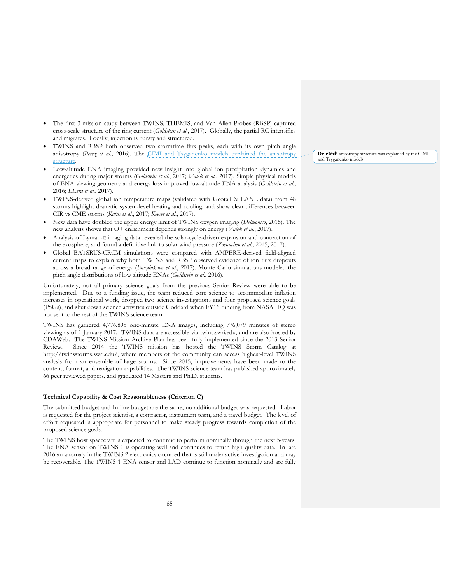- The first 3-mission study between TWINS, THEMIS, and Van Allen Probes (RBSP) captured cross-scale structure of the ring current (*Goldstein et al.*, 2017). Globally, the partial RC intensifies and migrates. Locally, injection is bursty and structured.
- TWINS and RBSP both observed two stormtime flux peaks, each with its own pitch angle anisotropy (*Perez et al.*, 2016). The CIMI and Tsyganenko models explained the anisotropy structure.
- Low-altitude ENA imaging provided new insight into global ion precipitation dynamics and energetics during major storms (*Goldstein et al.*, 2017; *Valek et al.*, 2017). Simple physical models of ENA viewing geometry and energy loss improved low-altitude ENA analysis (*Goldstein et al.*, 2016; *LLera et al.*, 2017).
- TWINS-derived global ion temperature maps (validated with Geotail & LANL data) from 48 storms highlight dramatic system-level heating and cooling, and show clear differences between CIR vs CME storms (*Katus et al.*, 2017; *Keesee et al.*, 2017).
- New data have doubled the upper energy limit of TWINS oxygen imaging (*Delmonico*, 2015). The new analysis shows that O+ enrichment depends strongly on energy (*Valek et al.*, 2017).
- Analysis of Lyman-α imaging data revealed the solar-cycle-driven expansion and contraction of the exosphere, and found a definitive link to solar wind pressure (*Zoennchen et al.*, 2015, 2017).
- Global BATSRUS-CRCM simulations were compared with AMPERE-derived field-aligned current maps to explain why both TWINS and RBSP observed evidence of ion flux dropouts across a broad range of energy (*Buzulukova et al.*, 2017). Monte Carlo simulations modeled the pitch angle distributions of low altitude ENAs (*Goldstein et al.*, 2016).

Unfortunately, not all primary science goals from the previous Senior Review were able to be implemented. Due to a funding issue, the team reduced core science to accommodate inflation increases in operational work, dropped two science investigations and four proposed science goals (PSGs), and shut down science activities outside Goddard when FY16 funding from NASA HQ was not sent to the rest of the TWINS science team.

TWINS has gathered 4,776,895 one-minute ENA images, including 776,079 minutes of stereo viewing as of 1 January 2017. TWINS data are accessible via twins.swri.edu, and are also hosted by CDAWeb. The TWINS Mission Archive Plan has been fully implemented since the 2013 Senior Review. Since 2014 the TWINS mission has hosted the TWINS Storm Catalog at http://twinsstorms.swri.edu/, where members of the community can access highest-level TWINS analysis from an ensemble of large storms. Since 2015, improvements have been made to the content, format, and navigation capabilities. The TWINS science team has published approximately 66 peer reviewed papers, and graduated 14 Masters and Ph.D. students.

#### **Technical Capability & Cost Reasonableness (Criterion C)**

The submitted budget and In-line budget are the same, no additional budget was requested. Labor is requested for the project scientist, a contractor, instrument team, and a travel budget. The level of effort requested is appropriate for personnel to make steady progress towards completion of the proposed science goals.

The TWINS host spacecraft is expected to continue to perform nominally through the next 5-years. The ENA sensor on TWINS 1 is operating well and continues to return high quality data. In late 2016 an anomaly in the TWINS 2 electronics occurred that is still under active investigation and may be recoverable. The TWINS 1 ENA sensor and LAD continue to function nominally and are fully Deleted: anisotropy structure was explained by the CIMI and Tsyganenko models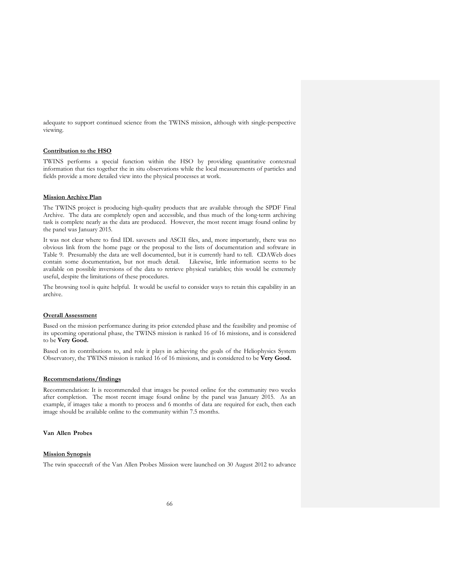adequate to support continued science from the TWINS mission, although with single-perspective viewing.

#### **Contribution to the HSO**

TWINS performs a special function within the HSO by providing quantitative contextual information that ties together the in situ observations while the local measurements of particles and fields provide a more detailed view into the physical processes at work.

# **Mission Archive Plan**

The TWINS project is producing high-quality products that are available through the SPDF Final Archive. The data are completely open and accessible, and thus much of the long-term archiving task is complete nearly as the data are produced. However, the most recent image found online by the panel was January 2015.

It was not clear where to find IDL savesets and ASCII files, and, more importantly, there was no obvious link from the home page or the proposal to the lists of documentation and software in Table 9. Presumably the data are well documented, but it is currently hard to tell. CDAWeb does contain some documentation, but not much detail. Likewise, little information seems to be available on possible inversions of the data to retrieve physical variables; this would be extremely useful, despite the limitations of these procedures.

The browsing tool is quite helpful. It would be useful to consider ways to retain this capability in an archive.

# **Overall Assessment**

Based on the mission performance during its prior extended phase and the feasibility and promise of its upcoming operational phase, the TWINS mission is ranked 16 of 16 missions, and is considered to be **Very Good.**

Based on its contributions to, and role it plays in achieving the goals of the Heliophysics System Observatory, the TWINS mission is ranked 16 of 16 missions, and is considered to be **Very Good.**

### **Recommendations/findings**

Recommendation: It is recommended that images be posted online for the community two weeks after completion. The most recent image found online by the panel was January 2015. As an example, if images take a month to process and 6 months of data are required for each, then each image should be available online to the community within 7.5 months.

## **Van Allen Probes**

## **Mission Synopsis**

The twin spacecraft of the Van Allen Probes Mission were launched on 30 August 2012 to advance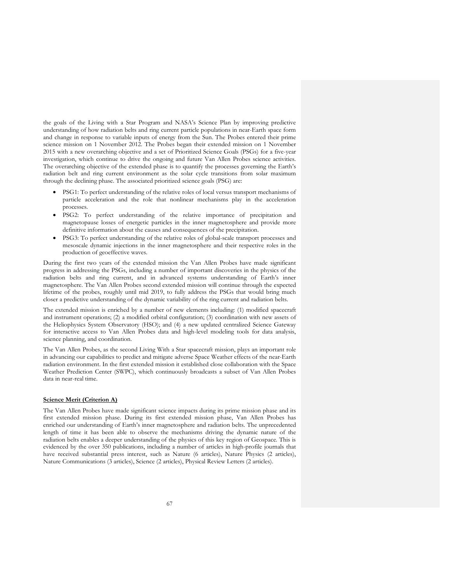the goals of the Living with a Star Program and NASA's Science Plan by improving predictive understanding of how radiation belts and ring current particle populations in near-Earth space form and change in response to variable inputs of energy from the Sun. The Probes entered their prime science mission on 1 November 2012. The Probes began their extended mission on 1 November 2015 with a new overarching objective and a set of Prioritized Science Goals (PSGs) for a five-year investigation, which continue to drive the ongoing and future Van Allen Probes science activities. The overarching objective of the extended phase is to quantify the processes governing the Earth's radiation belt and ring current environment as the solar cycle transitions from solar maximum through the declining phase. The associated prioritized science goals (PSG) are:

- PSG1: To perfect understanding of the relative roles of local versus transport mechanisms of particle acceleration and the role that nonlinear mechanisms play in the acceleration processes.
- PSG2: To perfect understanding of the relative importance of precipitation and magnetopause losses of energetic particles in the inner magnetosphere and provide more definitive information about the causes and consequences of the precipitation.
- PSG3: To perfect understanding of the relative roles of global-scale transport processes and mesoscale dynamic injections in the inner magnetosphere and their respective roles in the production of geoeffective waves.

During the first two years of the extended mission the Van Allen Probes have made significant progress in addressing the PSGs, including a number of important discoveries in the physics of the radiation belts and ring current, and in advanced systems understanding of Earth's inner magnetosphere. The Van Allen Probes second extended mission will continue through the expected lifetime of the probes, roughly until mid 2019, to fully address the PSGs that would bring much closer a predictive understanding of the dynamic variability of the ring current and radiation belts.

The extended mission is enriched by a number of new elements including: (1) modified spacecraft and instrument operations; (2) a modified orbital configuration; (3) coordination with new assets of the Heliophysics System Observatory (HSO); and (4) a new updated centralized Science Gateway for interactive access to Van Allen Probes data and high-level modeling tools for data analysis, science planning, and coordination.

The Van Allen Probes, as the second Living With a Star spacecraft mission, plays an important role in advancing our capabilities to predict and mitigate adverse Space Weather effects of the near-Earth radiation environment. In the first extended mission it established close collaboration with the Space Weather Prediction Center (SWPC), which continuously broadcasts a subset of Van Allen Probes data in near-real time.

## **Science Merit (Criterion A)**

The Van Allen Probes have made significant science impacts during its prime mission phase and its first extended mission phase. During its first extended mission phase, Van Allen Probes has enriched our understanding of Earth's inner magnetosphere and radiation belts. The unprecedented length of time it has been able to observe the mechanisms driving the dynamic nature of the radiation belts enables a deeper understanding of the physics of this key region of Geospace. This is evidenced by the over 350 publications, including a number of articles in high-profile journals that have received substantial press interest, such as Nature (6 articles), Nature Physics (2 articles), Nature Communications (3 articles), Science (2 articles), Physical Review Letters (2 articles).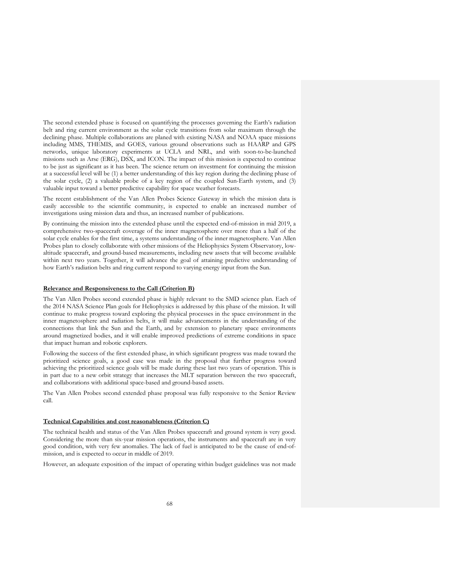The second extended phase is focused on quantifying the processes governing the Earth's radiation belt and ring current environment as the solar cycle transitions from solar maximum through the declining phase. Multiple collaborations are planed with existing NASA and NOAA space missions including MMS, THEMIS, and GOES, various ground observations such as HAARP and GPS networks, unique laboratory experiments at UCLA and NRL, and with soon-to-be-launched missions such as Arse (ERG), DSX, and ICON. The impact of this mission is expected to continue to be just as significant as it has been. The science return on investment for continuing the mission at a successful level will be (1) a better understanding of this key region during the declining phase of the solar cycle, (2) a valuable probe of a key region of the coupled Sun-Earth system, and (3) valuable input toward a better predictive capability for space weather forecasts.

The recent establishment of the Van Allen Probes Science Gateway in which the mission data is easily accessible to the scientific community, is expected to enable an increased number of investigations using mission data and thus, an increased number of publications.

By continuing the mission into the extended phase until the expected end-of-mission in mid 2019, a comprehensive two-spacecraft coverage of the inner magnetosphere over more than a half of the solar cycle enables for the first time, a systems understanding of the inner magnetosphere. Van Allen Probes plan to closely collaborate with other missions of the Heliophysics System Observatory, lowaltitude spacecraft, and ground-based measurements, including new assets that will become available within next two years. Together, it will advance the goal of attaining predictive understanding of how Earth's radiation belts and ring current respond to varying energy input from the Sun.

#### **Relevance and Responsiveness to the Call (Criterion B)**

The Van Allen Probes second extended phase is highly relevant to the SMD science plan. Each of the 2014 NASA Science Plan goals for Heliophysics is addressed by this phase of the mission. It will continue to make progress toward exploring the physical processes in the space environment in the inner magnetosphere and radiation belts, it will make advancements in the understanding of the connections that link the Sun and the Earth, and by extension to planetary space environments around magnetized bodies, and it will enable improved predictions of extreme conditions in space that impact human and robotic explorers.

Following the success of the first extended phase, in which significant progress was made toward the prioritized science goals, a good case was made in the proposal that further progress toward achieving the prioritized science goals will be made during these last two years of operation. This is in part due to a new orbit strategy that increases the MLT separation between the two spacecraft, and collaborations with additional space-based and ground-based assets.

The Van Allen Probes second extended phase proposal was fully responsive to the Senior Review call.

#### **Technical Capabilities and cost reasonableness (Criterion C)**

The technical health and status of the Van Allen Probes spacecraft and ground system is very good. Considering the more than six-year mission operations, the instruments and spacecraft are in very good condition, with very few anomalies. The lack of fuel is anticipated to be the cause of end-ofmission, and is expected to occur in middle of 2019.

However, an adequate exposition of the impact of operating within budget guidelines was not made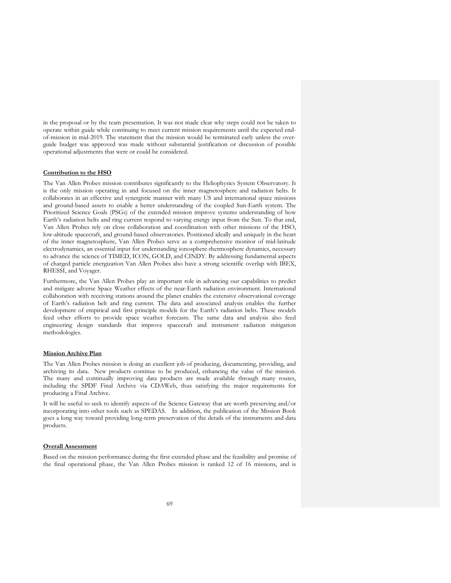in the proposal or by the team presentation. It was not made clear why steps could not be taken to operate within guide while continuing to meet current mission requirements until the expected endof-mission in mid-2019. The statement that the mission would be terminated early unless the overguide budget was approved was made without substantial justification or discussion of possible operational adjustments that were or could be considered.

## **Contribution to the HSO**

The Van Allen Probes mission contributes significantly to the Heliophysics System Observatory. It is the only mission operating in and focused on the inner magnetosphere and radiation belts. It collaborates in an effective and synergistic manner with many US and international space missions and ground-based assets to enable a better understanding of the coupled Sun-Earth system. The Prioritized Science Goals (PSGs) of the extended mission improve systems understanding of how Earth's radiation belts and ring current respond to varying energy input from the Sun. To that end, Van Allen Probes rely on close collaboration and coordination with other missions of the HSO, low-altitude spacecraft, and ground-based observatories. Positioned ideally and uniquely in the heart of the inner magnetosphere, Van Allen Probes serve as a comprehensive monitor of mid-latitude electrodynamics, an essential input for understanding ionosphere-thermosphere dynamics, necessary to advance the science of TIMED, ICON, GOLD, and CINDY. By addressing fundamental aspects of charged particle energization Van Allen Probes also have a strong scientific overlap with IBEX, RHESSI, and Voyager.

Furthermore, the Van Allen Probes play an important role in advancing our capabilities to predict and mitigate adverse Space Weather effects of the near-Earth radiation environment. International collaboration with receiving stations around the planet enables the extensive observational coverage of Earth's radiation belt and ring current. The data and associated analysis enables the further development of empirical and first principle models for the Earth's radiation belts. These models feed other efforts to provide space weather forecasts. The same data and analysis also feed engineering design standards that improve spacecraft and instrument radiation mitigation methodologies.

## **Mission Archive Plan**

The Van Allen Probes mission is doing an excellent job of producing, documenting, providing, and archiving its data. New products continue to be produced, enhancing the value of the mission. The many and continually improving data products are made available through many routes, including the SPDF Final Archive via CDAWeb, thus satisfying the major requirements for producing a Final Archive.

It will be useful to seek to identify aspects of the Science Gateway that are worth preserving and/or incorporating into other tools such as SPEDAS. In addition, the publication of the Mission Book goes a long way toward providing long-term preservation of the details of the instruments and data products.

## **Overall Assessment**

Based on the mission performance during the first extended phase and the feasibility and promise of the final operational phase, the Van Allen Probes mission is ranked 12 of 16 missions, and is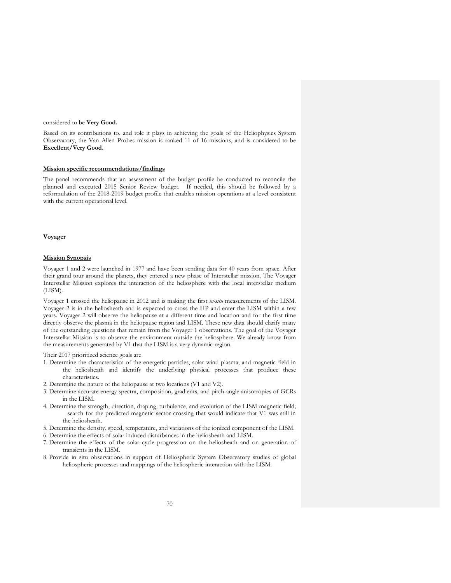#### considered to be **Very Good.**

Based on its contributions to, and role it plays in achieving the goals of the Heliophysics System Observatory, the Van Allen Probes mission is ranked 11 of 16 missions, and is considered to be **Excellent/Very Good.**

## **Mission specific recommendations/findings**

The panel recommends that an assessment of the budget profile be conducted to reconcile the planned and executed 2015 Senior Review budget. If needed, this should be followed by a reformulation of the 2018-2019 budget profile that enables mission operations at a level consistent with the current operational level.

#### **Voyager**

## **Mission Synopsis**

Voyager 1 and 2 were launched in 1977 and have been sending data for 40 years from space. After their grand tour around the planets, they entered a new phase of Interstellar mission. The Voyager Interstellar Mission explores the interaction of the heliosphere with the local interstellar medium (LISM).

Voyager 1 crossed the heliopause in 2012 and is making the first *in-situ* measurements of the LISM. Voyager 2 is in the heliosheath and is expected to cross the HP and enter the LISM within a few years. Voyager 2 will observe the heliopause at a different time and location and for the first time directly observe the plasma in the heliopause region and LISM. These new data should clarify many of the outstanding questions that remain from the Voyager 1 observations. The goal of the Voyager Interstellar Mission is to observe the environment outside the heliosphere. We already know from the measurements generated by V1 that the LISM is a very dynamic region.

Their 2017 prioritized science goals are

- 1. Determine the characteristics of the energetic particles, solar wind plasma, and magnetic field in the heliosheath and identify the underlying physical processes that produce these characteristics.
- 2. Determine the nature of the heliopause at two locations (V1 and V2).
- 3. Determine accurate energy spectra, composition, gradients, and pitch-angle anisotropies of GCRs in the LISM.
- 4. Determine the strength, direction, draping, turbulence, and evolution of the LISM magnetic field; search for the predicted magnetic sector crossing that would indicate that V1 was still in the heliosheath.
- 5. Determine the density, speed, temperature, and variations of the ionized component of the LISM.
- 6. Determine the effects of solar induced disturbances in the heliosheath and LISM.
- 7. Determine the effects of the solar cycle progression on the heliosheath and on generation of transients in the LISM.
- 8. Provide in situ observations in support of Heliospheric System Observatory studies of global heliospheric processes and mappings of the heliospheric interaction with the LISM.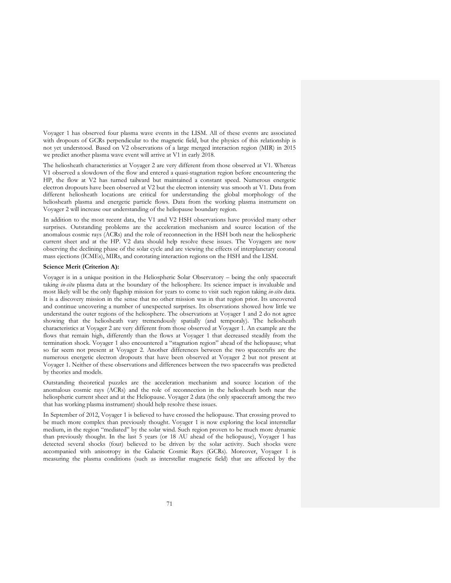Voyager 1 has observed four plasma wave events in the LISM. All of these events are associated with dropouts of GCRs perpendicular to the magnetic field, but the physics of this relationship is not yet understood. Based on V2 observations of a large merged interaction region (MIR) in 2015 we predict another plasma wave event will arrive at V1 in early 2018.

The heliosheath characteristics at Voyager 2 are very different from those observed at V1. Whereas V1 observed a slowdown of the flow and entered a quasi-stagnation region before encountering the HP, the flow at V2 has turned tailward but maintained a constant speed. Numerous energetic electron dropouts have been observed at V2 but the electron intensity was smooth at V1. Data from different heliosheath locations are critical for understanding the global morphology of the heliosheath plasma and energetic particle flows. Data from the working plasma instrument on Voyager 2 will increase our understanding of the heliopause boundary region.

In addition to the most recent data, the V1 and V2 HSH observations have provided many other surprises. Outstanding problems are the acceleration mechanism and source location of the anomalous cosmic rays (ACRs) and the role of reconnection in the HSH both near the heliospheric current sheet and at the HP. V2 data should help resolve these issues. The Voyagers are now observing the declining phase of the solar cycle and are viewing the effects of interplanetary coronal mass ejections (ICMEs), MIRs, and corotating interaction regions on the HSH and the LISM.

# **Science Merit (Criterion A):**

Voyager is in a unique position in the Heliospheric Solar Observatory – being the only spacecraft taking *in-situ* plasma data at the boundary of the heliosphere. Its science impact is invaluable and most likely will be the only flagship mission for years to come to visit such region taking *in-situ* data. It is a discovery mission in the sense that no other mission was in that region prior. Its uncovered and continue uncovering a number of unexpected surprises. Its observations showed how little we understand the outer regions of the heliosphere. The observations at Voyager 1 and 2 do not agree showing that the heliosheath vary tremendously spatially (and temporaly). The heliosheath characteristics at Voyager 2 are very different from those observed at Voyager 1. An example are the flows that remain high, differently than the flows at Voyager 1 that decreased steadily from the termination shock. Voyager 1 also encountered a "stagnation region" ahead of the heliopause; what so far seem not present at Voyager 2. Another differences between the two spacecrafts are the numerous energetic electron dropouts that have been observed at Voyager 2 but not present at Voyager 1. Neither of these observations and differences between the two spacecrafts was predicted by theories and models.

Outstanding theoretical puzzles are the acceleration mechanism and source location of the anomalous cosmic rays (ACRs) and the role of reconnection in the heliosheath both near the heliospheric current sheet and at the Heliopause. Voyager 2 data (the only spacecraft among the two that has working plasma instrument) should help resolve these issues.

In September of 2012, Voyager 1 is believed to have crossed the heliopause. That crossing proved to be much more complex than previously thought. Voyager 1 is now exploring the local interstellar medium, in the region "mediated" by the solar wind. Such region proven to be much more dynamic than previously thought. In the last 5 years (or 18 AU ahead of the heliopause), Voyager 1 has detected several shocks (four) believed to be driven by the solar activity. Such shocks were accompanied with anisotropy in the Galactic Cosmic Rays (GCRs). Moreover, Voyager 1 is measuring the plasma conditions (such as interstellar magnetic field) that are affected by the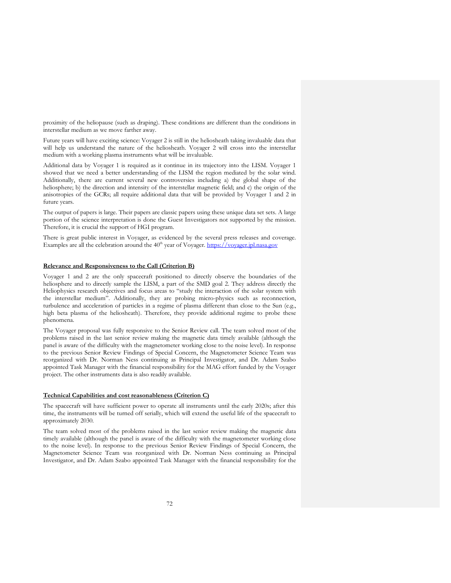proximity of the heliopause (such as draping). These conditions are different than the conditions in interstellar medium as we move farther away.

Future years will have exciting science: Voyager 2 is still in the heliosheath taking invaluable data that will help us understand the nature of the heliosheath. Voyager 2 will cross into the interstellar medium with a working plasma instruments what will be invaluable.

Additional data by Voyager 1 is required as it continue in its trajectory into the LISM. Voyager 1 showed that we need a better understanding of the LISM the region mediated by the solar wind. Additionally, there are current several new controversies including a) the global shape of the heliosphere; b) the direction and intensity of the interstellar magnetic field; and c) the origin of the anisotropies of the GCRs; all require additional data that will be provided by Voyager 1 and 2 in future years.

The output of papers is large. Their papers are classic papers using these unique data set sets. A large portion of the science interpretation is done the Guest Investigators not supported by the mission. Therefore, it is crucial the support of HGI program.

There is great public interest in Voyager, as evidenced by the several press releases and coverage. Examples are all the celebration around the  $40<sup>th</sup>$  year of Voyager. https://voyager.jpl.nasa.gov

## **Relevance and Responsiveness to the Call (Criterion B)**

Voyager 1 and 2 are the only spacecraft positioned to directly observe the boundaries of the heliosphere and to directly sample the LISM, a part of the SMD goal 2. They address directly the Heliophysics research objectives and focus areas to "study the interaction of the solar system with the interstellar medium". Additionally, they are probing micro-physics such as reconnection, turbulence and acceleration of particles in a regime of plasma different than close to the Sun (e.g., high beta plasma of the heliosheath). Therefore, they provide additional regime to probe these phenomena.

The Voyager proposal was fully responsive to the Senior Review call. The team solved most of the problems raised in the last senior review making the magnetic data timely available (although the panel is aware of the difficulty with the magnetometer working close to the noise level). In response to the previous Senior Review Findings of Special Concern, the Magnetometer Science Team was reorganized with Dr. Norman Ness continuing as Principal Investigator, and Dr. Adam Szabo appointed Task Manager with the financial responsibility for the MAG effort funded by the Voyager project. The other instruments data is also readily available.

## **Technical Capabilities and cost reasonableness (Criterion C)**

The spacecraft will have sufficient power to operate all instruments until the early 2020s; after this time, the instruments will be turned off serially, which will extend the useful life of the spacecraft to approximately 2030.

The team solved most of the problems raised in the last senior review making the magnetic data timely available (although the panel is aware of the difficulty with the magnetometer working close to the noise level). In response to the previous Senior Review Findings of Special Concern, the Magnetometer Science Team was reorganized with Dr. Norman Ness continuing as Principal Investigator, and Dr. Adam Szabo appointed Task Manager with the financial responsibility for the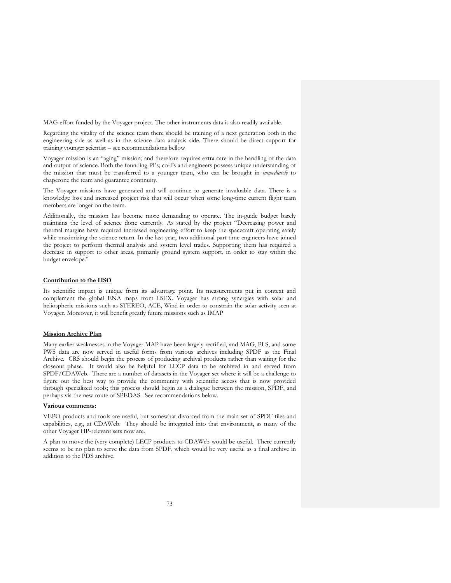MAG effort funded by the Voyager project. The other instruments data is also readily available.

Regarding the vitality of the science team there should be training of a next generation both in the engineering side as well as in the science data analysis side. There should be direct support for training younger scientist – see recommendations bellow

Voyager mission is an "aging" mission; and therefore requires extra care in the handling of the data and output of science. Both the founding PI's; co-I's and engineers possess unique understanding of the mission that must be transferred to a younger team, who can be brought in *immediately* to chaperone the team and guarantee continuity.

The Voyager missions have generated and will continue to generate invaluable data. There is a knowledge loss and increased project risk that will occur when some long-time current flight team members are longer on the team.

Additionally, the mission has become more demanding to operate. The in-guide budget barely maintains the level of science done currently. As stated by the project "Decreasing power and thermal margins have required increased engineering effort to keep the spacecraft operating safely while maximizing the science return. In the last year, two additional part time engineers have joined the project to perform thermal analysis and system level trades. Supporting them has required a decrease in support to other areas, primarily ground system support, in order to stay within the budget envelope."

## **Contribution to the HSO**

Its scientific impact is unique from its advantage point. Its measurements put in context and complement the global ENA maps from IBEX. Voyager has strong synergies with solar and heliospheric missions such as STEREO, ACE, Wind in order to constrain the solar activity seen at Voyager. Moreover, it will benefit greatly future missions such as IMAP

## **Mission Archive Plan**

Many earlier weaknesses in the Voyager MAP have been largely rectified, and MAG, PLS, and some PWS data are now served in useful forms from various archives including SPDF as the Final Archive. CRS should begin the process of producing archival products rather than waiting for the closeout phase. It would also be helpful for LECP data to be archived in and served from SPDF/CDAWeb. There are a number of datasets in the Voyager set where it will be a challenge to figure out the best way to provide the community with scientific access that is now provided through specialized tools; this process should begin as a dialogue between the mission, SPDF, and perhaps via the new route of SPEDAS. See recommendations below.

## **Various comments:**

VEPO products and tools are useful, but somewhat divorced from the main set of SPDF files and capabilities, e.g., at CDAWeb. They should be integrated into that environment, as many of the other Voyager HP-relevant sets now are.

A plan to move the (very complete) LECP products to CDAWeb would be useful. There currently seems to be no plan to serve the data from SPDF, which would be very useful as a final archive in addition to the PDS archive.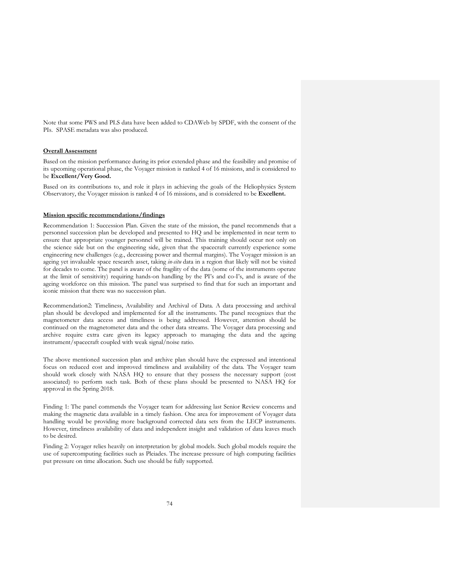Note that some PWS and PLS data have been added to CDAWeb by SPDF, with the consent of the PIs. SPASE metadata was also produced.

#### **Overall Assessment**

Based on the mission performance during its prior extended phase and the feasibility and promise of its upcoming operational phase, the Voyager mission is ranked 4 of 16 missions, and is considered to be **Excellent/Very Good.**

Based on its contributions to, and role it plays in achieving the goals of the Heliophysics System Observatory, the Voyager mission is ranked 4 of 16 missions, and is considered to be **Excellent.**

## **Mission specific recommendations/findings**

Recommendation 1: Succession Plan. Given the state of the mission, the panel recommends that a personnel succession plan be developed and presented to HQ and be implemented in near term to ensure that appropriate younger personnel will be trained. This training should occur not only on the science side but on the engineering side, given that the spacecraft currently experience some engineering new challenges (e.g., decreasing power and thermal margins). The Voyager mission is an ageing yet invaluable space research asset, taking *in-situ* data in a region that likely will not be visited for decades to come. The panel is aware of the fragility of the data (some of the instruments operate at the limit of sensitivity) requiring hands-on handling by the PI's and co-I's, and is aware of the ageing workforce on this mission. The panel was surprised to find that for such an important and iconic mission that there was no succession plan.

Recommendation2: Timeliness, Availability and Archival of Data. A data processing and archival plan should be developed and implemented for all the instruments. The panel recognizes that the magnetometer data access and timeliness is being addressed. However, attention should be continued on the magnetometer data and the other data streams. The Voyager data processing and archive require extra care given its legacy approach to managing the data and the ageing instrument/spacecraft coupled with weak signal/noise ratio.

The above mentioned succession plan and archive plan should have the expressed and intentional focus on reduced cost and improved timeliness and availability of the data. The Voyager team should work closely with NASA HQ to ensure that they possess the necessary support (cost associated) to perform such task. Both of these plans should be presented to NASA HQ for approval in the Spring 2018.

Finding 1: The panel commends the Voyager team for addressing last Senior Review concerns and making the magnetic data available in a timely fashion. One area for improvement of Voyager data handling would be providing more background corrected data sets from the LECP instruments. However, timeliness availability of data and independent insight and validation of data leaves much to be desired.

Finding 2: Voyager relies heavily on interpretation by global models. Such global models require the use of supercomputing facilities such as Pleiades. The increase pressure of high computing facilities put pressure on time allocation. Such use should be fully supported.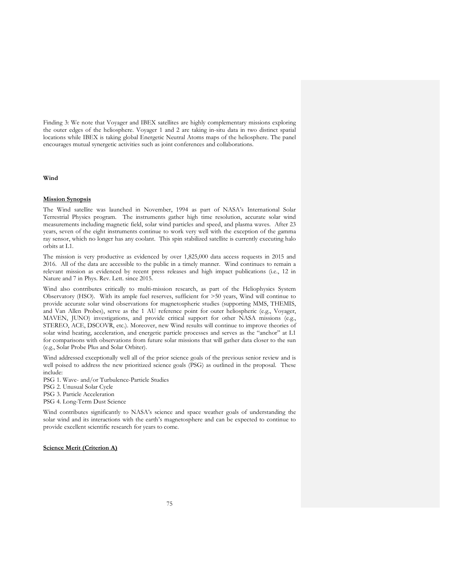Finding 3: We note that Voyager and IBEX satellites are highly complementary missions exploring the outer edges of the heliosphere. Voyager 1 and 2 are taking in-situ data in two distinct spatial locations while IBEX is taking global Energetic Neutral Atoms maps of the heliosphere. The panel encourages mutual synergetic activities such as joint conferences and collaborations.

## **Wind**

## **Mission Synopsis**

The Wind satellite was launched in November, 1994 as part of NASA's International Solar Terrestrial Physics program. The instruments gather high time resolution, accurate solar wind measurements including magnetic field, solar wind particles and speed, and plasma waves. After 23 years, seven of the eight instruments continue to work very well with the exception of the gamma ray sensor, which no longer has any coolant. This spin stabilized satellite is currently executing halo orbits at L1.

The mission is very productive as evidenced by over 1,825,000 data access requests in 2015 and 2016. All of the data are accessible to the public in a timely manner. Wind continues to remain a relevant mission as evidenced by recent press releases and high impact publications (i.e., 12 in Nature and 7 in Phys. Rev. Lett. since 2015.

Wind also contributes critically to multi-mission research, as part of the Heliophysics System Observatory (HSO). With its ample fuel reserves, sufficient for >50 years, Wind will continue to provide accurate solar wind observations for magnetospheric studies (supporting MMS, THEMIS, and Van Allen Probes), serve as the 1 AU reference point for outer heliospheric (e.g., Voyager, MAVEN, JUNO) investigations, and provide critical support for other NASA missions (e.g., STEREO, ACE, DSCOVR, etc.). Moreover, new Wind results will continue to improve theories of solar wind heating, acceleration, and energetic particle processes and serves as the "anchor" at L1 for comparisons with observations from future solar missions that will gather data closer to the sun (e.g., Solar Probe Plus and Solar Orbiter).

Wind addressed exceptionally well all of the prior science goals of the previous senior review and is well poised to address the new prioritized science goals (PSG) as outlined in the proposal. These include:

PSG 1. Wave- and/or Turbulence-Particle Studies

PSG 2. Unusual Solar Cycle

PSG 3. Particle Acceleration

PSG 4. Long-Term Dust Science

Wind contributes significantly to NASA's science and space weather goals of understanding the solar wind and its interactions with the earth's magnetosphere and can be expected to continue to provide excellent scientific research for years to come.

## **Science Merit (Criterion A)**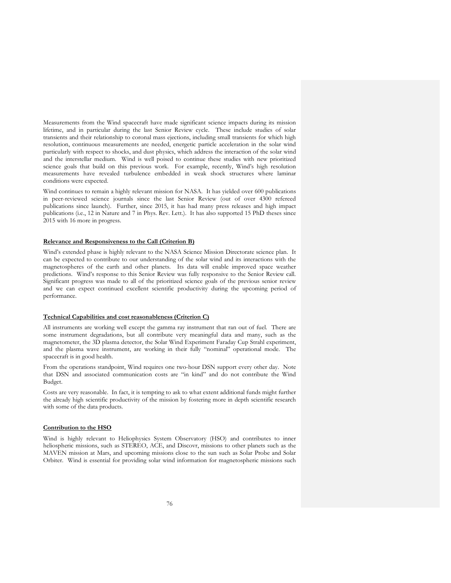Measurements from the Wind spacecraft have made significant science impacts during its mission lifetime, and in particular during the last Senior Review cycle. These include studies of solar transients and their relationship to coronal mass ejections, including small transients for which high resolution, continuous measurements are needed, energetic particle acceleration in the solar wind particularly with respect to shocks, and dust physics, which address the interaction of the solar wind and the interstellar medium. Wind is well poised to continue these studies with new prioritized science goals that build on this previous work. For example, recently, Wind's high resolution measurements have revealed turbulence embedded in weak shock structures where laminar conditions were expected.

Wind continues to remain a highly relevant mission for NASA. It has yielded over 600 publications in peer-reviewed science journals since the last Senior Review (out of over 4300 refereed publications since launch). Further, since 2015, it has had many press releases and high impact publications (i.e., 12 in Nature and 7 in Phys. Rev. Lett.). It has also supported 15 PhD theses since 2015 with 16 more in progress.

## **Relevance and Responsiveness to the Call (Criterion B)**

Wind's extended phase is highly relevant to the NASA Science Mission Directorate science plan. It can be expected to contribute to our understanding of the solar wind and its interactions with the magnetospheres of the earth and other planets. Its data will enable improved space weather predictions. Wind's response to this Senior Review was fully responsive to the Senior Review call. Significant progress was made to all of the prioritized science goals of the previous senior review and we can expect continued excellent scientific productivity during the upcoming period of performance.

#### **Technical Capabilities and cost reasonableness (Criterion C)**

All instruments are working well except the gamma ray instrument that ran out of fuel. There are some instrument degradations, but all contribute very meaningful data and many, such as the magnetometer, the 3D plasma detector, the Solar Wind Experiment Faraday Cup Strahl experiment, and the plasma wave instrument, are working in their fully "nominal" operational mode. The spacecraft is in good health.

From the operations standpoint, Wind requires one two-hour DSN support every other day. Note that DSN and associated communication costs are "in kind" and do not contribute the Wind Budget.

Costs are very reasonable. In fact, it is tempting to ask to what extent additional funds might further the already high scientific productivity of the mission by fostering more in depth scientific research with some of the data products.

#### **Contribution to the HSO**

Wind is highly relevant to Heliophysics System Observatory (HSO) and contributes to inner heliospheric missions, such as STEREO, ACE, and Discovr, missions to other planets such as the MAVEN mission at Mars, and upcoming missions close to the sun such as Solar Probe and Solar Orbiter. Wind is essential for providing solar wind information for magnetospheric missions such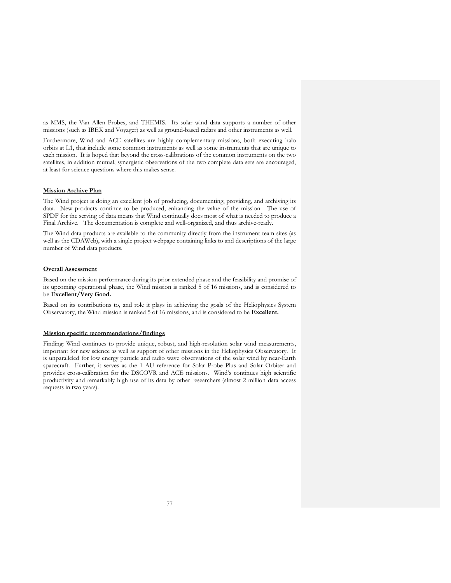as MMS, the Van Allen Probes, and THEMIS. Its solar wind data supports a number of other missions (such as IBEX and Voyager) as well as ground-based radars and other instruments as well.

Furthermore, Wind and ACE satellites are highly complementary missions, both executing halo orbits at L1, that include some common instruments as well as some instruments that are unique to each mission. It is hoped that beyond the cross-calibrations of the common instruments on the two satellites, in addition mutual, synergistic observations of the two complete data sets are encouraged, at least for science questions where this makes sense.

# **Mission Archive Plan**

The Wind project is doing an excellent job of producing, documenting, providing, and archiving its data. New products continue to be produced, enhancing the value of the mission. The use of SPDF for the serving of data means that Wind continually does most of what is needed to produce a Final Archive. The documentation is complete and well-organized, and thus archive-ready.

The Wind data products are available to the community directly from the instrument team sites (as well as the CDAWeb), with a single project webpage containing links to and descriptions of the large number of Wind data products.

#### **Overall Assessment**

Based on the mission performance during its prior extended phase and the feasibility and promise of its upcoming operational phase, the Wind mission is ranked 5 of 16 missions, and is considered to be **Excellent/Very Good.**

Based on its contributions to, and role it plays in achieving the goals of the Heliophysics System Observatory, the Wind mission is ranked 5 of 16 missions, and is considered to be **Excellent.**

# **Mission specific recommendations/findings**

Finding: Wind continues to provide unique, robust, and high-resolution solar wind measurements, important for new science as well as support of other missions in the Heliophysics Observatory. It is unparalleled for low energy particle and radio wave observations of the solar wind by near-Earth spacecraft. Further, it serves as the 1 AU reference for Solar Probe Plus and Solar Orbiter and provides cross-calibration for the DSCOVR and ACE missions. Wind's continues high scientific productivity and remarkably high use of its data by other researchers (almost 2 million data access requests in two years).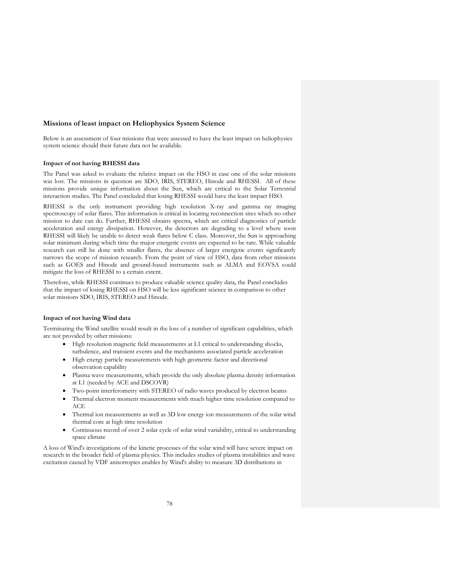#### **Missions of least impact on Heliophysics System Science**

Below is an assessment of four missions that were assessed to have the least impact on heliophysics system science should their future data not be available.

#### **Impact of not having RHESSI data**

The Panel was asked to evaluate the relative impact on the HSO in case one of the solar missions was lost. The missions in question are SDO, IRIS, STEREO, Hinode and RHESSI. All of these missions provide unique information about the Sun, which are critical to the Solar Terrestrial interaction studies. The Panel concluded that losing RHESSI would have the least impact HSO.

RHESSI is the only instrument providing high resolution X-ray and gamma ray imaging spectroscopy of solar flares. This information is critical in locating reconnection sites which no other mission to date can do. Further, RHESSI obtains spectra, which are critical diagnostics of particle acceleration and energy dissipation. However, the detectors are degrading to a level where soon RHESSI will likely be unable to detect weak flares below C class. Moreover, the Sun is approaching solar minimum during which time the major energetic events are expected to be rare. While valuable research can still be done with smaller flares, the absence of larger energetic events significantly narrows the scope of mission research. From the point of view of HSO, data from other missions such as GOES and Hinode and ground-based instruments such as ALMA and EOVSA could mitigate the loss of RHESSI to a certain extent.

Therefore, while RHESSI continues to produce valuable science quality data, the Panel concludes that the impact of losing RHESSI on HSO will be less significant science in comparison to other solar missions SDO, IRIS, STEREO and Hinode.

#### **Impact of not having Wind data**

Terminating the Wind satellite would result in the loss of a number of significant capabilities, which are not provided by other missions:

- High resolution magnetic field measurements at L1 critical to understanding shocks, turbulence, and transient events and the mechanisms associated particle acceleration
- High energy particle measurements with high geometric factor and directional observation capability
- Plasma wave measurements, which provide the only absolute plasma density information at L1 (needed by ACE and DSCOVR)
- Two-point interferometry with STEREO of radio waves produced by electron beams
- Thermal electron moment measurements with much higher time resolution compared to ACE
- Thermal ion measurements as well as 3D low energy ion measurements of the solar wind thermal core at high time resolution
- Continuous record of over 2 solar cycle of solar wind variability, critical to understanding space climate

A loss of Wind's investigations of the kinetic processes of the solar wind will have severe impact on research in the broader field of plasma physics. This includes studies of plasma instabilities and wave excitation caused by VDF anisotropies enables by Wind's ability to measure 3D distributions in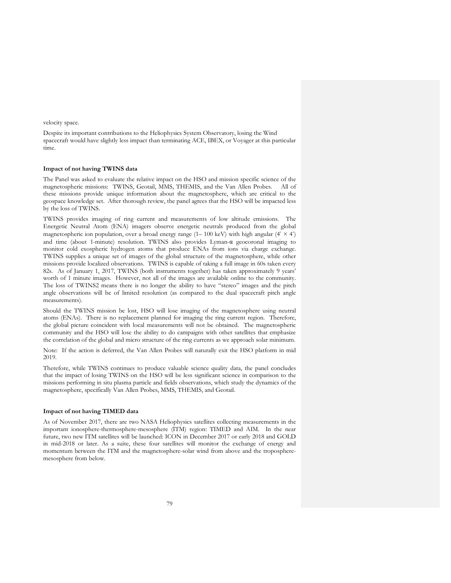velocity space.

Despite its important contributions to the Heliophysics System Observatory, losing the Wind spacecraft would have slightly less impact than terminating ACE, IBEX, or Voyager at this particular time.

# **Impact of not having TWINS data**

The Panel was asked to evaluate the relative impact on the HSO and mission specific science of the magnetospheric missions: TWINS, Geotail, MMS, THEMIS, and the Van Allen Probes. All of these missions provide unique information about the magnetosphere, which are critical to the geospace knowledge set. After thorough review, the panel agrees that the HSO will be impacted less by the loss of TWINS.

TWINS provides imaging of ring current and measurements of low altitude emissions. The Energetic Neutral Atom (ENA) imagers observe energetic neutrals produced from the global magnetospheric ion population, over a broad energy range (1– 100 keV) with high angular ( $4° \times 4°$ ) and time (about 1-minute) resolution. TWINS also provides Lyman-α geocoronal imaging to monitor cold exospheric hydrogen atoms that produce ENAs from ions via charge exchange. TWINS supplies a unique set of images of the global structure of the magnetosphere, while other missions provide localized observations. TWINS is capable of taking a full image in 60s taken every 82s. As of January 1, 2017, TWINS (both instruments together) has taken approximately 9 years' worth of 1 minute images. However, not all of the images are available online to the community. The loss of TWINS2 means there is no longer the ability to have "stereo" images and the pitch angle observations will be of limited resolution (as compared to the dual spacecraft pitch angle measurements).

Should the TWINS mission be lost, HSO will lose imaging of the magnetosphere using neutral atoms (ENAs). There is no replacement planned for imaging the ring current region. Therefore, the global picture coincident with local measurements will not be obtained. The magnetospheric community and the HSO will lose the ability to do campaigns with other satellites that emphasize the correlation of the global and micro structure of the ring currents as we approach solar minimum.

Note: If the action is deferred, the Van Allen Probes will naturally exit the HSO platform in mid 2019.

Therefore, while TWINS continues to produce valuable science quality data, the panel concludes that the impact of losing TWINS on the HSO will be less significant science in comparison to the missions performing in situ plasma particle and fields observations, which study the dynamics of the magnetosphere, specifically Van Allen Probes, MMS, THEMIS, and Geotail.

### **Impact of not having TIMED data**

As of November 2017, there are two NASA Heliophysics satellites collecting measurements in the important ionosphere-thermosphere-mesosphere (ITM) region: TIMED and AIM. In the near future, two new ITM satellites will be launched: ICON in December 2017 or early 2018 and GOLD in mid-2018 or later. As a suite, these four satellites will monitor the exchange of energy and momentum between the ITM and the magnetosphere-solar wind from above and the tropospheremesosphere from below.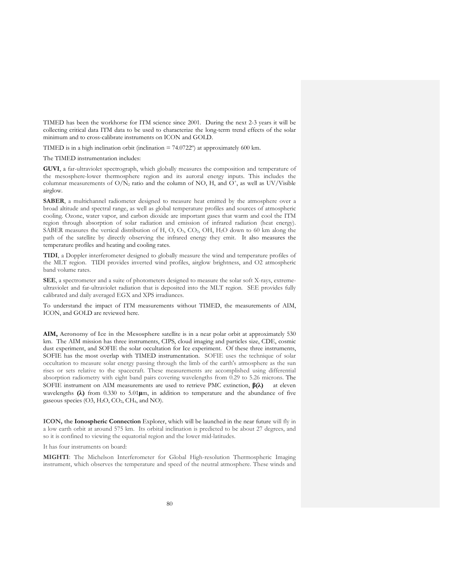TIMED has been the workhorse for ITM science since 2001. During the next 2-3 years it will be collecting critical data ITM data to be used to characterize the long-term trend effects of the solar minimum and to cross-calibrate instruments on ICON and GOLD.

TIMED is in a high inclination orbit (inclination  $= 74.0722^{\circ}$ ) at approximately 600 km.

The TIMED instrumentation includes:

**GUVI**, a far-ultraviolet spectrograph, which globally measures the composition and temperature of the mesosphere-lower thermosphere region and its auroral energy inputs. This includes the columnar measurements of  $O/N_2$  ratio and the column of NO, H, and  $O^+$ , as well as UV/Visible airglow.

**SABER**, a multichannel radiometer designed to measure heat emitted by the atmosphere over a broad altitude and spectral range, as well as global temperature profiles and sources of atmospheric cooling. Ozone, water vapor, and carbon dioxide are important gases that warm and cool the ITM region through absorption of solar radiation and emission of infrared radiation (heat energy). SABER measures the vertical distribution of H, O, O3, CO2, OH, H2O down to 60 km along the path of the satellite by directly observing the infrared energy they emit. It also measures the temperature profiles and heating and cooling rates.

**TIDI**, a Doppler interferometer designed to globally measure the wind and temperature profiles of the MLT region. TIDI provides inverted wind profiles, airglow brightness, and O2 atmospheric band volume rates.

**SEE**, a spectrometer and a suite of photometers designed to measure the solar soft X-rays, extremeultraviolet and far-ultraviolet radiation that is deposited into the MLT region. SEE provides fully calibrated and daily averaged EGX and XPS irradiances.

To understand the impact of ITM measurements without TIMED, the measurements of AIM, ICON, and GOLD are reviewed here.

**AIM, Aeronomy of Ice in the Mesosphere** satellite is in a near polar orbit at approximately 530 km. The AIM mission has three instruments, CIPS, cloud imaging and particles size, CDE, cosmic dust experiment, and SOFIE the solar occultation for Ice experiment. Of these three instruments, SOFIE has the most overlap with TIMED instrumentation. SOFIE uses the technique of solar occultation to measure solar energy passing through the limb of the earth's atmosphere as the sun rises or sets relative to the spacecraft. These measurements are accomplished using differential absorption radiometry with eight band pairs covering wavelengths from 0.29 to 5.26 microns. The SOFIE instrument on AIM measurements are used to retrieve PMC extinction, **β(λ)** at eleven wavelengths **(λ)** from 0.330 to 5.01**µ**m, in addition to temperature and the abundance of five gaseous species  $(O3, H<sub>2</sub>O, CO<sub>2</sub>, CH<sub>4</sub>, and NO).$ 

**ICON, the Ionospheric Connection** Explorer, which will be launched in the near future will fly in a low earth orbit at around 575 km. Its orbital inclination is predicted to be about 27 degrees, and so it is confined to viewing the equatorial region and the lower mid-latitudes.

It has four instruments on board:

**MIGHTI**: The Michelson Interferometer for Global High-resolution Thermospheric Imaging instrument, which observes the temperature and speed of the neutral atmosphere. These winds and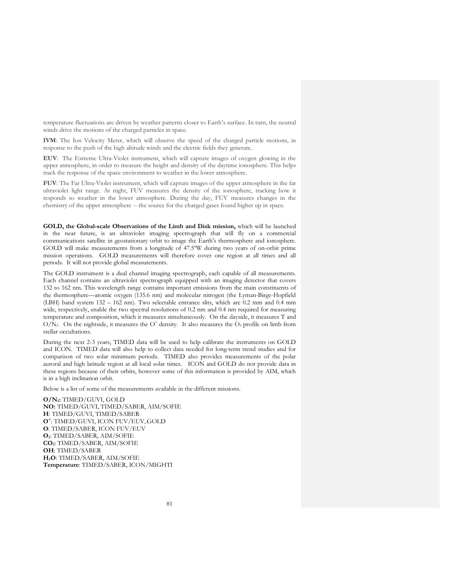temperature fluctuations are driven by weather patterns closer to Earth's surface. In turn, the neutral winds drive the motions of the charged particles in space.

**IVM**: The Ion Velocity Meter, which will observe the speed of the charged particle motions, in response to the push of the high altitude winds and the electric fields they generate.

**EUV**: The Extreme Ultra-Violet instrument, which will capture images of oxygen glowing in the upper atmosphere, in order to measure the height and density of the daytime ionosphere. This helps track the response of the space environment to weather in the lower atmosphere.

**FUV**: The Far Ultra-Violet instrument, which will capture images of the upper atmosphere in the far ultraviolet light range. At night, FUV measures the density of the ionosphere, tracking how it responds to weather in the lower atmosphere. During the day, FUV measures changes in the chemistry of the upper atmosphere -- the source for the charged gases found higher up in space.

**GOLD, the Global-scale Observations of the Limb and Disk mission,** which will be launched in the near future, is an ultraviolet imaging spectrograph that will fly on a commercial communications satellite in geostationary orbit to image the Earth's thermosphere and ionosphere. GOLD will make measurements from a longitude of 47.5ºW during two years of on-orbit prime mission operations. GOLD measurements will therefore cover one region at all times and all periods. It will not provide global measurements.

The GOLD instrument is a dual channel imaging spectrograph, each capable of all measurements. Each channel contains an ultraviolet spectrograph equipped with an imaging detector that covers 132 to 162 nm. This wavelength range contains important emissions from the main constituents of the thermosphere—atomic oxygen (135.6 nm) and molecular nitrogen (the Lyman-Birge-Hopfield (LBH) band system 132 – 162 nm). Two selectable entrance slits, which are 0.2 mm and 0.4 mm wide, respectively, enable the two spectral resolutions of 0.2 nm and 0.4 nm required for measuring temperature and composition, which it measures simultaneously. On the dayside, it measures T and  $O/N<sub>2</sub>$ . On the nightside, it measures the O<sup>+</sup> density. It also measures the O<sub>2</sub> profile on limb from stellar occultations.

During the next 2-3 years, TIMED data will be used to help calibrate the instruments on GOLD and ICON. TIMED data will also help to collect data needed for long-term trend studies and for comparison of two solar minimum periods. TIMED also provides measurements of the polar auroral and high latitude region at all local solar times. ICON and GOLD do not provide data in these regions because of their orbits, however some of this information is provided by AIM, which is in a high inclination orbit.

Below is a list of some of the measurements available in the different missions.

**O/N2:** TIMED/GUVI, GOLD **NO:** TIMED/GUVI, TIMED/SABER, AIM/SOFIE **H**: TIMED/GUVI, TIMED/SABER **O+** : TIMED/GUVI, ICON FUV/EUV,GOLD **O**: TIMED/SABER, ICON FUV/EUV **O3**: TIMED/SABER, AIM/SOFIE **CO2**: TIMED/SABER, AIM/SOFIE **OH**: TIMED/SABER **H2O**: TIMED/SABER, AIM/SOFIE **Temperature**: TIMED/SABER, ICON/MIGHTI